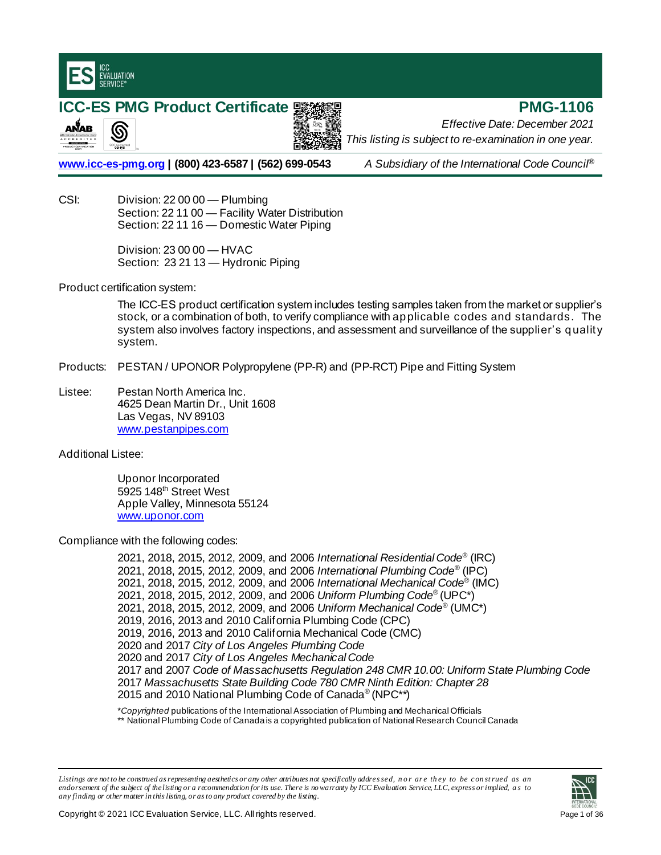

இ

ANAB

# **ICC-ES PMG Product Certificate 驟機機 2008 - PMG-1106**

*Effective Date: December 2021 This listing is subject to re-examination in one year.*

**[www.icc-es-pmg.org](http://www.icc-es-pmg.org/) | (800) 423-6587 | (562) 699-0543** *A Subsidiary of the International Code Council*®

CSI: Division: 22 00 00 — Plumbing Section: 22 11 00 — Facility Water Distribution Section: 22 11 16 — Domestic Water Piping

> Division: 23 00 00 — HVAC Section: 23 21 13 - Hydronic Piping

Product certification system:

The ICC-ES product certification system includes testing samples taken from the market or supplier's stock, or a combination of both, to verify compliance with applicable codes and standards. The system also involves factory inspections, and assessment and surveillance of the supplier's quality system.

Products: PESTAN / UPONOR Polypropylene (PP-R) and (PP-RCT) Pipe and Fitting System

Listee: Pestan North America Inc. 4625 Dean Martin Dr., Unit 1608 Las Vegas, NV 89103 [www.pestanpipes.com](http://www.pestanpipes.com/)

Additional Listee:

Uponor Incorporated 5925 148<sup>th</sup> Street West Apple Valley, Minnesota 55124 [www.uponor.com](http://www.uponor.com/)

Compliance with the following codes:

2021, 2018, 2015, 2012, 2009, and 2006 *International Residential Code*® (IRC) 2021, 2018, 2015, 2012, 2009, and 2006 *International Plumbing Code*® (IPC) 2021, 2018, 2015, 2012, 2009, and 2006 *International Mechanical Code*® (IMC) 2021, 2018, 2015, 2012, 2009, and 2006 *Uniform Plumbing Code*® (UPC\*) 2021, 2018, 2015, 2012, 2009, and 2006 *Uniform Mechanical Code*® (UMC\*) 2019, 2016, 2013 and 2010 California Plumbing Code (CPC) 2019, 2016, 2013 and 2010 California Mechanical Code (CMC) 2020 and 2017 *City of Los Angeles Plumbing Code* 2020 and 2017 *City of Los Angeles Mechanical Code* 2017 and 2007 *Code of Massachusetts Regulation 248 CMR 10.00: Uniform State Plumbing Code* 2017 *Massachusetts State Building Code 780 CMR Ninth Edition: Chapter 28* 2015 and 2010 National Plumbing Code of Canada® (NPC\*\*)

\**Copyrighted* publications of the International Association of Plumbing and Mechanical Officials \*\* National Plumbing Code of Canada is a copyrighted publication of National Research Council Canada

Listings are not to be construed as representing aesthetics or any other attributes not specifically addressed, n or are they to be construed as an *endorsement of the subject of the listing or a recommendation for its use. There is no warranty by ICC Evaluation Service, LLC, express or implied, a s to any finding or other matterin this listing, or as to any product covered by the listing.*

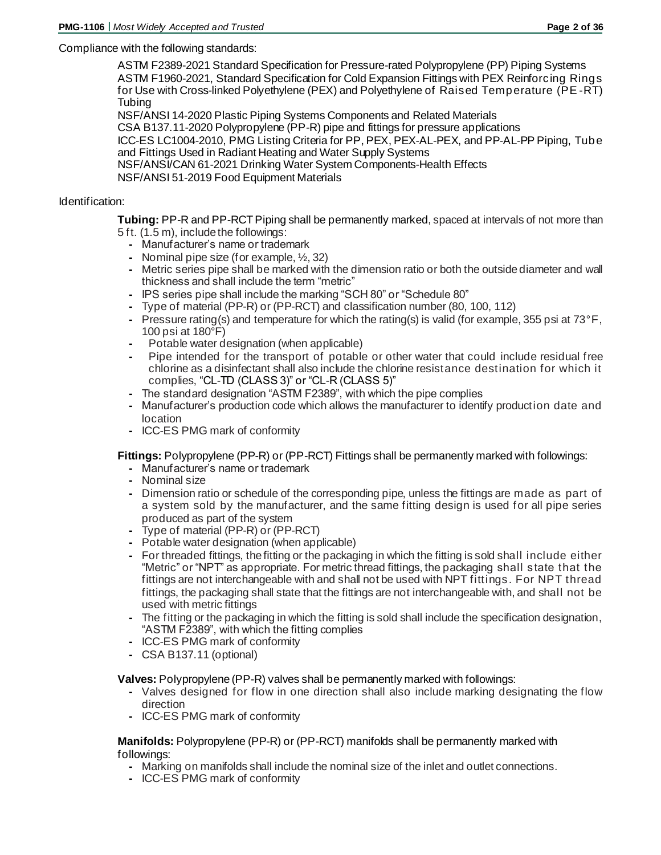# Compliance with the following standards:

ASTM F2389-2021 Standard Specification for Pressure-rated Polypropylene (PP) Piping Systems ASTM F1960-2021, Standard Specification for Cold Expansion Fittings with PEX Reinforcing Rings for Use with Cross-linked Polyethylene (PEX) and Polyethylene of Raised Temperature (PE -RT) **Tubing** 

NSF/ANSI 14-2020 Plastic Piping Systems Components and Related Materials

CSA B137.11-2020 Polypropylene (PP-R) pipe and fittings for pressure applications

ICC-ES LC1004-2010, PMG Listing Criteria for PP, PEX, PEX-AL-PEX, and PP-AL-PP Piping, Tube and Fittings Used in Radiant Heating and Water Supply Systems

NSF/ANSI/CAN 61-2021 Drinking Water System Components-Health Effects

NSF/ANSI 51-2019 Food Equipment Materials

# Identification:

**Tubing:** PP-R and PP-RCT Piping shall be permanently marked, spaced at intervals of not more than 5 ft. (1.5 m), include the followings:

- **-** Manufacturer's name or trademark
- **-** Nominal pipe size (for example, ½, 32)
- **-** Metric series pipe shall be marked with the dimension ratio or both the outside diameter and wall thickness and shall include the term "metric"
- **-** IPS series pipe shall include the marking "SCH 80" or "Schedule 80"
- **-** Type of material (PP-R) or (PP-RCT) and classification number (80, 100, 112)
- **-** Pressure rating(s) and temperature for which the rating(s) is valid (for example, 355 psi at 73°F, 100 psi at 180°F)
- **-** Potable water designation (when applicable)
- **-** Pipe intended for the transport of potable or other water that could include residual free chlorine as a disinfectant shall also include the chlorine resistance destination for which it complies, "CL-TD (CLASS 3)" or "CL-R (CLASS 5)"
- **-** The standard designation "ASTM F2389", with which the pipe complies
- **-** Manufacturer's production code which allows the manufacturer to identify production date and location
- **-** ICC-ES PMG mark of conformity

**Fittings:** Polypropylene (PP-R) or (PP-RCT) Fittings shall be permanently marked with followings:

- **-** Manufacturer's name or trademark
- **-** Nominal size
- **-** Dimension ratio or schedule of the corresponding pipe, unless the fittings are made as part of a system sold by the manufacturer, and the same fitting design is used for all pipe series produced as part of the system
- **-** Type of material (PP-R) or (PP-RCT)
- **-** Potable water designation (when applicable)
- **-** For threaded fittings, the fitting or the packaging in which the fitting is sold shall include either "Metric" or "NPT" as appropriate. For metric thread fittings, the packaging shall state that the fittings are not interchangeable with and shall not be used with NPT fittings. For NPT thread fittings, the packaging shall state that the fittings are not interchangeable with, and shall not be used with metric fittings
- **-** The fitting or the packaging in which the fitting is sold shall include the specification designation, "ASTM F2389", with which the fitting complies
- **-** ICC-ES PMG mark of conformity
- **-** CSA B137.11 (optional)

**Valves:** Polypropylene (PP-R) valves shall be permanently marked with followings:

- **-** Valves designed for flow in one direction shall also include marking designating the flow direction
- **-** ICC-ES PMG mark of conformity

## **Manifolds:** Polypropylene (PP-R) or (PP-RCT) manifolds shall be permanently marked with followings:

- **-** Marking on manifolds shall include the nominal size of the inlet and outlet connections.
- **-** ICC-ES PMG mark of conformity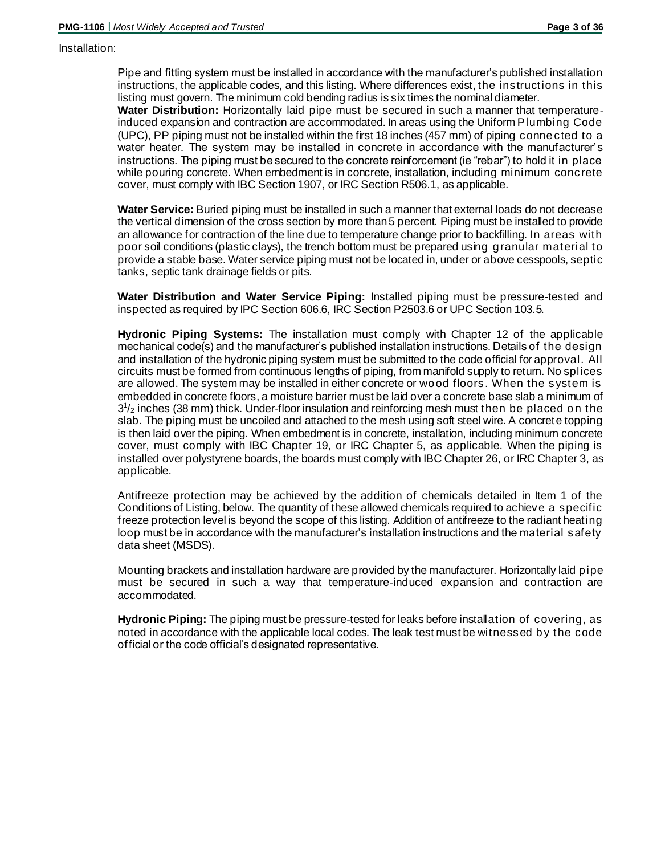#### Installation:

Pipe and fitting system must be installed in accordance with the manufacturer's published installation instructions, the applicable codes, and this listing. Where differences exist, the instructions in this listing must govern. The minimum cold bending radius is six times the nominal diameter.

**Water Distribution:** Horizontally laid pipe must be secured in such a manner that temperatureinduced expansion and contraction are accommodated. In areas using the Uniform Plumbing Code (UPC), PP piping must not be installed within the first 18 inches (457 mm) of piping conne cted to a water heater. The system may be installed in concrete in accordance with the manufacturer's instructions. The piping must be secured to the concrete reinforcement (ie "rebar") to hold it in place while pouring concrete. When embedment is in concrete, installation, including minimum concrete cover, must comply with IBC Section 1907, or IRC Section R506.1, as applicable.

**Water Service:** Buried piping must be installed in such a manner that external loads do not decrease the vertical dimension of the cross section by more than 5 percent. Piping must be installed to provide an allowance for contraction of the line due to temperature change prior to backfilling. In areas with poor soil conditions (plastic clays), the trench bottom must be prepared using granular material to provide a stable base. Water service piping must not be located in, under or above cesspools, septic tanks, septic tank drainage fields or pits.

**Water Distribution and Water Service Piping:** Installed piping must be pressure-tested and inspected as required by IPC Section 606.6, IRC Section P2503.6 or UPC Section 103.5.

**Hydronic Piping Systems:** The installation must comply with Chapter 12 of the applicable mechanical code(s) and the manufacturer's published installation instructions. Details of the design and installation of the hydronic piping system must be submitted to the code official for approval. All circuits must be formed from continuous lengths of piping, from manifold supply to return. No splices are allowed. The system may be installed in either concrete or wood floors. When the system is embedded in concrete floors, a moisture barrier must be laid over a concrete base slab a minimum of  $3<sup>1</sup>/<sub>2</sub>$  inches (38 mm) thick. Under-floor insulation and reinforcing mesh must then be placed on the slab. The piping must be uncoiled and attached to the mesh using soft steel wire. A concrete topping is then laid over the piping. When embedment is in concrete, installation, including minimum concrete cover, must comply with IBC Chapter 19, or IRC Chapter 5, as applicable. When the piping is installed over polystyrene boards, the boards must comply with IBC Chapter 26, or IRC Chapter 3, as applicable.

Antifreeze protection may be achieved by the addition of chemicals detailed in Item 1 of the Conditions of Listing, below. The quantity of these allowed chemicals required to achieve a specific freeze protection level is beyond the scope of this listing. Addition of antifreeze to the radiant heating loop must be in accordance with the manufacturer's installation instructions and the material safety data sheet (MSDS).

Mounting brackets and installation hardware are provided by the manufacturer. Horizontally laid pipe must be secured in such a way that temperature-induced expansion and contraction are accommodated.

**Hydronic Piping:** The piping must be pressure-tested for leaks before installation of covering, as noted in accordance with the applicable local codes. The leak test must be witnessed by the code official or the code official's designated representative.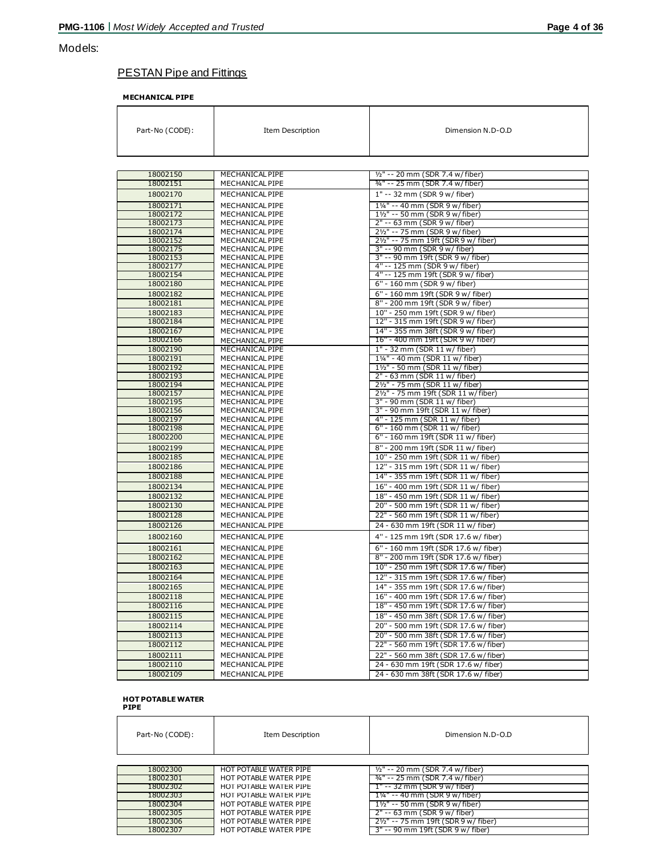# Models:

# PESTAN Pipe and Fittings

**MECHANICAL PIPE** 

| Part-No (CODE):      | <b>Item Description</b>            | Dimension N.D-O.D                                                      |
|----------------------|------------------------------------|------------------------------------------------------------------------|
|                      |                                    |                                                                        |
| 18002150             | MECHANICAL PIPE                    | 1/2" -- 20 mm (SDR 7.4 w/fiber)                                        |
| 18002151             | MECHANICAL PIPE                    | 3/4" -- 25 mm (SDR 7.4 w/fiber)                                        |
| 18002170             | MECHANICAL PIPE                    | 1" -- 32 mm (SDR 9 w/ fiber)                                           |
| 18002171             | MECHANICAL PIPE                    | 11/4" -- 40 mm (SDR 9 w/fiber)                                         |
| 18002172             | MECHANICAL PIPE                    | 11/2" -- 50 mm (SDR 9 w/fiber)                                         |
| 18002173             | MECHANICAL PIPE                    | 2" -- 63 mm (SDR 9 w/ fiber)                                           |
| 18002174             | MECHANICAL PIPE                    | 21/2" -- 75 mm (SDR 9 w/fiber)                                         |
| 18002152             | MECHANICAL PIPE                    | 21/ <sub>2</sub> " -- 75 mm 19ft (SDR 9 w/ fiber)                      |
| 18002175             | MECHANICAL PIPE                    | 3" -- 90 mm (SDR 9 w/ fiber)                                           |
| 18002153             | MECHANICAL PIPE                    | 3" -- 90 mm 19ft (SDR 9 w/ fiber)                                      |
| 18002177             | MECHANICAL PIPE                    | 4" -- 125 mm (SDR 9 w/ fiber)                                          |
| 18002154             | MECHANICAL PIPE                    | 4" -- 125 mm 19ft (SDR 9 w/ fiber)                                     |
| 18002180             | MECHANICAL PIPE                    | 6" - 160 mm (SDR 9 w/ fiber)                                           |
| 18002182             | MECHANICAL PIPE                    | 6" - 160 mm 19ft (SDR 9 w/ fiber)                                      |
| 18002181             | MECHANICAL PIPE                    | 8" - 200 mm 19ft (SDR 9 w/ fiber)                                      |
| 18002183             | MECHANICAL PIPE                    | 10" - 250 mm 19ft (SDR 9 w/ fiber)                                     |
| 18002184             | MECHANICAL PIPE                    | 12" - 315 mm 19ft (SDR 9 w/ fiber)                                     |
| 18002167             | MECHANICAL PIPE                    | 14" - 355 mm 38ft (SDR 9 w/ fiber)                                     |
| 18002166             | MECHANICAL PIPE                    | 16" - 400 mm 19ft (SDR 9 w/ fiber)                                     |
| 18002190             | MECHANICAL PIPE                    | 1" - 32 mm (SDR 11 w/ fiber)                                           |
| 18002191             | MECHANICAL PIPE                    | 11/4" - 40 mm (SDR 11 w/ fiber)                                        |
| 18002192             | MECHANICAL PIPE                    | 11/2" - 50 mm (SDR 11 w/ fiber)                                        |
| 18002193             | MECHANICAL PIPE                    | 2" - 63 mm (SDR 11 w/ fiber)                                           |
| 18002194<br>18002157 | MECHANICAL PIPE<br>MECHANICAL PIPE | 21/2" - 75 mm (SDR 11 w/ fiber)<br>21/2" - 75 mm 19ft (SDR 11 w/fiber) |
| 18002195             | MECHANICAL PIPE                    | 3" - 90 mm (SDR 11 w/ fiber)                                           |
| 18002156             | MECHANICAL PIPE                    | 3" - 90 mm 19ft (SDR 11 w/ fiber)                                      |
| 18002197             | MECHANICAL PIPE                    | 4" - 125 mm (SDR 11 w/ fiber)                                          |
| 18002198             | MECHANICAL PIPE                    | 6" - 160 mm (SDR 11 w/ fiber)                                          |
| 18002200             | MECHANICAL PIPE                    | 6" - 160 mm 19ft (SDR 11 w/ fiber)                                     |
| 18002199             | MECHANICAL PIPE                    | 8" - 200 mm 19ft (SDR 11 w/ fiber)                                     |
| 18002185             | MECHANICAL PIPE                    | 10" - 250 mm 19ft (SDR 11 w/ fiber)                                    |
| 18002186             | MECHANICAL PIPE                    | 12" - 315 mm 19ft (SDR 11 w/ fiber)                                    |
| 18002188             | MECHANICAL PIPE                    | 14" - 355 mm 19ft (SDR 11 w/ fiber)                                    |
| 18002134             | MECHANICAL PIPE                    | 16" - 400 mm 19ft (SDR 11 w/ fiber)                                    |
| 18002132             | MECHANICAL PIPE                    | 18" - 450 mm 19ft (SDR 11 w/ fiber)                                    |
| 18002130             | MECHANICAL PIPE                    | 20" - 500 mm 19ft (SDR 11 w/ fiber)                                    |
| 18002128             | MECHANICAL PIPE                    | 22" - 560 mm 19ft (SDR 11 w/fiber)                                     |
| 18002126             | MECHANICAL PIPE                    | 24 - 630 mm 19ft (SDR 11 w/ fiber)                                     |
| 18002160             | MECHANICAL PIPE                    |                                                                        |
|                      |                                    | 4" - 125 mm 19ft (SDR 17.6 w/ fiber)                                   |
| 18002161             | MECHANICAL PIPE                    | 6" - 160 mm 19ft (SDR 17.6 w/ fiber)                                   |
| 18002162             | MECHANICAL PIPE                    | 8" - 200 mm 19ft (SDR 17.6 w/ fiber)                                   |
| 18002163             | MECHANICAL PIPE                    | 10" - 250 mm 19ft (SDR 17.6 w/ fiber)                                  |
| 18002164             | MECHANICAL PIPE                    | 12" - 315 mm 19ft (SDR 17.6 w/ fiber)                                  |
| 18002165             | MECHANICAL PIPE                    | 14" - 355 mm 19ft (SDR 17.6 w/fiber)                                   |
| 18002118             | MECHANICAL PIPE                    | 16" - 400 mm 19ft (SDR 17.6 w/ fiber)                                  |
| 18002116             | MECHANICAL PIPE                    | 18" - 450 mm 19ft (SDR 17.6 w/ fiber)                                  |
| 18002115             | MECHANICAL PIPE                    | 18" - 450 mm 38ft (SDR 17.6 w/ fiber)                                  |
| 18002114             | MECHANICAL PIPE                    | 20" - 500 mm 19ft (SDR 17.6 w/ fiber)                                  |
| 18002113             | MECHANICAL PIPE                    | 20" - 500 mm 38ft (SDR 17.6 w/ fiber)                                  |
| 18002112             | MECHANICAL PIPE                    | 22" - 560 mm 19ft (SDR 17.6 w/fiber)                                   |
| 18002111             | MECHANICAL PIPE                    | 22" - 560 mm 38ft (SDR 17.6 w/fiber)                                   |
| 18002110             | MECHANICAL PIPE                    | 24 - 630 mm 19ft (SDR 17.6 w/ fiber)                                   |
| 18002109             | MECHANICAL PIPE                    | 24 - 630 mm 38ft (SDR 17.6 w/ fiber)                                   |

# **HOT POTABLE WATER PIPE**

| Part-No (CODE): | Item Description       | Dimension N.D-O.D                          |
|-----------------|------------------------|--------------------------------------------|
|                 |                        |                                            |
| 18002300        | HOT POTABLE WATER PIPE | $\frac{1}{2}$ " -- 20 mm (SDR 7.4 w/fiber) |
| 18002301        | HOT POTABLE WATER PIPE | 34" -- 25 mm (SDR 7.4 w/fiber)             |
| 18002302        | HOT POTABLE WATER PIPE | $1" - 32$ mm (SDR 9 w/ fiber)              |
| 18002303        | HOT POTABLE WATER PIPE | 11/4" -- 40 mm (SDR 9 w/fiber)             |
| 18002304        | HOT POTABLE WATER PIPE | $1\frac{1}{2}$ " -- 50 mm (SDR 9 w/fiber)  |
| 18002305        | HOT POTABLE WATER PIPE | 2" -- 63 mm (SDR 9 w/ fiber)               |
| 18002306        | HOT POTABLE WATER PIPE | 21/2" -- 75 mm 19ft (SDR 9 w/ fiber)       |
| 18002307        | HOT POTABLE WATER PIPE | 3" -- 90 mm 19ft (SDR 9 w/ fiber)          |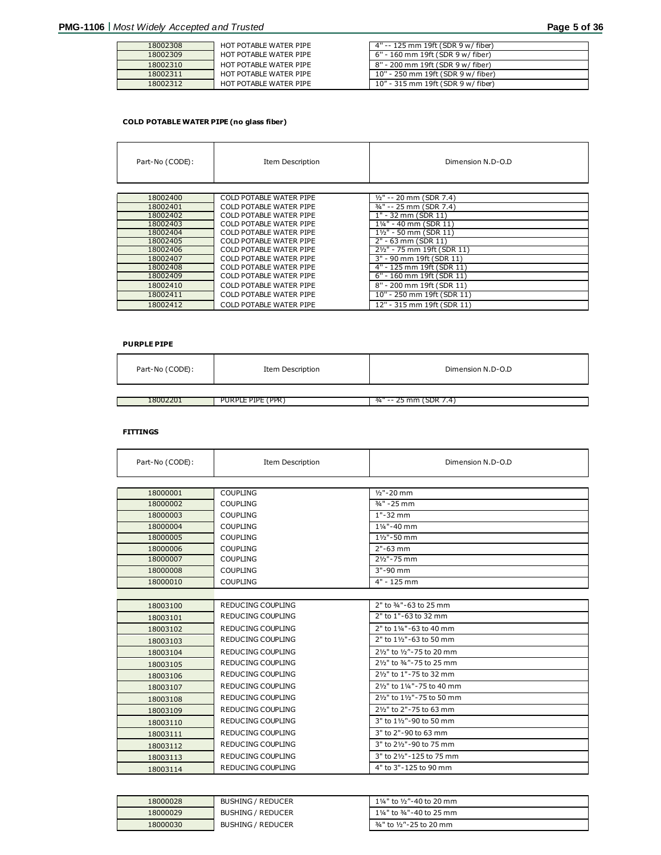| 18002308 | HOT POTABLE WATER PIPE | 4" -- 125 mm 19ft (SDR 9 w/ fiber) |
|----------|------------------------|------------------------------------|
| 18002309 | HOT POTABLE WATER PIPE | 6" - 160 mm 19ft (SDR 9 w/ fiber)  |
| 18002310 | HOT POTABLE WATER PIPE | 8" - 200 mm 19ft (SDR 9 w/ fiber)  |
| 18002311 | HOT POTABLE WATER PIPE | 10" - 250 mm 19ft (SDR 9 w/ fiber) |
| 18002312 | HOT POTABLE WATER PIPE | 10" - 315 mm 19ft (SDR 9 w/ fiber) |

#### **COLD POTABLE WATER PIPE (no glass fiber)**

| Part-No (CODE): | <b>Item Description</b>        | Dimension N.D-O.D           |
|-----------------|--------------------------------|-----------------------------|
|                 |                                |                             |
| 18002400        | <b>COLD POTABLE WATER PIPE</b> | $1/2$ " -- 20 mm (SDR 7.4)  |
| 18002401        | <b>COLD POTABLE WATER PIPE</b> | 3/4" -- 25 mm (SDR 7.4)     |
| 18002402        | <b>COLD POTABLE WATER PIPE</b> | 1" - 32 mm (SDR 11)         |
| 18002403        | <b>COLD POTABLE WATER PIPE</b> | 11/4" - 40 mm (SDR 11)      |
| 18002404        | <b>COLD POTABLE WATER PIPE</b> | 11/2" - 50 mm (SDR 11)      |
| 18002405        | COLD POTABLE WATER PIPE        | $2" - 63$ mm (SDR 11)       |
| 18002406        | COLD POTABLE WATER PIPE        | 21/2" - 75 mm 19ft (SDR 11) |
| 18002407        | COLD POTABLE WATER PIPE        | 3" - 90 mm 19ft (SDR 11)    |
| 18002408        | <b>COLD POTABLE WATER PIPE</b> | 4" - 125 mm 19ft (SDR 11)   |
| 18002409        | <b>COLD POTABLE WATER PIPE</b> | 6" - 160 mm 19ft (SDR 11)   |
| 18002410        | <b>COLD POTABLE WATER PIPE</b> | 8" - 200 mm 19ft (SDR 11)   |
| 18002411        | <b>COLD POTABLE WATER PIPE</b> | 10" - 250 mm 19ft (SDR 11)  |
| 18002412        | <b>COLD POTABLE WATER PIPE</b> | 12" - 315 mm 19ft (SDR 11)  |

#### **PURPLE PIPE**

| Part-No (CODE): | Item Description  | Dimension N.D-O.D      |
|-----------------|-------------------|------------------------|
|                 |                   |                        |
| 18002201        | PURPLE PIPE (PPR) | 34" -- 25 mm (SDR 7.4) |

#### **FITTINGS**

| Part-No (CODE): | Item Description         | Dimension N.D-O.D          |
|-----------------|--------------------------|----------------------------|
|                 |                          |                            |
| 18000001        | <b>COUPLING</b>          | $1/2$ "-20 mm              |
| 18000002        | <b>COUPLING</b>          | $\frac{3}{4}$ " - 25 mm    |
| 18000003        | <b>COUPLING</b>          | $1" - 32$ mm               |
| 18000004        | <b>COUPLING</b>          | 11/4"-40 mm                |
| 18000005        | <b>COUPLING</b>          | 11/2"-50 mm                |
| 18000006        | <b>COUPLING</b>          | $2" - 63$ mm               |
| 18000007        | <b>COUPLING</b>          | 21/2"-75 mm                |
| 18000008        | <b>COUPLING</b>          | 3"-90 mm                   |
| 18000010        | <b>COUPLING</b>          | 4" - 125 mm                |
|                 |                          |                            |
| 18003100        | REDUCING COUPLING        | 2" to 3/4"-63 to 25 mm     |
| 18003101        | REDUCING COUPLING        | 2" to 1"-63 to 32 mm       |
| 18003102        | REDUCING COUPLING        | 2" to 11/4"-63 to 40 mm    |
| 18003103        | REDUCING COUPLING        | 2" to 11/2"-63 to 50 mm    |
| 18003104        | REDUCING COUPLING        | 21/2" to 1/2"-75 to 20 mm  |
| 18003105        | REDUCING COUPLING        | 21/2" to 3/4"-75 to 25 mm  |
| 18003106        | REDUCING COUPLING        | 21/2" to 1"-75 to 32 mm    |
| 18003107        | REDUCING COUPLING        | 21/2" to 11/4"-75 to 40 mm |
| 18003108        | REDUCING COUPLING        | 21/2" to 11/2"-75 to 50 mm |
| 18003109        | REDUCING COUPLING        | 21/2" to 2"-75 to 63 mm    |
| 18003110        | REDUCING COUPLING        | 3" to 11/2"-90 to 50 mm    |
| 18003111        | REDUCING COUPLING        | 3" to 2"-90 to 63 mm       |
| 18003112        | REDUCING COUPLING        | 3" to 21/2"-90 to 75 mm    |
| 18003113        | <b>REDUCING COUPLING</b> | 3" to 21/2" - 125 to 75 mm |
| 18003114        | REDUCING COUPLING        | 4" to 3"-125 to 90 mm      |

| 18000028 | <b>BUSHING / REDUCER</b> | 11⁄4" to 1⁄2"-40 to 20 mm |
|----------|--------------------------|---------------------------|
| 18000029 | <b>BUSHING / REDUCER</b> | 11/4" to 3/4"-40 to 25 mm |
| 18000030 | <b>BUSHING / REDUCER</b> | 3/4" to 1/2"-25 to 20 mm  |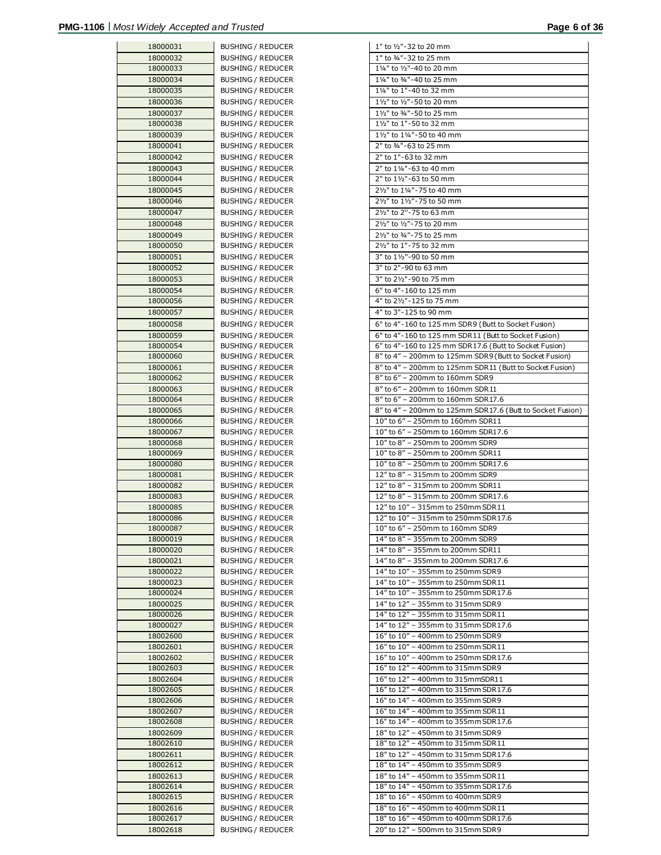| 18000031 | <b>BUSHING / REDUCER</b> | 1" to 1/2"-32 to 20 mm                  |
|----------|--------------------------|-----------------------------------------|
| 18000032 | <b>BUSHING / REDUCER</b> | 1" to 3/4"-32 to 25 mm                  |
| 18000033 | <b>BUSHING / REDUCER</b> | 11/4" to 1/2"-40 to 20 mm               |
| 18000034 | <b>BUSHING / REDUCER</b> | 11/4" to 3/4"-40 to 25 mm               |
| 18000035 |                          | 11/4" to 1"-40 to 32 mm                 |
|          | <b>BUSHING / REDUCER</b> |                                         |
| 18000036 | <b>BUSHING / REDUCER</b> | 11/2" to 1/2"-50 to 20 mm               |
| 18000037 | <b>BUSHING / REDUCER</b> | 11/2" to 3/4"-50 to 25 mm               |
| 18000038 | <b>BUSHING / REDUCER</b> | 11/2" to 1"-50 to 32 mm                 |
| 18000039 | <b>BUSHING / REDUCER</b> | 11/2" to 11/4"-50 to 40 mm              |
| 18000041 | <b>BUSHING / REDUCER</b> | 2" to 3/4"-63 to 25 mm                  |
| 18000042 | <b>BUSHING / REDUCER</b> | 2" to 1"-63 to 32 mm                    |
| 18000043 | <b>BUSHING / REDUCER</b> | 2" to 11/4"-63 to 40 mm                 |
| 18000044 |                          | 2" to 11/2"-63 to 50 mm                 |
|          | BUSHING / REDUCER        |                                         |
| 18000045 | <b>BUSHING / REDUCER</b> | 21/2" to 11/4"-75 to 40 mm              |
| 18000046 | <b>BUSHING / REDUCER</b> | 21/2" to 11/2"-75 to 50 mm              |
| 18000047 | <b>BUSHING / REDUCER</b> | 21/2" to 2"-75 to 63 mm                 |
| 18000048 | <b>BUSHING / REDUCER</b> | 21/2" to 1/2"-75 to 20 mm               |
| 18000049 | <b>BUSHING / REDUCER</b> | 21/2" to 3/4"-75 to 25 mm               |
| 18000050 | <b>BUSHING / REDUCER</b> | 21/2" to 1"-75 to 32 mm                 |
| 18000051 | <b>BUSHING / REDUCER</b> | 3" to 11/2"-90 to 50 mm                 |
| 18000052 | <b>BUSHING / REDUCER</b> | 3" to 2"-90 to 63 mm                    |
|          |                          | 3" to 21/2"-90 to 75 mm                 |
| 18000053 | <b>BUSHING / REDUCER</b> |                                         |
| 18000054 | <b>BUSHING / REDUCER</b> | 6" to 4"-160 to 125 mm                  |
| 18000056 | <b>BUSHING / REDUCER</b> | 4" to 21/2"-125 to 75 mm                |
| 18000057 | <b>BUSHING / REDUCER</b> | 4" to 3"-125 to 90 mm                   |
| 18000058 | <b>BUSHING / REDUCER</b> | 6" to 4"-160 to 125 mm SDR9 (Butt to S  |
| 18000059 | <b>BUSHING / REDUCER</b> | 6" to 4"-160 to 125 mm SDR11 (Butt to 9 |
| 18000054 | <b>BUSHING / REDUCER</b> | 6" to 4"-160 to 125 mm SDR17.6 (Butt to |
| 18000060 | <b>BUSHING / REDUCER</b> | 8" to 4" - 200mm to 125mm SDR9 (Butt    |
| 18000061 | <b>BUSHING / REDUCER</b> | 8" to 4" - 200mm to 125mm SDR11 (But    |
| 18000062 | <b>BUSHING / REDUCER</b> | 8" to 6" - 200mm to 160mm SDR9          |
| 18000063 | <b>BUSHING / REDUCER</b> | 8" to 6" - 200mm to 160mm SDR11         |
| 18000064 | <b>BUSHING / REDUCER</b> | 8" to 6" - 200mm to 160mm SDR 17.6      |
|          |                          |                                         |
| 18000065 | <b>BUSHING / REDUCER</b> | 8" to 4" - 200mm to 125mm SDR17.6 (E    |
| 18000066 | <b>BUSHING / REDUCER</b> | 10" to 6" - 250mm to 160mm SDR11        |
| 18000067 | <b>BUSHING / REDUCER</b> | 10" to 6" - 250mm to 160mm SDR17.6      |
| 18000068 | <b>BUSHING / REDUCER</b> | 10" to 8" - 250mm to 200mm SDR9         |
| 18000069 | <b>BUSHING / REDUCER</b> | 10" to 8" - 250mm to 200mm SDR11        |
| 18000080 | <b>BUSHING / REDUCER</b> | 10" to 8" - 250mm to 200mm SDR17.6      |
| 18000081 | <b>BUSHING / REDUCER</b> | 12" to 8" - 315mm to 200mm SDR9         |
| 18000082 | <b>BUSHING / REDUCER</b> | 12" to 8" - 315mm to 200mm SDR11        |
| 18000083 | <b>BUSHING / REDUCER</b> | 12" to 8" - 315mm to 200mm SDR17.6      |
| 18000085 | <b>BUSHING / REDUCER</b> | 12" to 10" - 315mm to 250mm SDR11       |
| 18000086 | <b>BUSHING / REDUCER</b> | 12" to 10" - 315mm to 250mm SDR17.6     |
| 18000087 | BUSHING / REDUCER        | 10" to 6" - 250mm to 160mm SDR9         |
| 18000019 | <b>BUSHING / REDUCER</b> | 14" to 8" - 355mm to 200mm SDR9         |
| 18000020 | <b>BUSHING / REDUCER</b> | 14" to 8" - 355mm to 200mm SDR11        |
| 18000021 | <b>BUSHING / REDUCER</b> | 14" to 8" - 355mm to 200mm SDR17.6      |
| 18000022 | <b>BUSHING / REDUCER</b> | 14" to 10" - 355mm to 250mm SDR9        |
| 18000023 | <b>BUSHING / REDUCER</b> | 14" to 10" - 355mm to 250mm SDR11       |
| 18000024 | <b>BUSHING / REDUCER</b> | 14" to 10" - 355mm to 250mm SDR17.6     |
|          | <b>BUSHING / REDUCER</b> | 14" to 12" - 355mm to 315mm SDR9        |
| 18000025 |                          |                                         |
| 18000026 | <b>BUSHING / REDUCER</b> | 14" to 12" - 355mm to 315mm SDR11       |
| 18000027 | BUSHING / REDUCER        | 14" to 12" - 355mm to 315mm SDR17.6     |
| 18002600 | <b>BUSHING / REDUCER</b> | 16" to 10" - 400mm to 250mm SDR9        |
| 18002601 | <b>BUSHING / REDUCER</b> | 16" to 10" - 400mm to 250mm SDR11       |
| 18002602 | <b>BUSHING / REDUCER</b> | 16" to 10" - 400mm to 250mm SDR17.6     |
| 18002603 | <b>BUSHING / REDUCER</b> | 16" to 12" - 400mm to 315mm SDR9        |
| 18002604 | <b>BUSHING / REDUCER</b> | 16" to 12" - 400mm to 315mmSDR11        |
| 18002605 | <b>BUSHING / REDUCER</b> | 16" to 12" - 400mm to 315mm SDR17.6     |
| 18002606 | <b>BUSHING / REDUCER</b> | 16" to 14" - 400mm to 355mm SDR9        |
| 18002607 | <b>BUSHING / REDUCER</b> | 16" to 14" - 400mm to 355mm SDR11       |
| 18002608 | <b>BUSHING / REDUCER</b> | 16" to 14" - 400mm to 355mm SDR17.6     |
| 18002609 | <b>BUSHING / REDUCER</b> | 18" to 12" - 450mm to 315mm SDR9        |
| 18002610 | <b>BUSHING / REDUCER</b> | 18" to 12" - 450mm to 315mm SDR11       |
| 18002611 | <b>BUSHING / REDUCER</b> | 18" to 12" - 450mm to 315mm SDR17.6     |
| 18002612 | <b>BUSHING / REDUCER</b> | 18" to 14" - 450mm to 355mm SDR9        |
| 18002613 | <b>BUSHING / REDUCER</b> | 18" to 14" - 450mm to 355mm SDR11       |
| 18002614 | <b>BUSHING / REDUCER</b> | 18" to 14" - 450mm to 355mm SDR17.6     |
| 18002615 | BUSHING / REDUCER        | 18" to 16" - 450mm to 400mm SDR9        |
|          |                          |                                         |
| 18002616 | <b>BUSHING / REDUCER</b> | 18" to 16" - 450mm to 400mm SDR11       |
| 18002617 | <b>BUSHING / REDUCER</b> | 18" to 16" - 450mm to 400mm SDR17.6     |
| 18002618 | <b>BUSHING / REDUCER</b> | 20" to 12" - 500mm to 315mm SDR9        |

| 18000031             | <b>BUSHING / REDUCER</b>                      | 1" to 1/2" - 32 to 20 mm                                                |
|----------------------|-----------------------------------------------|-------------------------------------------------------------------------|
| 18000032             | <b>BUSHING / REDUCER</b>                      | 1" to 3/4"-32 to 25 mm                                                  |
| 18000033             | BUSHING / REDUCER                             | 11/4" to 1/2"-40 to 20 mm                                               |
| 18000034             | <b>BUSHING / REDUCER</b>                      | 11/4" to 3/4"-40 to 25 mm                                               |
| 18000035             | <b>BUSHING / REDUCER</b>                      | 11/4" to 1"-40 to 32 mm                                                 |
| 18000036             | <b>BUSHING / REDUCER</b>                      | 11/2" to 1/2"-50 to 20 mm                                               |
| 18000037             | <b>BUSHING / REDUCER</b>                      | 11/2" to 3/4"-50 to 25 mm                                               |
| 18000038             | <b>BUSHING / REDUCER</b>                      | 11/2" to 1"-50 to 32 mm                                                 |
| 18000039             | <b>BUSHING / REDUCER</b>                      | 11/2" to 11/4" - 50 to 40 mm                                            |
| 18000041             | <b>BUSHING / REDUCER</b>                      | 2" to 3/4"-63 to 25 mm                                                  |
|                      |                                               |                                                                         |
| 18000042             | <b>BUSHING / REDUCER</b>                      | 2" to 1"-63 to 32 mm                                                    |
| 18000043             | <b>BUSHING / REDUCER</b>                      | 2" to 11/4"-63 to 40 mm                                                 |
| 18000044             | BUSHING / REDUCER                             | 2" to 11/2"-63 to 50 mm                                                 |
| 18000045             | BUSHING / REDUCER                             | 21/2" to 11/4" - 75 to 40 mm                                            |
| 18000046             | <b>BUSHING / REDUCER</b>                      | 21/2" to 11/2" - 75 to 50 mm                                            |
| 18000047             | <b>BUSHING / REDUCER</b>                      | 21/2" to 2"-75 to 63 mm                                                 |
| 18000048             | <b>BUSHING / REDUCER</b>                      | 21/2" to 1/2"-75 to 20 mm                                               |
| 18000049             | <b>BUSHING / REDUCER</b>                      | 21/2" to 3/4"-75 to 25 mm                                               |
| 18000050             | <b>BUSHING / REDUCER</b>                      | 21/2" to 1"-75 to 32 mm                                                 |
| 18000051             | <b>BUSHING / REDUCER</b>                      | 3" to 11/2"-90 to 50 mm                                                 |
| 18000052             | <b>BUSHING / REDUCER</b>                      | 3" to 2"-90 to 63 mm                                                    |
| 18000053             | <b>BUSHING / REDUCER</b>                      | 3" to 21/2"-90 to 75 mm                                                 |
| 18000054             | <b>BUSHING / REDUCER</b>                      | 6" to 4"-160 to 125 mm                                                  |
| 18000056             | <b>BUSHING / REDUCER</b>                      | 4" to 21/2" - 125 to 75 mm                                              |
| 18000057             | <b>BUSHING / REDUCER</b>                      | 4" to 3"-125 to 90 mm                                                   |
| 18000058             | <b>BUSHING / REDUCER</b>                      | 6" to 4"-160 to 125 mm SDR9 (Butt to Socket Fusion)                     |
| 18000059             | <b>BUSHING / REDUCER</b>                      | 6" to 4"-160 to 125 mm SDR11 (Butt to Socket Fusion)                    |
| 18000054             | <b>BUSHING / REDUCER</b>                      | 6" to 4"-160 to 125 mm SDR17.6 (Butt to Socket Fusion)                  |
| 18000060             | BUSHING / REDUCER                             | 8" to 4" - 200mm to 125mm SDR9 (Butt to Socket Fusion)                  |
| 18000061             | <b>BUSHING / REDUCER</b>                      | 8" to 4" - 200mm to 125mm SDR11 (Butt to Socket Fusion)                 |
| 18000062             | BUSHING / REDUCER                             | 8" to 6" - 200mm to 160mm SDR9                                          |
| 18000063             | <b>BUSHING / REDUCER</b>                      | 8" to 6" - 200mm to 160mm SDR11                                         |
| 18000064             | <b>BUSHING / REDUCER</b>                      | 8" to 6" - 200mm to 160mm SDR 17.6                                      |
| 18000065             | <b>BUSHING / REDUCER</b>                      | 8" to 4" - 200mm to 125mm SDR17.6 (Butt to Socket Fusion)               |
| 18000066             | <b>BUSHING / REDUCER</b>                      | 10" to 6" - 250mm to 160mm SDR11                                        |
| 18000067             | <b>BUSHING / REDUCER</b>                      | 10" to 6" - 250mm to 160mm SDR17.6                                      |
| 18000068             | <b>BUSHING / REDUCER</b>                      | 10" to 8" - 250mm to 200mm SDR9                                         |
| 18000069             | BUSHING / REDUCER                             | 10" to 8" - 250mm to 200mm SDR11                                        |
| 18000080             | <b>BUSHING / REDUCER</b>                      | 10" to 8" - 250mm to 200mm SDR17.6                                      |
| 18000081             | <b>BUSHING / REDUCER</b>                      | 12" to 8" - 315mm to 200mm SDR9                                         |
| 18000082             | <b>BUSHING / REDUCER</b>                      | 12" to 8" - 315mm to 200mm SDR11                                        |
| 18000083             | <b>BUSHING / REDUCER</b>                      | 12" to 8" - 315mm to 200mm SDR17.6                                      |
| 18000085             | <b>BUSHING / REDUCER</b>                      | 12" to 10" - 315mm to 250mm SDR11                                       |
| 18000086             | <b>BUSHING / REDUCER</b>                      | 12" to 10" - 315mm to 250mm SDR17.6                                     |
| 18000087             | BUSHING / REDUCER                             | 10" to 6" - 250mm to 160mm SDR9                                         |
| 18000019             | <b>BUSHING / REDUCER</b>                      | 14" to 8" - 355mm to 200mm SDR9                                         |
| 18000020             | <b>BUSHING / REDUCER</b>                      | 14" to 8" - 355mm to 200mm SDR11                                        |
| 18000021             | <b>BUSHING / REDUCER</b>                      | 14" to 8" - 355mm to 200mm SDR17.6                                      |
| 18000022             | <b>BUSHING / REDUCER</b>                      | 14" to 10" - 355mm to 250mm SDR9                                        |
| 18000023             | <b>BUSHING / REDUCER</b>                      | 14" to 10" - 355mm to 250mm SDR11                                       |
| 18000024             | BUSHING / REDUCER                             | 14" to 10" - 355mm to 250mm SDR17.6                                     |
| 18000025             | <b>BUSHING / REDUCER</b>                      | 14" to 12" - 355mm to 315mm SDR9                                        |
| 18000026             | <b>BUSHING / REDUCER</b>                      | 14" to 12" - 355mm to 315mm SDR11                                       |
| 18000027             | <b>BUSHING / REDUCER</b>                      | 14" to 12" - 355mm to 315mm SDR17.6                                     |
| 18002600             | BUSHING / REDUCER                             | 16" to 10" - 400mm to 250mm SDR9                                        |
| 18002601             | <b>BUSHING / REDUCER</b>                      | 16" to 10" - 400mm to 250mm SDR11                                       |
|                      |                                               | 16" to 10" - 400mm to 250mm SDR17.6                                     |
| 18002602<br>18002603 | <b>BUSHING / REDUCER</b>                      | 16" to 12" - 400mm to 315mm SDR9                                        |
|                      | BUSHING / REDUCER                             |                                                                         |
| 18002604             | <b>BUSHING / REDUCER</b>                      | 16" to 12" - 400mm to 315mmSDR11<br>16" to 12" - 400mm to 315mm SDR17.6 |
| 18002605             | <b>BUSHING / REDUCER</b><br>BUSHING / REDUCER | 16" to 14" - 400mm to 355mm SDR9                                        |
| 18002606             |                                               |                                                                         |
| 18002607             | <b>BUSHING / REDUCER</b>                      | 16" to 14" - 400mm to 355mm SDR11                                       |
| 18002608             | BUSHING / REDUCER                             | 16" to 14" - 400mm to 355mm SDR17.6                                     |
| 18002609             | <b>BUSHING / REDUCER</b>                      | 18" to 12" - 450mm to 315mm SDR9                                        |
| 18002610             | <b>BUSHING / REDUCER</b>                      | 18" to 12" - 450mm to 315mm SDR11                                       |
| 18002611             | <b>BUSHING / REDUCER</b>                      | 18" to 12" - 450mm to 315mm SDR17.6                                     |
| 18002612             | BUSHING / REDUCER                             | 18" to 14" - 450mm to 355mm SDR9                                        |
| 18002613             | <b>BUSHING / REDUCER</b>                      | 18" to 14" - 450mm to 355mm SDR11                                       |
| 18002614             | <b>BUSHING / REDUCER</b>                      | 18" to 14" - 450mm to 355mm SDR17.6                                     |
| 18002615             | BUSHING / REDUCER                             | 18" to 16" - 450mm to 400mm SDR9                                        |
| 18002616             | <b>BUSHING / REDUCER</b>                      | 18" to 16" - 450mm to 400mm SDR11                                       |
| 18002617             | BUSHING / REDUCER                             | 18" to 16" - 450mm to 400mm SDR17.6                                     |
| 18002618             | <b>BUSHING / REDUCER</b>                      | 20" to 12" - 500mm to 315mm SDR9                                        |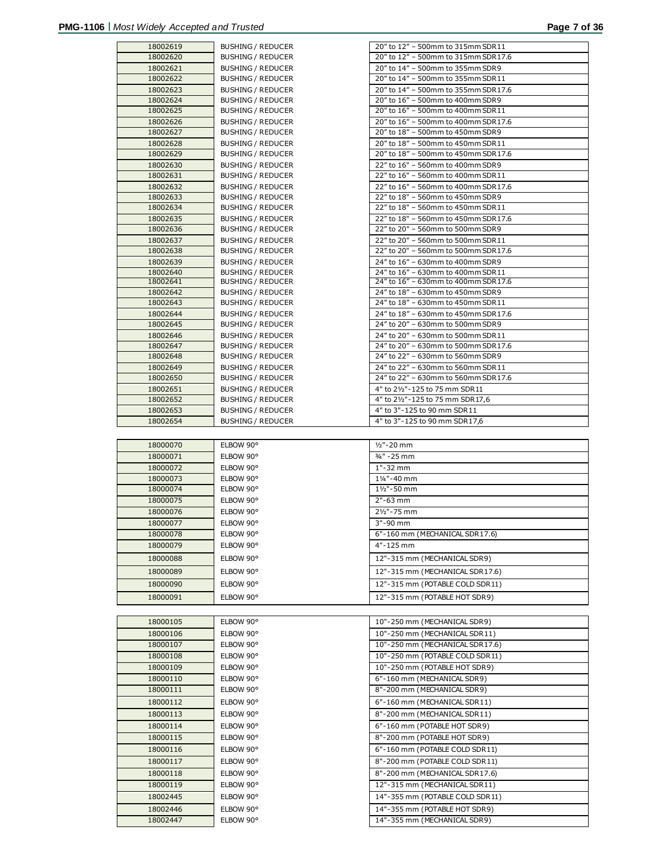|                      | <b>BUSHING / REDUCER</b> | 20" to 12" - 500mm to 315mm SDR11                             |
|----------------------|--------------------------|---------------------------------------------------------------|
| 18002620             | BUSHING / REDUCER        | 20" to 12" - 500mm to 315mm SDR17.6                           |
| 18002621             | <b>BUSHING / REDUCER</b> | 20" to 14" - 500mm to 355mm SDR9                              |
| 18002622             | <b>BUSHING / REDUCER</b> | 20" to 14" - 500mm to 355mm SDR11                             |
| 18002623             | <b>BUSHING / REDUCER</b> | 20" to 14" - 500mm to 355mm SDR17.6                           |
| 18002624             |                          | 20" to 16" - 500mm to 400mm SDR9                              |
|                      | <b>BUSHING / REDUCER</b> |                                                               |
| 18002625             | <b>BUSHING / REDUCER</b> | 20" to 16" - 500mm to 400mm SDR11                             |
| 18002626             | <b>BUSHING / REDUCER</b> | 20" to 16" - 500mm to 400mm SDR17.6                           |
| 18002627             | <b>BUSHING / REDUCER</b> | 20" to 18" - 500mm to 450mm SDR9                              |
| 18002628             | <b>BUSHING / REDUCER</b> | 20" to 18" - 500mm to 450mm SDR11                             |
| 18002629             | <b>BUSHING / REDUCER</b> | 20" to 18" - 500mm to 450mm SDR17.6                           |
| 18002630             | <b>BUSHING / REDUCER</b> | 22" to 16" - 560mm to 400mm SDR9                              |
| 18002631             | BUSHING / REDUCER        | 22" to 16" - 560mm to 400mm SDR11                             |
| 18002632             | <b>BUSHING / REDUCER</b> | 22" to 16" - 560mm to 400mm SDR17.6                           |
| 18002633             | <b>BUSHING / REDUCER</b> | 22" to 18" - 560mm to 450mm SDR9                              |
|                      |                          |                                                               |
| 18002634             | BUSHING / REDUCER        | 22" to 18" - 560mm to 450mm SDR11                             |
| 18002635             | <b>BUSHING / REDUCER</b> | 22" to 18" - 560mm to 450mm SDR17.6                           |
| 18002636             | BUSHING / REDUCER        | 22" to 20" - 560mm to 500mm SDR9                              |
| 18002637             | <b>BUSHING / REDUCER</b> | 22" to 20" - 560mm to 500mm SDR11                             |
| 18002638             | <b>BUSHING / REDUCER</b> | 22" to 20" - 560mm to 500mm SDR17.6                           |
| 18002639             | <b>BUSHING / REDUCER</b> | 24" to 16" - 630mm to 400mm SDR9                              |
| 18002640             | <b>BUSHING / REDUCER</b> | 24" to 16" - 630mm to 400mm SDR11                             |
| 18002641             | <b>BUSHING / REDUCER</b> | 24" to 16" - 630mm to 400mm SDR17.6                           |
| 18002642             | BUSHING / REDUCER        | 24" to 18" - 630mm to 450mm SDR9                              |
| 18002643             | <b>BUSHING / REDUCER</b> | 24" to 18" - 630mm to 450mm SDR11                             |
| 18002644             |                          | 24" to 18" - 630mm to 450mm SDR17.6                           |
|                      | <b>BUSHING / REDUCER</b> | 24" to 20" - 630mm to 500mm SDR9                              |
| 18002645             | <b>BUSHING / REDUCER</b> |                                                               |
| 18002646             | <b>BUSHING / REDUCER</b> | 24" to 20" - 630mm to 500mm SDR11                             |
| 18002647             | <b>BUSHING / REDUCER</b> | 24" to 20" - 630mm to 500mm SDR17.6                           |
| 18002648             | <b>BUSHING / REDUCER</b> | 24" to 22" - 630mm to 560mm SDR9                              |
| 18002649             | <b>BUSHING / REDUCER</b> | 24" to 22" - 630mm to 560mm SDR11                             |
| 18002650             | BUSHING / REDUCER        | 24" to 22" - 630mm to 560mm SDR17.6                           |
| 18002651             | <b>BUSHING / REDUCER</b> | 4" to 21/2"-125 to 75 mm SDR11                                |
| 18002652             | <b>BUSHING / REDUCER</b> | 4" to 21/2"-125 to 75 mm SDR17,6                              |
| 18002653             | <b>BUSHING / REDUCER</b> | 4" to 3"-125 to 90 mm SDR11                                   |
| 18002654             | <b>BUSHING / REDUCER</b> | 4" to 3"-125 to 90 mm SDR17,6                                 |
|                      |                          |                                                               |
|                      |                          |                                                               |
|                      |                          |                                                               |
| 18000070             | ELBOW 90°                | $1/2" - 20$ mm                                                |
| 18000071             | ELBOW 90°                | 3/4" - 25 mm                                                  |
| 18000072             | ELBOW 90°                | $1 - 32$ mm                                                   |
| 18000073             | ELBOW 90°                | 11/4"-40 mm                                                   |
| 18000074             | ELBOW 90°                | 11/2"-50 mm                                                   |
|                      |                          |                                                               |
| 18000075             | ELBOW 90°                | $2" - 63$ mm                                                  |
| 18000076             | ELBOW 90°                | 21/2"-75 mm                                                   |
| 18000077             | ELBOW 90°                | $3" - 90$ mm                                                  |
| 18000078             | ELBOW 90°                | 6"-160 mm (MECHANICAL SDR17.6)                                |
| 18000079             | ELBOW 90°                | 4"-125 mm                                                     |
| 18000088             | ELBOW 90°                | 12"-315 mm (MECHANICAL SDR9)                                  |
|                      |                          |                                                               |
| 18000089             | ELBOW 90°                | 12"-315 mm (MECHANICAL SDR17.6)                               |
| 18000090             | ELBOW 90°                | 12"-315 mm (POTABLE COLD SDR11)                               |
| 18000091             | ELBOW 90°                | 12"-315 mm (POTABLE HOT SDR9)                                 |
|                      |                          |                                                               |
|                      |                          |                                                               |
| 18000105             | ELBOW 90°                | 10"-250 mm (MECHANICAL SDR9)                                  |
| 18000106             | ELBOW 90°                | 10"-250 mm (MECHANICAL SDR11)                                 |
| 18000107             | ELBOW 90°                | 10"-250 mm (MECHANICAL SDR17.6)                               |
| 18000108             | ELBOW 90°                | 10"-250 mm (POTABLE COLD SDR11)                               |
| 18000109             | ELBOW 90°                | 10"-250 mm (POTABLE HOT SDR9)                                 |
|                      | ELBOW 90°                |                                                               |
| 18000110             |                          | 6"-160 mm (MECHANICAL SDR9)                                   |
| 18000111             | ELBOW 90°                | 8"-200 mm (MECHANICAL SDR9)                                   |
| 18000112             | ELBOW 90°                | 6"-160 mm (MECHANICAL SDR11)                                  |
| 18000113             | ELBOW 90°                | 8"-200 mm (MECHANICAL SDR11)                                  |
| 18000114             | ELBOW 90°                | 6"-160 mm (POTABLE HOT SDR9)                                  |
| 18000115             | ELBOW 90°                | 8"-200 mm (POTABLE HOT SDR9)                                  |
|                      |                          |                                                               |
| 18000116             | ELBOW 90°                | 6"-160 mm (POTABLE COLD SDR11)                                |
| 18000117             | ELBOW 90°                | 8"-200 mm (POTABLE COLD SDR11)                                |
| 18000118             | ELBOW 90°                | 8"-200 mm (MECHANICAL SDR17.6)                                |
| 18000119             | ELBOW 90°                | 12"-315 mm (MECHANICAL SDR11)                                 |
| 18002445             | ELBOW 90°                | 14"-355 mm (POTABLE COLD SDR11)                               |
|                      |                          |                                                               |
| 18002446<br>18002447 | ELBOW 90°<br>ELBOW 90°   | 14"-355 mm (POTABLE HOT SDR9)<br>14"-355 mm (MECHANICAL SDR9) |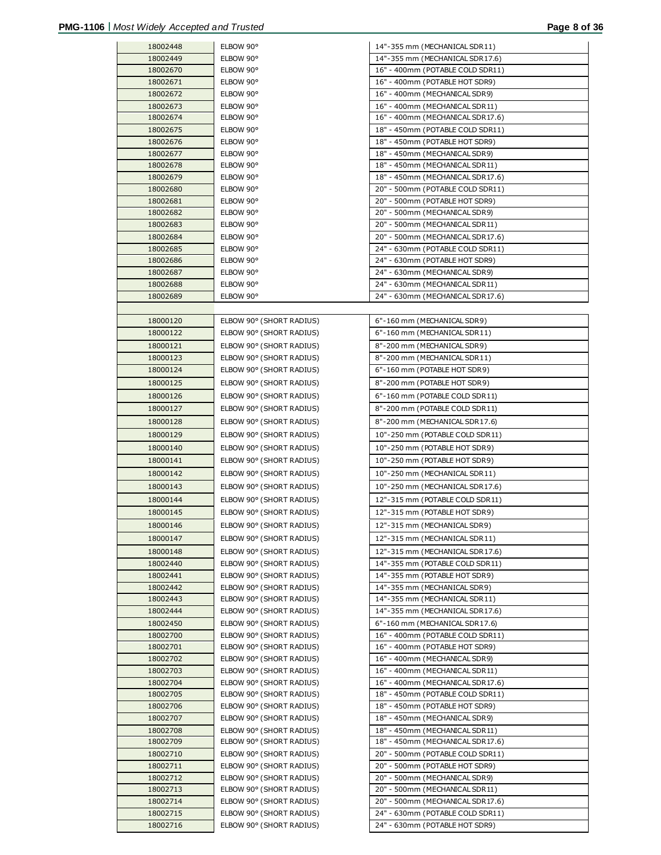| 18002448             | ELBOW 90°                                            | 14"-355 mm (MECHANICAL SDR11)                                      |
|----------------------|------------------------------------------------------|--------------------------------------------------------------------|
| 18002449             | ELBOW 90°                                            | 14"-355 mm (MECHANICAL SDR17.6)                                    |
| 18002670             | ELBOW 90°                                            | 16" - 400mm (POTABLE COLD SDR11)                                   |
| 18002671             | ELBOW 90°                                            | 16" - 400mm (POTABLE HOT SDR9)                                     |
| 18002672             | ELBOW 90°                                            | 16" - 400mm (MECHANICAL SDR9)                                      |
| 18002673             | ELBOW 90°                                            | 16" - 400mm (MECHANICAL SDR11)                                     |
| 18002674             | ELBOW 90°                                            | 16" - 400mm (MECHANICAL SDR17.6)                                   |
| 18002675             | ELBOW 90°                                            |                                                                    |
|                      |                                                      | 18" - 450mm (POTABLE COLD SDR11)                                   |
| 18002676             | ELBOW 90°                                            | 18" - 450mm (POTABLE HOT SDR9)                                     |
| 18002677             | ELBOW 90°                                            | 18" - 450mm (MECHANICAL SDR9)                                      |
| 18002678             | ELBOW 90°                                            | 18" - 450mm (MECHANICAL SDR11)                                     |
| 18002679             | ELBOW 90°                                            | 18" - 450mm (MECHANICAL SDR17.6)                                   |
| 18002680             | ELBOW 90°                                            | 20" - 500mm (POTABLE COLD SDR11)                                   |
| 18002681             | ELBOW 90°                                            | 20" - 500mm (POTABLE HOT SDR9)                                     |
| 18002682             | ELBOW 90°                                            | 20" - 500mm (MECHANICAL SDR9)                                      |
| 18002683             | ELBOW 90°                                            | 20" - 500mm (MECHANICAL SDR11)                                     |
| 18002684             | ELBOW 90°                                            | 20" - 500mm (MECHANICAL SDR17.6)                                   |
| 18002685             | ELBOW 90°                                            | 24" - 630mm (POTABLE COLD SDR11)                                   |
| 18002686             | ELBOW 90°                                            | 24" - 630mm (POTABLE HOT SDR9)                                     |
| 18002687             | ELBOW 90°                                            | 24" - 630mm (MECHANICAL SDR9)                                      |
| 18002688             | ELBOW 90°                                            | 24" - 630mm (MECHANICAL SDR11)                                     |
| 18002689             | ELBOW 90°                                            | 24" - 630mm (MECHANICAL SDR17.6)                                   |
|                      |                                                      |                                                                    |
| 18000120             | ELBOW 90° (SHORT RADIUS)                             | 6"-160 mm (MECHANICAL SDR9)                                        |
| 18000122             | ELBOW 90° (SHORT RADIUS)                             | 6"-160 mm (MECHANICAL SDR11)                                       |
| 18000121             | ELBOW 90° (SHORT RADIUS)                             | 8"-200 mm (MECHANICAL SDR9)                                        |
| 18000123             | ELBOW 90° (SHORT RADIUS)                             | 8"-200 mm (MECHANICAL SDR11)                                       |
| 18000124             | ELBOW 90° (SHORT RADIUS)                             | 6"-160 mm (POTABLE HOT SDR9)                                       |
| 18000125             | ELBOW 90° (SHORT RADIUS)                             | 8"-200 mm (POTABLE HOT SDR9)                                       |
| 18000126             | ELBOW 90° (SHORT RADIUS)                             | 6"-160 mm (POTABLE COLD SDR11)                                     |
| 18000127             |                                                      |                                                                    |
|                      | ELBOW 90° (SHORT RADIUS)                             | 8"-200 mm (POTABLE COLD SDR11)                                     |
| 18000128             | ELBOW 90° (SHORT RADIUS)                             | 8"-200 mm (MECHANICAL SDR17.6)                                     |
| 18000129             | ELBOW 90° (SHORT RADIUS)                             | 10"-250 mm (POTABLE COLD SDR11)                                    |
| 18000140             | ELBOW 90° (SHORT RADIUS)                             | 10"-250 mm (POTABLE HOT SDR9)                                      |
| 18000141             | ELBOW 90° (SHORT RADIUS)                             | 10"-250 mm (POTABLE HOT SDR9)                                      |
| 18000142             | ELBOW 90° (SHORT RADIUS)                             | 10"-250 mm (MECHANICAL SDR11)                                      |
| 18000143             | ELBOW 90° (SHORT RADIUS)                             | 10"-250 mm (MECHANICAL SDR17.6)                                    |
| 18000144             | ELBOW 90° (SHORT RADIUS)                             | 12"-315 mm (POTABLE COLD SDR11)                                    |
| 18000145             | ELBOW 90° (SHORT RADIUS)                             | 12"-315 mm (POTABLE HOT SDR9)                                      |
| 18000146             | ELBOW 90° (SHORT RADIUS)                             | 12"-315 mm (MECHANICAL SDR9)                                       |
| 18000147             | ELBOW 90° (SHORT RADIUS)                             | 12"-315 mm (MECHANICAL SDR11)                                      |
| 18000148             | ELBOW 90° (SHORT RADIUS)                             | 12"-315 mm (MECHANICAL SDR17.6)                                    |
| 18002440             | ELBOW 90° (SHORT RADIUS)                             | 14"-355 mm (POTABLE COLD SDR11)                                    |
| 18002441             | ELBOW 90° (SHORT RADIUS)                             | 14"-355 mm (POTABLE HOT SDR9)                                      |
| 18002442             | ELBOW 90° (SHORT RADIUS)                             | 14"-355 mm (MECHANICAL SDR9)                                       |
| 18002443             | ELBOW 90° (SHORT RADIUS)                             | 14"-355 mm (MECHANICAL SDR11)                                      |
| 18002444             | ELBOW 90° (SHORT RADIUS)                             | 14"-355 mm (MECHANICAL SDR17.6)                                    |
| 18002450             | ELBOW 90° (SHORT RADIUS)                             | 6"-160 mm (MECHANICAL SDR17.6)                                     |
| 18002700             | ELBOW 90° (SHORT RADIUS)                             | 16" - 400mm (POTABLE COLD SDR11)                                   |
| 18002701             | ELBOW 90° (SHORT RADIUS)                             | 16" - 400mm (POTABLE HOT SDR9)                                     |
|                      |                                                      | 16" - 400mm (MECHANICAL SDR9)                                      |
| 18002702             | ELBOW 90° (SHORT RADIUS)                             |                                                                    |
| 18002703<br>18002704 | ELBOW 90° (SHORT RADIUS)<br>ELBOW 90° (SHORT RADIUS) | 16" - 400mm (MECHANICAL SDR11)<br>16" - 400mm (MECHANICAL SDR17.6) |
|                      |                                                      |                                                                    |
| 18002705             | ELBOW 90° (SHORT RADIUS)                             | 18" - 450mm (POTABLE COLD SDR11)                                   |
| 18002706             | ELBOW 90° (SHORT RADIUS)                             | 18" - 450mm (POTABLE HOT SDR9)                                     |
| 18002707             | ELBOW 90° (SHORT RADIUS)                             | 18" - 450mm (MECHANICAL SDR9)                                      |
| 18002708             | ELBOW 90° (SHORT RADIUS)                             | 18" - 450mm (MECHANICAL SDR11)                                     |
| 18002709             | ELBOW 90° (SHORT RADIUS)                             | 18" - 450mm (MECHANICAL SDR17.6)                                   |
| 18002710             | ELBOW 90° (SHORT RADIUS)                             | 20" - 500mm (POTABLE COLD SDR11)                                   |
| 18002711             | ELBOW 90° (SHORT RADIUS)                             | 20" - 500mm (POTABLE HOT SDR9)                                     |
| 18002712             | ELBOW 90° (SHORT RADIUS)                             | 20" - 500mm (MECHANICAL SDR9)                                      |
| 18002713             | ELBOW 90° (SHORT RADIUS)                             | 20" - 500mm (MECHANICAL SDR11)                                     |
| 18002714             | ELBOW 90° (SHORT RADIUS)                             | 20" - 500mm (MECHANICAL SDR17.6)                                   |
| 18002715             | ELBOW 90° (SHORT RADIUS)                             | 24" - 630mm (POTABLE COLD SDR11)                                   |
| 18002716             | ELBOW 90° (SHORT RADIUS)                             | 24" - 630mm (POTABLE HOT SDR9)                                     |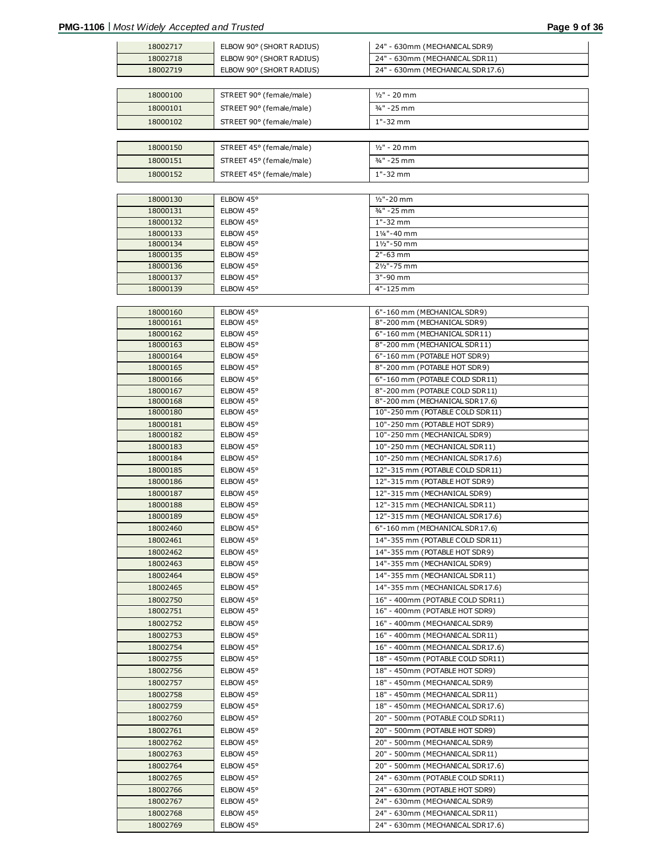| 18002717 | ELBOW 90° (SHORT RADIUS) | 24" - 630mm (MECHANICAL SDR9)    |
|----------|--------------------------|----------------------------------|
|          |                          |                                  |
| 18002718 | ELBOW 90° (SHORT RADIUS) | 24" - 630mm (MECHANICAL SDR11)   |
| 18002719 | ELBOW 90° (SHORT RADIUS) | 24" - 630mm (MECHANICAL SDR17.6) |
|          |                          |                                  |
| 18000100 | STREET 90° (female/male) | $1/2" - 20$ mm                   |
| 18000101 | STREET 90° (female/male) | 3/4" - 25 mm                     |
| 18000102 | STREET 90° (female/male) | 1"-32 mm                         |
|          |                          |                                  |
|          |                          |                                  |
| 18000150 | STREET 45° (female/male) | $1/2" - 20$ mm                   |
| 18000151 | STREET 45° (female/male) | 3/4" - 25 mm                     |
| 18000152 | STREET 45° (female/male) | 1"-32 mm                         |
|          |                          |                                  |
| 18000130 | ELBOW 45°                | $1/2" - 20$ mm                   |
| 18000131 | ELBOW 45°                | 3/4" - 25 mm                     |
| 18000132 | ELBOW 45°                | $1" - 32$ mm                     |
| 18000133 | ELBOW 45°                | 11/4"-40 mm                      |
| 18000134 | ELBOW 45°                | 11/2"-50 mm                      |
| 18000135 | ELBOW 45°                | $2" - 63$ mm                     |
| 18000136 | ELBOW 45°                | 21/2"-75 mm                      |
| 18000137 | ELBOW 45°                | 3"-90 mm                         |
| 18000139 | ELBOW 45°                | 4"-125 mm                        |
|          |                          |                                  |
| 18000160 | ELBOW 45°                | 6"-160 mm (MECHANICAL SDR9)      |
| 18000161 | ELBOW 45°                | 8"-200 mm (MECHANICAL SDR9)      |
| 18000162 | ELBOW 45°                | 6"-160 mm (MECHANICAL SDR11)     |
| 18000163 | ELBOW 45°                | 8"-200 mm (MECHANICAL SDR11)     |
| 18000164 |                          | 6"-160 mm (POTABLE HOT SDR9)     |
|          | ELBOW 45°                |                                  |
| 18000165 | ELBOW 45°                | 8"-200 mm (POTABLE HOT SDR9)     |
| 18000166 | ELBOW 45°                | 6"-160 mm (POTABLE COLD SDR11)   |
| 18000167 | ELBOW 45°                | 8"-200 mm (POTABLE COLD SDR11)   |
| 18000168 | ELBOW 45°                | 8"-200 mm (MECHANICAL SDR17.6)   |
| 18000180 | ELBOW 45°                | 10"-250 mm (POTABLE COLD SDR11)  |
| 18000181 | ELBOW 45°                | 10"-250 mm (POTABLE HOT SDR9)    |
| 18000182 | ELBOW 45°                | 10"-250 mm (MECHANICAL SDR9)     |
| 18000183 | ELBOW 45°                | 10"-250 mm (MECHANICAL SDR11)    |
| 18000184 | ELBOW 45°                | 10"-250 mm (MECHANICAL SDR17.6)  |
| 18000185 | ELBOW 45°                | 12"-315 mm (POTABLE COLD SDR11)  |
| 18000186 | ELBOW 45°                | 12"-315 mm (POTABLE HOT SDR9)    |
| 18000187 | ELBOW 45°                | 12"-315 mm (MECHANICAL SDR9)     |
| 18000188 | ELBOW 45°                | 12"-315 mm (MECHANICAL SDR11)    |
| 18000189 | ELBOW 45°                | 12"-315 mm (MECHANICAL SDR17.6)  |
| 18002460 | ELBOW 45°                | 6"-160 mm (MECHANICAL SDR17.6)   |
| 18002461 | ELBOW 45°                | 14"-355 mm (POTABLE COLD SDR11)  |
| 18002462 | ELBOW 45°                | 14"-355 mm (POTABLE HOT SDR9)    |
| 18002463 |                          |                                  |
|          | ELBOW 45°                | 14"-355 mm (MECHANICAL SDR9)     |
| 18002464 | ELBOW 45°                | 14"-355 mm (MECHANICAL SDR11)    |
| 18002465 | ELBOW 45°                | 14"-355 mm (MECHANICAL SDR17.6)  |
| 18002750 | ELBOW 45°                | 16" - 400mm (POTABLE COLD SDR11) |
| 18002751 | ELBOW 45°                | 16" - 400mm (POTABLE HOT SDR9)   |
| 18002752 | ELBOW 45°                | 16" - 400mm (MECHANICAL SDR9)    |
| 18002753 | ELBOW 45°                | 16" - 400mm (MECHANICAL SDR11)   |
| 18002754 | ELBOW 45°                | 16" - 400mm (MECHANICAL SDR17.6) |
| 18002755 | ELBOW 45°                | 18" - 450mm (POTABLE COLD SDR11) |
| 18002756 | ELBOW 45°                | 18" - 450mm (POTABLE HOT SDR9)   |
| 18002757 | ELBOW 45°                | 18" - 450mm (MECHANICAL SDR9)    |
| 18002758 | ELBOW 45°                | 18" - 450mm (MECHANICAL SDR11)   |
| 18002759 | ELBOW 45°                | 18" - 450mm (MECHANICAL SDR17.6) |
|          |                          |                                  |
| 18002760 | ELBOW 45°                | 20" - 500mm (POTABLE COLD SDR11) |
| 18002761 | ELBOW 45°                | 20" - 500mm (POTABLE HOT SDR9)   |
| 18002762 | ELBOW 45°                | 20" - 500mm (MECHANICAL SDR9)    |
| 18002763 | ELBOW 45°                | 20" - 500mm (MECHANICAL SDR11)   |
| 18002764 | ELBOW 45°                | 20" - 500mm (MECHANICAL SDR17.6) |
| 18002765 | ELBOW 45°                | 24" - 630mm (POTABLE COLD SDR11) |
| 18002766 | ELBOW 45°                | 24" - 630mm (POTABLE HOT SDR9)   |
| 18002767 | ELBOW 45°                | 24" - 630mm (MECHANICAL SDR9)    |
| 18002768 | ELBOW 45°                | 24" - 630mm (MECHANICAL SDR11)   |
| 18002769 | ELBOW 45°                | 24" - 630mm (MECHANICAL SDR17.6) |
|          |                          |                                  |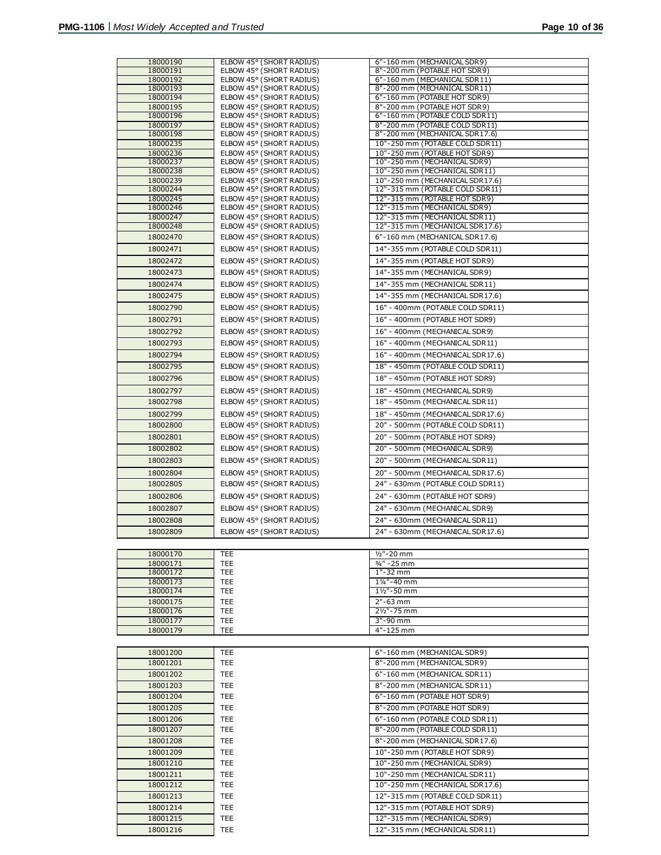| 18000179 | TEE        | 4"-125 mm                       |
|----------|------------|---------------------------------|
|          |            |                                 |
| 18001200 | TEE        | 6"-160 mm (MECHANICAL SDR9)     |
| 18001201 | TEE        | 8"-200 mm (MECHANICAL SDR9)     |
| 18001202 | TEE        | 6"-160 mm (MECHANICAL SDR11)    |
| 18001203 | TEE        | 8"-200 mm (MECHANICAL SDR11)    |
| 18001204 | <b>TEE</b> | 6"-160 mm (POTABLE HOT SDR9)    |
| 18001205 | <b>TEE</b> | 8"-200 mm (POTABLE HOT SDR9)    |
| 18001206 | <b>TEE</b> | 6"-160 mm (POTABLE COLD SDR11)  |
| 18001207 | <b>TEE</b> | 8"-200 mm (POTABLE COLD SDR11)  |
| 18001208 | <b>TEE</b> | 8"-200 mm (MECHANICAL SDR17.6)  |
| 18001209 | <b>TEE</b> | 10"-250 mm (POTABLE HOT SDR9)   |
| 18001210 | <b>TEE</b> | 10"-250 mm (MECHANICAL SDR9)    |
| 18001211 | <b>TEE</b> | 10"-250 mm (MECHANICAL SDR11)   |
| 18001212 | <b>TEE</b> | 10"-250 mm (MECHANICAL SDR17.6) |
| 18001213 | <b>TEE</b> | 12"-315 mm (POTABLE COLD SDR11) |
| 18001214 | <b>TEE</b> | 12"-315 mm (POTABLE HOT SDR9)   |
| 18001215 | <b>TEE</b> | 12"-315 mm (MECHANICAL SDR9)    |
| 18001216 | TEE        | 12"-315 mm (MECHANICAL SDR11)   |

| 18000170 | <b>TEE</b> | $1/2" - 20$ mm         |
|----------|------------|------------------------|
| 18000171 | TEE        | $3/4$ " - 25 mm        |
| 18000172 | <b>TEE</b> | $1 - 32$ mm            |
| 18000173 | TEE        | 11/4"-40 mm            |
| 18000174 | TEE        | $1\frac{1}{2}$ "-50 mm |
| 18000175 | TEE        | $2" - 63$ mm           |
| 18000176 | TEE        | $2\frac{1}{2}$ - 75 mm |
| 18000177 | TEE.       | $3" - 90$ mm           |
| 18000179 | TFF        | $4" - 125$ mm          |

| 18000190             | ELBOW 45° (SHORT RADIUS)                             | 6"-160 mm (MECHANICAL SDR9)                                   |
|----------------------|------------------------------------------------------|---------------------------------------------------------------|
| 18000191             | ELBOW 45° (SHORT RADIUS)                             | 8"-200 mm (POTABLE HOT SDR9)                                  |
| 18000192             | ELBOW 45° (SHORT RADIUS)                             | 6"-160 mm (MECHANICAL SDR11)                                  |
| 18000193<br>18000194 | ELBOW 45° (SHORT RADIUS)<br>ELBOW 45° (SHORT RADIUS) | 8"-200 mm (MECHANICAL SDR11)<br>6"-160 mm (POTABLE HOT SDR9)  |
| 18000195             | ELBOW 45° (SHORT RADIUS)                             | 8"-200 mm (POTABLE HOT SDR9)                                  |
| 18000196             | ELBOW 45° (SHORT RADIUS)                             | 6"-160 mm (POTABLE COLD SDR11)                                |
| 18000197             | ELBOW 45° (SHORT RADIUS)                             | 8"-200 mm (POTABLE COLD SDR11)                                |
| 18000198             | ELBOW 45° (SHORT RADIUS)                             | 8"-200 mm (MECHANICAL SDR17.6)                                |
| 18000235             | ELBOW 45° (SHORT RADIUS)                             | 10"-250 mm (POTABLE COLD SDR11)                               |
| 18000236             | ELBOW 45° (SHORT RADIUS)                             | 10"-250 mm (POTABLE HOT SDR9)                                 |
| 18000237             | ELBOW 45° (SHORT RADIUS)                             | 10"-250 mm (MECHANICAL SDR9)                                  |
| 18000238             | ELBOW 45° (SHORT RADIUS)                             | 10"-250 mm (MECHANICAL SDR11)                                 |
| 18000239             | ELBOW 45° (SHORT RADIUS)                             | 10"-250 mm (MECHANICAL SDR17.6)                               |
| 18000244             | ELBOW 45° (SHORT RADIUS)                             | 12"-315 mm (POTABLE COLD SDR11)                               |
| 18000245             | ELBOW 45° (SHORT RADIUS)                             | 12"-315 mm (POTABLE HOT SDR9)                                 |
| 18000246<br>18000247 | ELBOW 45° (SHORT RADIUS)<br>ELBOW 45° (SHORT RADIUS) | 12"-315 mm (MECHANICAL SDR9)<br>12"-315 mm (MECHANICAL SDR11) |
| 18000248             | ELBOW 45° (SHORT RADIUS)                             | 12"-315 mm (MECHANICAL SDR17.6)                               |
| 18002470             | ELBOW 45° (SHORT RADIUS)                             | 6"-160 mm (MECHANICAL SDR17.6)                                |
| 18002471             | ELBOW 45° (SHORT RADIUS)                             | 14"-355 mm (POTABLE COLD SDR11)                               |
| 18002472             | ELBOW 45° (SHORT RADIUS)                             | 14"-355 mm (POTABLE HOT SDR9)                                 |
| 18002473             | ELBOW 45° (SHORT RADIUS)                             | 14"-355 mm (MECHANICAL SDR9)                                  |
| 18002474             | ELBOW 45° (SHORT RADIUS)                             | 14"-355 mm (MECHANICAL SDR11)                                 |
| 18002475             | ELBOW 45° (SHORT RADIUS)                             | 14"-355 mm (MECHANICAL SDR17.6)                               |
| 18002790             | ELBOW 45° (SHORT RADIUS)                             | 16" - 400mm (POTABLE COLD SDR11)                              |
| 18002791             | ELBOW 45° (SHORT RADIUS)                             | 16" - 400mm (POTABLE HOT SDR9)                                |
| 18002792             | ELBOW 45° (SHORT RADIUS)                             | 16" - 400mm (MECHANICAL SDR9)                                 |
| 18002793             | ELBOW 45° (SHORT RADIUS)                             | 16" - 400mm (MECHANICAL SDR11)                                |
| 18002794             | ELBOW 45° (SHORT RADIUS)                             | 16" - 400mm (MECHANICAL SDR17.6)                              |
| 18002795             | ELBOW 45° (SHORT RADIUS)                             | 18" - 450mm (POTABLE COLD SDR11)                              |
| 18002796             | ELBOW 45° (SHORT RADIUS)                             | 18" - 450mm (POTABLE HOT SDR9)                                |
| 18002797             | ELBOW 45° (SHORT RADIUS)                             | 18" - 450mm (MECHANICAL SDR9)                                 |
| 18002798             | ELBOW 45° (SHORT RADIUS)                             | 18" - 450mm (MECHANICAL SDR11)                                |
| 18002799             | ELBOW 45° (SHORT RADIUS)                             | 18" - 450mm (MECHANICAL SDR17.6)                              |
| 18002800             | ELBOW 45° (SHORT RADIUS)                             | 20" - 500mm (POTABLE COLD SDR11)                              |
| 18002801             | ELBOW 45° (SHORT RADIUS)                             | 20" - 500mm (POTABLE HOT SDR9)                                |
| 18002802             | ELBOW 45° (SHORT RADIUS)                             | 20" - 500mm (MECHANICAL SDR9)                                 |
| 18002803             | ELBOW 45° (SHORT RADIUS)                             | 20" - 500mm (MECHANICAL SDR11)                                |
| 18002804             | ELBOW 45° (SHORT RADIUS)                             | 20" - 500mm (MECHANICAL SDR17.6)                              |
| 18002805             | ELBOW 45° (SHORT RADIUS)                             | 24" - 630mm (POTABLE COLD SDR11)                              |
| 18002806             | ELBOW 45° (SHORT RADIUS)                             | 24" - 630mm (POTABLE HOT SDR9)                                |
| 18002807             | ELBOW 45° (SHORT RADIUS)                             | 24" - 630mm (MECHANICAL SDR9)                                 |
| 18002808             | ELBOW 45° (SHORT RADIUS)                             | 24" - 630mm (MECHANICAL SDR11)                                |
| 18002809             | ELBOW 45° (SHORT RADIUS)                             | 24" - 630mm (MECHANICAL SDR17.6)                              |
|                      |                                                      |                                                               |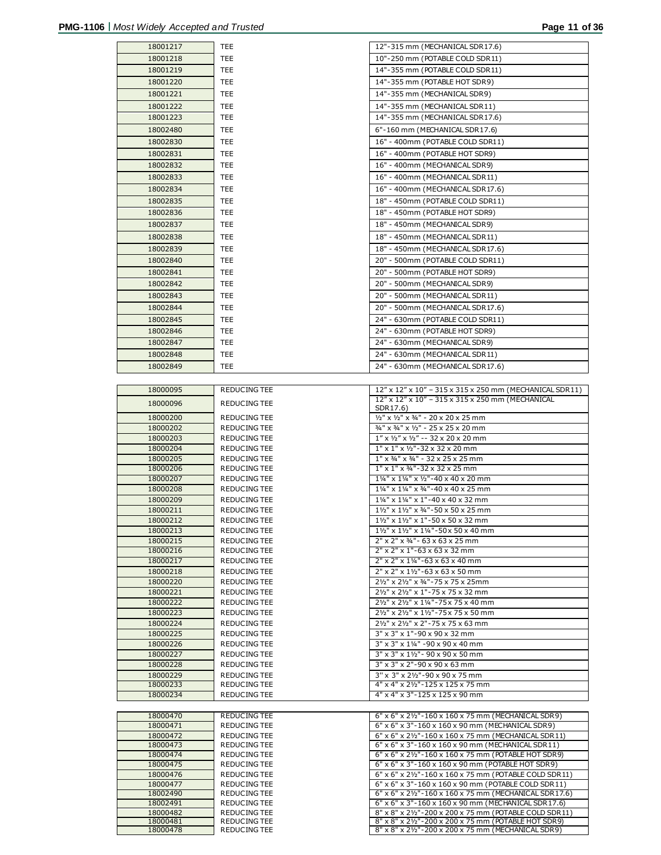|                      | TEE.                                | 12"-315 mm (MECHANICAL SDR17.6)                                                                               |
|----------------------|-------------------------------------|---------------------------------------------------------------------------------------------------------------|
| 18001218             | TEE                                 | 10"-250 mm (POTABLE COLD SDR11)                                                                               |
| 18001219             | TEE                                 | 14"-355 mm (POTABLE COLD SDR11)                                                                               |
| 18001220             | TEE                                 | 14"-355 mm (POTABLE HOT SDR9)                                                                                 |
| 18001221             | TEE                                 | 14"-355 mm (MECHANICAL SDR9)                                                                                  |
| 18001222             | TEE                                 | 14"-355 mm (MECHANICAL SDR11)                                                                                 |
| 18001223             | TEE                                 | 14"-355 mm (MECHANICAL SDR17.6)                                                                               |
| 18002480             | TEE                                 | 6"-160 mm (MECHANICAL SDR17.6)                                                                                |
|                      |                                     |                                                                                                               |
| 18002830             | TEE                                 | 16" - 400mm (POTABLE COLD SDR11)                                                                              |
| 18002831             | TEE                                 | 16" - 400mm (POTABLE HOT SDR9)                                                                                |
| 18002832             | TEE                                 | 16" - 400mm (MECHANICAL SDR9)                                                                                 |
| 18002833             | TEE                                 | 16" - 400mm (MECHANICAL SDR11)                                                                                |
| 18002834             | TEE                                 | 16" - 400mm (MECHANICAL SDR17.6)                                                                              |
| 18002835             | TEE                                 | 18" - 450mm (POTABLE COLD SDR11)                                                                              |
| 18002836             | TEE                                 | 18" - 450mm (POTABLE HOT SDR9)                                                                                |
| 18002837             | TEE                                 | 18" - 450mm (MECHANICAL SDR9)                                                                                 |
| 18002838             | TEE                                 | 18" - 450mm (MECHANICAL SDR11)                                                                                |
| 18002839             | TEE                                 | 18" - 450mm (MECHANICAL SDR17.6)                                                                              |
| 18002840             | TEE                                 | 20" - 500mm (POTABLE COLD SDR11)                                                                              |
| 18002841             | TEE                                 | 20" - 500mm (POTABLE HOT SDR9)                                                                                |
| 18002842             | TEE                                 | 20" - 500mm (MECHANICAL SDR9)                                                                                 |
| 18002843             | TEE                                 | 20" - 500mm (MECHANICAL SDR11)                                                                                |
| 18002844             | TEE                                 | 20" - 500mm (MECHANICAL SDR17.6)                                                                              |
| 18002845             | TEE                                 | 24" - 630mm (POTABLE COLD SDR11)                                                                              |
| 18002846             | TEE                                 | 24" - 630mm (POTABLE HOT SDR9)                                                                                |
| 18002847             | TEE                                 | 24" - 630mm (MECHANICAL SDR9)                                                                                 |
| 18002848             | TEE                                 | 24" - 630mm (MECHANICAL SDR11)                                                                                |
|                      |                                     |                                                                                                               |
| 18002849             | TEE                                 | 24" - 630mm (MECHANICAL SDR17.6)                                                                              |
|                      |                                     |                                                                                                               |
| 18000095             | <b>REDUCING TEE</b>                 | 12" x 12" x 10" - 315 x 315 x 250 mm (MECHANICAL SDR11)<br>12" x 12" x 10" - 315 x 315 x 250 mm (MECHANICAL   |
| 18000096             | <b>REDUCING TEE</b>                 | SDR17.6)                                                                                                      |
| 18000200             | REDUCING TEE                        | 1/2" x 1/2" x 3/4" - 20 x 20 x 25 mm                                                                          |
| 18000202             | REDUCING TEE                        | 3/4" x 3/4" x 1/2" - 25 x 25 x 20 mm                                                                          |
| 18000203             | REDUCING TEE                        | $1''$ x $1/2''$ x $1/2''$ -- 32 x 20 x 20 mm                                                                  |
| 18000204             | <b>REDUCING TEE</b>                 | 1" x 1" x 1/2"-32 x 32 x 20 mm                                                                                |
| 18000205             | <b>REDUCING TEE</b>                 | $1''$ x 3/4" x 3/4" - 32 x 25 x 25 mm                                                                         |
| 18000206<br>18000207 | REDUCING TEE<br><b>REDUCING TEE</b> | $1''$ x $1''$ x $3/4''$ -32 x 32 x 25 mm<br>11/4" x 11/4" x 1/2"-40 x 40 x 20 mm                              |
|                      |                                     |                                                                                                               |
|                      |                                     |                                                                                                               |
| 18000208             | <b>REDUCING TEE</b>                 | 11/4" x 11/4" x 3/4" - 40 x 40 x 25 mm                                                                        |
| 18000209<br>18000211 | REDUCING TEE<br>REDUCING TEE        | 11/4" x 11/4" x 1"-40 x 40 x 32 mm<br>11/2" x 11/2" x 3/4"-50 x 50 x 25 mm                                    |
| 18000212             | REDUCING TEE                        | 11/2" x 11/2" x 1"-50 x 50 x 32 mm                                                                            |
| 18000213             | <b>REDUCING TEE</b>                 | 11/2" x 11/2" x 11/4" - 50 x 50 x 40 mm                                                                       |
| 18000215             | <b>REDUCING TEE</b>                 | 2" x 2" x 34" - 63 x 63 x 25 mm                                                                               |
| 18000216             | REDUCING TEE                        | $2"$ x $2"$ x $1"$ -63 x 63 x 32 mm                                                                           |
| 18000217             | REDUCING TEE                        | $2"$ x $2"$ x $1\frac{1}{4}$ "-63 x 63 x 40 mm                                                                |
| 18000218             | <b>REDUCING TEE</b>                 | 2" x 2" x 11/2"-63 x 63 x 50 mm                                                                               |
| 18000220             | <b>REDUCING TEE</b>                 | 21/2" x 21/2" x 3/4"-75 x 75 x 25mm                                                                           |
| 18000221             | REDUCING TEE                        | 21/2" x 21/2" x 1"-75 x 75 x 32 mm                                                                            |
| 18000222             | <b>REDUCING TEE</b>                 | 21/2" x 21/2" x 11/4" - 75 x 75 x 40 mm                                                                       |
| 18000223             | REDUCING TEE                        | 21/2" x 21/2" x 11/2"-75 x 75 x 50 mm                                                                         |
| 18000224<br>18000225 | REDUCING TEE<br><b>REDUCING TEE</b> | 21/2" x 21/2" x 2"-75 x 75 x 63 mm<br>3" x 3" x 1"-90 x 90 x 32 mm                                            |
| 18000226             | REDUCING TEE                        | 3" x 3" x 11/4" - 90 x 90 x 40 mm                                                                             |
| 18000227             | <b>REDUCING TEE</b>                 | 3" x 3" x 11/2" - 90 x 90 x 50 mm                                                                             |
| 18000228             | REDUCING TEE                        | 3" x 3" x 2"-90 x 90 x 63 mm                                                                                  |
| 18000229             | <b>REDUCING TEE</b>                 | 3" x 3" x 21/2"-90 x 90 x 75 mm                                                                               |
| 18000233             | REDUCING TEE                        | 4" x 4" x 21/2"-125 x 125 x 75 mm                                                                             |
| 18000234             | REDUCING TEE                        | 4" x 4" x 3"-125 x 125 x 90 mm                                                                                |
|                      |                                     |                                                                                                               |
| 18000470             | REDUCING TEE                        | 6" x 6" x 21/2"-160 x 160 x 75 mm (MECHANICAL SDR9)                                                           |
| 18000471             | REDUCING TEE<br><b>REDUCING TEE</b> | 6" x 6" x 3"-160 x 160 x 90 mm (MECHANICAL SDR9)                                                              |
| 18000472<br>18000473 | <b>REDUCING TEE</b>                 | 6" x 6" x 21/2"-160 x 160 x 75 mm (MECHANICAL SDR11)<br>6" x 6" x 3"-160 x 160 x 90 mm (MECHANICAL SDR11)     |
| 18000474             | <b>REDUCING TEE</b>                 | 6" x 6" x 21/2" - 160 x 160 x 75 mm (POTABLE HOT SDR9)                                                        |
| 18000475             | REDUCING TEE                        | 6" x 6" x 3"-160 x 160 x 90 mm (POTABLE HOT SDR9)                                                             |
| 18000476             | <b>REDUCING TEE</b>                 | 6" x 6" x 21/2"-160 x 160 x 75 mm (POTABLE COLD SDR11)                                                        |
| 18000477             | REDUCING TEE                        | 6" x 6" x 3"-160 x 160 x 90 mm (POTABLE COLD SDR11)                                                           |
| 18002490             | <b>REDUCING TEE</b>                 | 6" x 6" x 21/2"-160 x 160 x 75 mm (MECHANICAL SDR17.6)                                                        |
| 18002491<br>18000482 | REDUCING TEE<br>REDUCING TEE        | 6" x 6" x 3"-160 x 160 x 90 mm (MECHANICAL SDR17.6)<br>8" x 8" x 21/2"-200 x 200 x 75 mm (POTABLE COLD SDR11) |
| 18000481<br>18000478 | REDUCING TEE<br>REDUCING TEE        | 8" x 8" x 21/2"-200 x 200 x 75 mm (POTABLE HOT SDR9)<br>8" x 8" x 21/2"-200 x 200 x 75 mm (MECHANICAL SDR9)   |

8" x 8" x 21/2"-200 x 200 x 75 mm (MECHANICAL SDR9)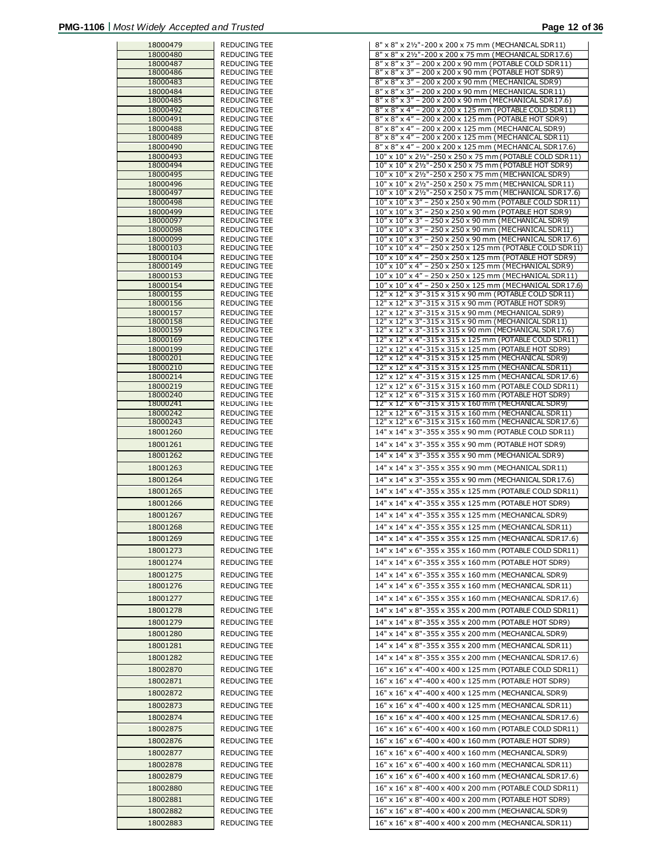| 18000479             | REDUCING TEE                 |
|----------------------|------------------------------|
| 18000480             | REDUCING TEE                 |
| 18000487             | REDUCING TEE                 |
| 18000486             | REDUCING TEE                 |
| 18000483             | REDUCING TEE                 |
| 18000484             | REDUCING TEE                 |
| 18000485             | REDUCING TEE                 |
| 18000492             | REDUCING TEE                 |
| 18000491             | REDUCING TEE                 |
| 18000488             | REDUCING TEE                 |
| 18000489             | REDUCING TEE                 |
| 18000490             | REDUCING TEE                 |
| 18000493             | REDUCING TEE                 |
| 18000494             | REDUCING TEE                 |
| 18000495             | REDUCING TEE                 |
| 18000496<br>18000497 | REDUCING TEE<br>REDUCING TEE |
| 18000498             | REDUCING TEE                 |
| 18000499             | <b>REDUCING TEE</b>          |
| 18000097             | REDUCING TEE                 |
| 18000098             | REDUCING TEE                 |
| 18000099             | REDUCING TEE                 |
| 18000103             | REDUCING TEE                 |
| 18000104             | <b>REDUCING TEE</b>          |
| 18000149             | <b>REDUCING TEE</b>          |
| 18000153             | REDUCING TEE                 |
| 18000154             | REDUCING TEE                 |
| 18000155             | REDUCING TEE                 |
| 18000156             | REDUCING TEE                 |
| 18000157             | REDUCING TEE                 |
| 18000158             | <b>REDUCING TEE</b>          |
| 18000159             | REDUCING TEE                 |
| 18000169             | REDUCING TEE                 |
| 18000199<br>18000201 | REDUCING TEE<br>REDUCING TEE |
| 18000210             | REDUCING TEE                 |
| 18000214             | REDUCING TEE                 |
| 18000219             | REDUCING TEE                 |
| 18000240             | REDUCING TEE                 |
| 18000241             | REDUCING TEE                 |
| 18000242             | REDUCING TEE                 |
| 18000243             | REDUCING TEE                 |
| 18001260             | REDUCING TEE                 |
| 18001261             | REDUCING TEE                 |
|                      | REDUCING TEE                 |
| 18001262             |                              |
| 18001263             | REDUCING TEE                 |
| 18001264             | REDUCING TEE                 |
| 18001265             | <b>REDUCING TEE</b>          |
| 18001266             | REDUCING TEE                 |
|                      |                              |
| 18001267             | REDUCING TEE                 |
| 18001268             | <b>REDUCING TEE</b>          |
| 18001269             | REDUCING TEE                 |
| 18001273             | <b>REDUCING TEE</b>          |
| 18001274             | <b>REDUCING TEE</b>          |
|                      |                              |
| 18001275             | REDUCING TEE                 |
| 18001276             | REDUCING TEE                 |
| 18001277             | REDUCING TEE                 |
| 18001278             | REDUCING TEE                 |
| 18001279             | <b>REDUCING TEE</b>          |
|                      | <b>REDUCING TEE</b>          |
| 18001280             |                              |
| 18001281             | REDUCING TEE                 |
| 18001282             | REDUCING TEE                 |
| 18002870             | REDUCING TEE                 |
| 18002871             | REDUCING TEE                 |
|                      |                              |
| 18002872             | REDUCING TEE                 |
| 18002873             | REDUCING TEE                 |
| 18002874             | REDUCING TEE                 |
| 18002875             | REDUCING TEE                 |
|                      |                              |
| 18002876             | REDUCING TEE                 |
| 18002877             | REDUCING TEE                 |
| 18002878             | REDUCING TEE                 |
| 18002879             | REDUCING TEE                 |
| 18002880             | REDUCING TEE                 |
| 18002881             | REDUCING TEE                 |
|                      |                              |
| 18002882             | REDUCING TEE                 |
| 18002883             | REDUCING TEE                 |

| 18000479             | REDUCING TEE                        | 8" x 8" x 21/2" - 200 x 200 x 75 mm (MECHANICAL SDR11)                                                        |
|----------------------|-------------------------------------|---------------------------------------------------------------------------------------------------------------|
| 18000480             | <b>REDUCING TEE</b>                 | 8" x 8" x 21/2"-200 x 200 x 75 mm (MECHANICAL SDR17.6)                                                        |
| 18000487             | REDUCING TEE                        | 8" x 8" x 3" - 200 x 200 x 90 mm (POTABLE COLD SDR11)                                                         |
| 18000486             | <b>REDUCING TEE</b>                 | 8" x 8" x 3" - 200 x 200 x 90 mm (POTABLE HOT SDR9)                                                           |
| 18000483             | <b>REDUCING TEE</b>                 | 8" x 8" x 3" - 200 x 200 x 90 mm (MECHANICAL SDR9)                                                            |
| 18000484             | REDUCING TEE                        | 8" x 8" x 3" - 200 x 200 x 90 mm (MECHANICAL SDR11)                                                           |
| 18000485             | REDUCING TEE                        | 8" x 8" x 3" - 200 x 200 x 90 mm (MECHANICAL SDR17.6)                                                         |
| 18000492             | REDUCING TEE                        | 8" x 8" x 4" - 200 x 200 x 125 mm (POTABLE COLD SDR11)                                                        |
| 18000491<br>18000488 | <b>REDUCING TEE</b><br>REDUCING TEE | 8" x 8" x 4" - 200 x 200 x 125 mm (POTABLE HOT SDR9)<br>8" x 8" x 4" - 200 x 200 x 125 mm (MECHANICAL SDR9)   |
| 18000489             | REDUCING TEE                        | 8" x 8" x 4" - 200 x 200 x 125 mm (MECHANICAL SDR11)                                                          |
| 18000490             | <b>REDUCING TEE</b>                 | 8" x 8" x 4" - 200 x 200 x 125 mm (MECHANICAL SDR17.6)                                                        |
| 18000493             | REDUCING TEE                        | 10" x 10" x 21/2"-250 x 250 x 75 mm (POTABLE COLD SDR11)                                                      |
| 18000494             | REDUCING TEE                        | 10" x 10" x 21/2" - 250 x 250 x 75 mm (POTABLE HOT SDR9)                                                      |
| 18000495             | <b>REDUCING TEE</b>                 | 10" x 10" x 21/2"-250 x 250 x 75 mm (MECHANICAL SDR9)                                                         |
| 18000496             | <b>REDUCING TEE</b>                 | 10" x 10" x 21/2"-250 x 250 x 75 mm (MECHANICAL SDR11)                                                        |
| 18000497             | REDUCING TEE                        | 10" x 10" x 21/2" - 250 x 250 x 75 mm (MECHANICAL SDR17.6)                                                    |
| 18000498             | REDUCING TEE                        | 10" x 10" x 3" - 250 x 250 x 90 mm (POTABLE COLD SDR11)                                                       |
| 18000499<br>18000097 | <b>REDUCING TEE</b><br>REDUCING TEE | 10" x 10" x 3" - 250 x 250 x 90 mm (POTABLE HOT SDR9)<br>10" x 10" x 3" - 250 x 250 x 90 mm (MECHANICAL SDR9) |
| 18000098             | REDUCING TEE                        | 10" x 10" x 3" - 250 x 250 x 90 mm (MECHANICAL SDR11)                                                         |
| 18000099             | REDUCING TEE                        | 10" x 10" x 3" - 250 x 250 x 90 mm (MECHANICAL SDR17.6)                                                       |
| 18000103             | REDUCING TEE                        | 10" x 10" x 4" - 250 x 250 x 125 mm (POTABLE COLD SDR11)                                                      |
| 18000104             | <b>REDUCING TEE</b>                 | 10" x 10" x 4" - 250 x 250 x 125 mm (POTABLE HOT SDR9)                                                        |
| 18000149             | <b>REDUCING TEE</b>                 | 10" x 10" x 4" - 250 x 250 x 125 mm (MECHANICAL SDR9)                                                         |
| 18000153             | <b>REDUCING TEE</b>                 | 10" x 10" x 4" - 250 x 250 x 125 mm (MECHANICAL SDR11)                                                        |
| 18000154             | REDUCING TEE                        | 10" x 10" x 4" - 250 x 250 x 125 mm (MECHANICAL SDR17.6)                                                      |
| 18000155             | REDUCING TEE                        | 12" x 12" x 3"-315 x 315 x 90 mm (POTABLE COLD SDR11)                                                         |
| 18000156<br>18000157 | <b>REDUCING TEE</b><br>REDUCING TEE | 12" x 12" x 3"-315 x 315 x 90 mm (POTABLE HOT SDR9)<br>12" x 12" x 3"-315 x 315 x 90 mm (MECHANICAL SDR9)     |
| 18000158             | REDUCING TEE                        | 12" x 12" x 3"-315 x 315 x 90 mm (MECHANICAL SDR11)                                                           |
| 18000159             | REDUCING TEE                        | 12" x 12" x 3"-315 x 315 x 90 mm (MECHANICAL SDR17.6)                                                         |
| 18000169             | <b>REDUCING TEE</b>                 | 12" x 12" x 4"-315 x 315 x 125 mm (POTABLE COLD SDR11)                                                        |
| 18000199             | REDUCING TEE                        | 12" x 12" x 4"-315 x 315 x 125 mm (POTABLE HOT SDR9)                                                          |
| 18000201             | REDUCING TEE                        | 12" x 12" x 4"-315 x 315 x 125 mm (MECHANICAL SDR9)                                                           |
| 18000210             | REDUCING TEE                        | 12" x 12" x 4"-315 x 315 x 125 mm (MECHANICAL SDR11)                                                          |
| 18000214             | <b>REDUCING TEE</b>                 | 12" x 12" x 4"-315 x 315 x 125 mm (MECHANICAL SDR17.6)                                                        |
| 18000219             | <b>REDUCING TEE</b>                 | 12" x 12" x 6"-315 x 315 x 160 mm (POTABLE COLD SDR11)                                                        |
| 18000240             | REDUCING TEE                        | 12" x 12" x 6"-315 x 315 x 160 mm (POTABLE HOT SDR9)<br>12" x 12" x 6"-315 x 315 x 160 mm (MECHANICAL SDR9)   |
| 18000241<br>18000242 | REDUCING TEE<br>REDUCING TEE        | 12" x 12" x 6"-315 x 315 x 160 mm (MECHANICAL SDR11)                                                          |
| 18000243             | REDUCING TEE                        | 12" x 12" x 6"-315 x 315 x 160 mm (MECHANICAL SDR17.6)                                                        |
| 18001260             | REDUCING TEE                        | 14" x 14" x 3"-355 x 355 x 90 mm (POTABLE COLD SDR11)                                                         |
| 18001261             | <b>REDUCING TEE</b>                 | 14" x 14" x 3"-355 x 355 x 90 mm (POTABLE HOT SDR9)                                                           |
|                      |                                     |                                                                                                               |
| 18001262             | <b>REDUCING TEE</b>                 | 14" x 14" x 3"-355 x 355 x 90 mm (MECHANICAL SDR9)                                                            |
| 18001263             | REDUCING TEE                        | 14" x 14" x 3"-355 x 355 x 90 mm (MECHANICAL SDR11)                                                           |
| 18001264             | REDUCING TEE                        | 14" x 14" x 3"-355 x 355 x 90 mm (MECHANICAL SDR17.6)                                                         |
| 18001265             | <b>REDUCING TEE</b>                 | 14" x 14" x 4"-355 x 355 x 125 mm (POTABLE COLD SDR11)                                                        |
| 18001266             | REDUCING TEE                        | 14" x 14" x 4"-355 x 355 x 125 mm (POTABLE HOT SDR9)                                                          |
| 18001267             | <b>REDUCING TEE</b>                 | 14" x 14" x 4"-355 x 355 x 125 mm (MECHANICAL SDR9)                                                           |
|                      |                                     |                                                                                                               |
| 18001268             | REDUCING TEE                        | 14" x 14" x 4"-355 x 355 x 125 mm (MECHANICAL SDR11)                                                          |
| 18001269             | REDUCING TEE                        | 14" x 14" x 4"-355 x 355 x 125 mm (MECHANICAL SDR17.6)                                                        |
| 18001273             | REDUCING TEE                        | 14" x 14" x 6"-355 x 355 x 160 mm (POTABLE COLD SDR11)                                                        |
| 18001274             | REDUCING TEE                        | 14" x 14" x 6"-355 x 355 x 160 mm (POTABLE HOT SDR9)                                                          |
| 18001275             | <b>REDUCING TEE</b>                 | 14" x 14" x 6"-355 x 355 x 160 mm (MECHANICAL SDR9)                                                           |
| 18001276             | REDUCING TEE                        | 14" x 14" x 6"-355 x 355 x 160 mm (MECHANICAL SDR11)                                                          |
|                      |                                     |                                                                                                               |
| 18001277             | REDUCING TEE                        | 14" x 14" x 6"-355 x 355 x 160 mm (MECHANICAL SDR17.6)                                                        |
| 18001278             | REDUCING TEE                        | 14" x 14" x 8"-355 x 355 x 200 mm (POTABLE COLD SDR11)                                                        |
| 18001279             | REDUCING TEE                        | 14" x 14" x 8"-355 x 355 x 200 mm (POTABLE HOT SDR9)                                                          |
| 18001280             | <b>REDUCING TEE</b>                 | 14" x 14" x 8"-355 x 355 x 200 mm (MECHANICAL SDR9)                                                           |
| 18001281             | REDUCING TEE                        | 14" x 14" x 8"-355 x 355 x 200 mm (MECHANICAL SDR 11)                                                         |
| 18001282             | <b>REDUCING TEE</b>                 | 14" x 14" x 8"-355 x 355 x 200 mm (MECHANICAL SDR17.6)                                                        |
| 18002870             | <b>REDUCING TEE</b>                 | 16" x 16" x 4"-400 x 400 x 125 mm (POTABLE COLD SDR11)                                                        |
|                      |                                     |                                                                                                               |
| 18002871             | REDUCING TEE                        | 16" x 16" x 4"-400 x 400 x 125 mm (POTABLE HOT SDR9)                                                          |
| 18002872             | REDUCING TEE                        | 16" x 16" x 4"-400 x 400 x 125 mm (MECHANICAL SDR9)                                                           |
| 18002873             | REDUCING TEE                        | 16" x 16" x 4"-400 x 400 x 125 mm (MECHANICAL SDR11)                                                          |
| 18002874             | REDUCING TEE                        | 16" x 16" x 4"-400 x 400 x 125 mm (MECHANICAL SDR17.6)                                                        |
| 18002875             | REDUCING TEE                        | 16" x 16" x 6"-400 x 400 x 160 mm (POTABLE COLD SDR11)                                                        |
|                      |                                     | 16" x 16" x 6"-400 x 400 x 160 mm (POTABLE HOT SDR9)                                                          |
| 18002876             | REDUCING TEE                        |                                                                                                               |
| 18002877             | REDUCING TEE                        | 16" x 16" x 6"-400 x 400 x 160 mm (MECHANICAL SDR9)                                                           |
| 18002878             | REDUCING TEE                        | 16" x 16" x 6"-400 x 400 x 160 mm (MECHANICAL SDR11)                                                          |
| 18002879             | REDUCING TEE                        | 16" x 16" x 6"-400 x 400 x 160 mm (MECHANICAL SDR 17.6)                                                       |
| 18002880             | REDUCING TEE                        | 16" x 16" x 8"-400 x 400 x 200 mm (POTABLE COLD SDR11)                                                        |
| 18002881             | REDUCING TEE                        | 16" x 16" x 8"-400 x 400 x 200 mm (POTABLE HOT SDR9)                                                          |
| 18002882             | REDUCING TEE                        | 16" x 16" x 8"-400 x 400 x 200 mm (MECHANICAL SDR 9)                                                          |
|                      |                                     |                                                                                                               |
| 18002883             | REDUCING TEE                        | 16" x 16" x 8"-400 x 400 x 200 mm (MECHANICAL SDR11)                                                          |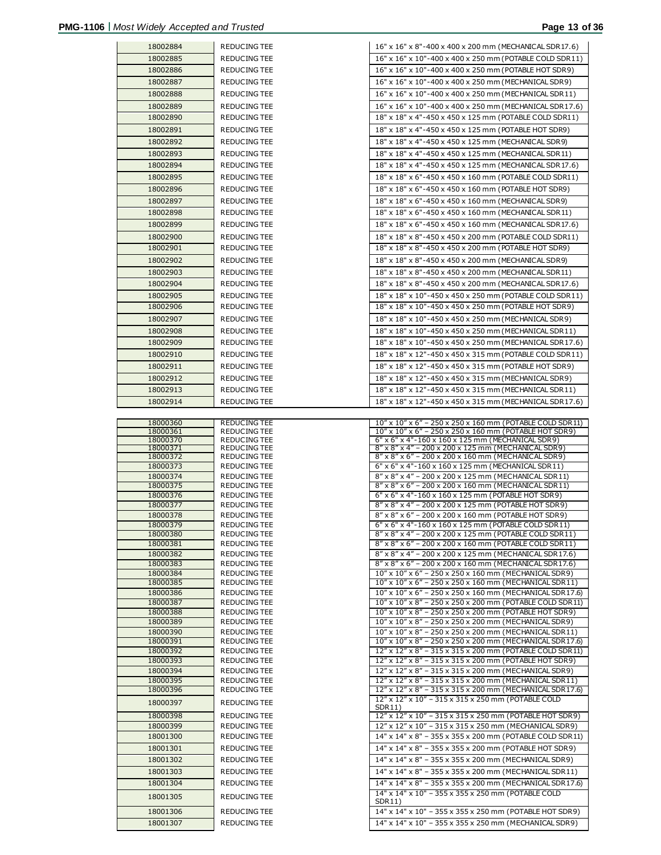| 18002884             | REDUCING TEE                        | 16" x 16" x 8"-400 x 400 x 200 mm (MECHANICAL SDR17.6)                                                            |
|----------------------|-------------------------------------|-------------------------------------------------------------------------------------------------------------------|
| 18002885             | REDUCING TEE                        | 16" x 16" x 10"-400 x 400 x 250 mm (POTABLE COLD SDR11)                                                           |
| 18002886             | REDUCING TEE                        | 16" x 16" x 10"-400 x 400 x 250 mm (POTABLE HOT SDR9)                                                             |
| 18002887             | REDUCING TEE                        | 16" x 16" x 10"-400 x 400 x 250 mm (MECHANICAL SDR9)                                                              |
| 18002888             | REDUCING TEE                        | 16" x 16" x 10"-400 x 400 x 250 mm (MECHANICAL SDR11)                                                             |
| 18002889             | <b>REDUCING TEE</b>                 | 16" x 16" x 10"-400 x 400 x 250 mm (MECHANICAL SDR17.6)                                                           |
|                      |                                     |                                                                                                                   |
| 18002890             | REDUCING TEE                        | 18" x 18" x 4"-450 x 450 x 125 mm (POTABLE COLD SDR11)                                                            |
| 18002891             | REDUCING TEE                        | 18" x 18" x 4"-450 x 450 x 125 mm (POTABLE HOT SDR9)                                                              |
| 18002892             | REDUCING TEE                        | 18" x 18" x 4"-450 x 450 x 125 mm (MECHANICAL SDR9)                                                               |
| 18002893             | REDUCING TEE                        | 18" x 18" x 4"-450 x 450 x 125 mm (MECHANICAL SDR11)                                                              |
| 18002894             | REDUCING TEE                        | 18" x 18" x 4"-450 x 450 x 125 mm (MECHANICAL SDR 17.6)                                                           |
| 18002895             | REDUCING TEE                        | 18" x 18" x 6"-450 x 450 x 160 mm (POTABLE COLD SDR11)                                                            |
| 18002896             |                                     |                                                                                                                   |
|                      | REDUCING TEE                        | 18" x 18" x 6"-450 x 450 x 160 mm (POTABLE HOT SDR9)                                                              |
| 18002897             | REDUCING TEE                        | 18" x 18" x 6"-450 x 450 x 160 mm (MECHANICAL SDR9)                                                               |
| 18002898             | REDUCING TEE                        | 18" x 18" x 6"-450 x 450 x 160 mm (MECHANICAL SDR11)                                                              |
| 18002899             | REDUCING TEE                        | 18" x 18" x 6"-450 x 450 x 160 mm (MECHANICAL SDR17.6)                                                            |
| 18002900             | REDUCING TEE                        | 18" x 18" x 8"-450 x 450 x 200 mm (POTABLE COLD SDR11)                                                            |
| 18002901             | REDUCING TEE                        | 18" x 18" x 8"-450 x 450 x 200 mm (POTABLE HOT SDR9)                                                              |
| 18002902             | REDUCING TEE                        | 18" x 18" x 8"-450 x 450 x 200 mm (MECHANICAL SDR9)                                                               |
|                      |                                     |                                                                                                                   |
| 18002903             | REDUCING TEE                        | 18" x 18" x 8"-450 x 450 x 200 mm (MECHANICAL SDR11)                                                              |
| 18002904             | REDUCING TEE                        | 18" x 18" x 8"-450 x 450 x 200 mm (MECHANICAL SDR17.6)                                                            |
| 18002905             | REDUCING TEE                        | 18" x 18" x 10"-450 x 450 x 250 mm (POTABLE COLD SDR11)                                                           |
| 18002906             | REDUCING TEE                        | 18" x 18" x 10"-450 x 450 x 250 mm (POTABLE HOT SDR9)                                                             |
| 18002907             | REDUCING TEE                        | 18" x 18" x 10"-450 x 450 x 250 mm (MECHANICAL SDR9)                                                              |
| 18002908             | REDUCING TEE                        | 18" x 18" x 10"-450 x 450 x 250 mm (MECHANICAL SDR11)                                                             |
| 18002909             | REDUCING TEE                        | 18" x 18" x 10"-450 x 450 x 250 mm (MECHANICAL SDR17.6)                                                           |
|                      |                                     |                                                                                                                   |
| 18002910             | REDUCING TEE                        | 18" x 18" x 12"-450 x 450 x 315 mm (POTABLE COLD SDR11)                                                           |
| 18002911             | REDUCING TEE                        | 18" x 18" x 12"-450 x 450 x 315 mm (POTABLE HOT SDR9)                                                             |
| 18002912             | REDUCING TEE                        | 18" x 18" x 12"-450 x 450 x 315 mm (MECHANICAL SDR9)                                                              |
| 18002913             | REDUCING TEE                        | 18" x 18" x 12"-450 x 450 x 315 mm (MECHANICAL SDR11)                                                             |
| 18002914             | REDUCING TEE                        | 18" x 18" x 12"-450 x 450 x 315 mm (MECHANICAL SDR17.6)                                                           |
|                      |                                     |                                                                                                                   |
|                      |                                     |                                                                                                                   |
| 18000360             | REDUCING TEE                        | 10" x 10" x 6" - 250 x 250 x 160 mm (POTABLE COLD SDR11)                                                          |
| 18000361             | REDUCING TEE                        | 10" x 10" x 6" - 250 x 250 x 160 mm (POTABLE HOT SDR9)                                                            |
| 18000370             | REDUCING TEE                        | 6" x 6" x 4"-160 x 160 x 125 mm (MECHANICAL SDR9)                                                                 |
| 18000371             | REDUCING TEE                        | 8" x 8" x 4" - 200 x 200 x 125 mm (MECHANICAL SDR9)                                                               |
| 18000372             | REDUCING TEE                        | 8" x 8" x 6" - 200 x 200 x 160 mm (MECHANICAL SDR9)                                                               |
| 18000373<br>18000374 | REDUCING TEE                        | 6" x 6" x 4"-160 x 160 x 125 mm (MECHANICAL SDR11)                                                                |
| 18000375             | REDUCING TEE<br><b>REDUCING TEE</b> | 8" x 8" x 4" - 200 x 200 x 125 mm (MECHANICAL SDR11)<br>8" x 8" x 6" - 200 x 200 x 160 mm (MECHANICAL SDR11)      |
| 18000376             | REDUCING TEE                        | 6" x 6" x 4"-160 x 160 x 125 mm (POTABLE HOT SDR9)                                                                |
| 18000377             | REDUCING TEE                        | 8" x 8" x 4" - 200 x 200 x 125 mm (POTABLE HOT SDR9)                                                              |
| 18000378             | REDUCING TEE                        | 8" x 8" x 6" - 200 x 200 x 160 mm (POTABLE HOT SDR9)                                                              |
| 18000379             | REDUCING TEE                        | 6" x 6" x 4"-160 x 160 x 125 mm (POTABLE COLD SDR11)                                                              |
| 18000380             | REDUCING TEE                        | 8" x 8" x 4" - 200 x 200 x 125 mm (POTABLE COLD SDR11)                                                            |
| 18000381             | REDUCING TEE                        | 8" x 8" x 6" - 200 x 200 x 160 mm (POTABLE COLD SDR11)                                                            |
| 18000382             | <b>REDUCING TEE</b>                 | 8" x 8" x 4" - 200 x 200 x 125 mm (MECHANICAL SDR17.6)                                                            |
| 18000383             | REDUCING TEE                        | 8" x 8" x 6" - 200 x 200 x 160 mm (MECHANICAL SDR17.6)                                                            |
| 18000384             | REDUCING TEE                        | 10" x 10" x 6" - 250 x 250 x 160 mm (MECHANICAL SDR9)                                                             |
| 18000385             | REDUCING TEE                        | 10" x 10" x 6" - 250 x 250 x 160 mm (MECHANICAL SDR11)                                                            |
| 18000386             | REDUCING TEE                        | 10" x 10" x 6" - 250 x 250 x 160 mm (MECHANICAL SDR17.6)                                                          |
| 18000387             | REDUCING TEE                        | 10" x 10" x 8" - 250 x 250 x 200 mm (POTABLE COLD SDR11)                                                          |
| 18000388<br>18000389 | REDUCING TEE<br>REDUCING TEE        | 10" x 10" x 8" - 250 x 250 x 200 mm (POTABLE HOT SDR9)<br>10" x 10" x 8" - 250 x 250 x 200 mm (MECHANICAL SDR9)   |
| 18000390             | REDUCING TEE                        | 10" x 10" x 8" - 250 x 250 x 200 mm (MECHANICAL SDR11)                                                            |
| 18000391             | <b>REDUCING TEE</b>                 | 10" x 10" x 8" - 250 x 250 x 200 mm (MECHANICAL SDR17.6)                                                          |
| 18000392             | REDUCING TEE                        | 12" x 12" x 8" - 315 x 315 x 200 mm (POTABLE COLD SDR11)                                                          |
| 18000393             | REDUCING TEE                        | 12" x 12" x 8" - 315 x 315 x 200 mm (POTABLE HOT SDR9)                                                            |
| 18000394             | REDUCING TEE                        | 12" x 12" x 8" - 315 x 315 x 200 mm (MECHANICAL SDR9)                                                             |
| 18000395             | <b>REDUCING TEE</b>                 | 12" x 12" x 8" - 315 x 315 x 200 mm (MECHANICAL SDR11)                                                            |
| 18000396             | REDUCING TEE                        | 12" x 12" x 8" - 315 x 315 x 200 mm (MECHANICAL SDR17.6)                                                          |
| 18000397             | REDUCING TEE                        | 12" x 12" x 10" - 315 x 315 x 250 mm (POTABLE COLD                                                                |
|                      |                                     | SDR11)                                                                                                            |
| 18000398             | <b>REDUCING TEE</b>                 | 12" x 12" x 10" - 315 x 315 x 250 mm (POTABLE HOT SDR9)                                                           |
| 18000399             | REDUCING TEE                        | 12" x 12" x 10" - 315 x 315 x 250 mm (MECHANICAL SDR9)                                                            |
| 18001300             | REDUCING TEE                        | 14" x 14" x 8" - 355 x 355 x 200 mm (POTABLE COLD SDR 11)                                                         |
| 18001301             | REDUCING TEE                        | 14" x 14" x 8" - 355 x 355 x 200 mm (POTABLE HOT SDR9)                                                            |
| 18001302             | REDUCING TEE                        | 14" x 14" x 8" - 355 x 355 x 200 mm (MECHANICAL SDR9)                                                             |
| 18001303             | REDUCING TEE                        | 14" x 14" x 8" - 355 x 355 x 200 mm (MECHANICAL SDR11)                                                            |
| 18001304             | REDUCING TEE                        | 14" x 14" x 8" - 355 x 355 x 200 mm (MECHANICAL SDR17.6)                                                          |
|                      |                                     | 14" x 14" x 10" - 355 x 355 x 250 mm (POTABLE COLD                                                                |
| 18001305             | REDUCING TEE                        | SDR11)                                                                                                            |
| 18001306<br>18001307 | REDUCING TEE<br>REDUCING TEE        | 14" x 14" x 10" - 355 x 355 x 250 mm (POTABLE HOT SDR9)<br>14" x 14" x 10" - 355 x 355 x 250 mm (MECHANICAL SDR9) |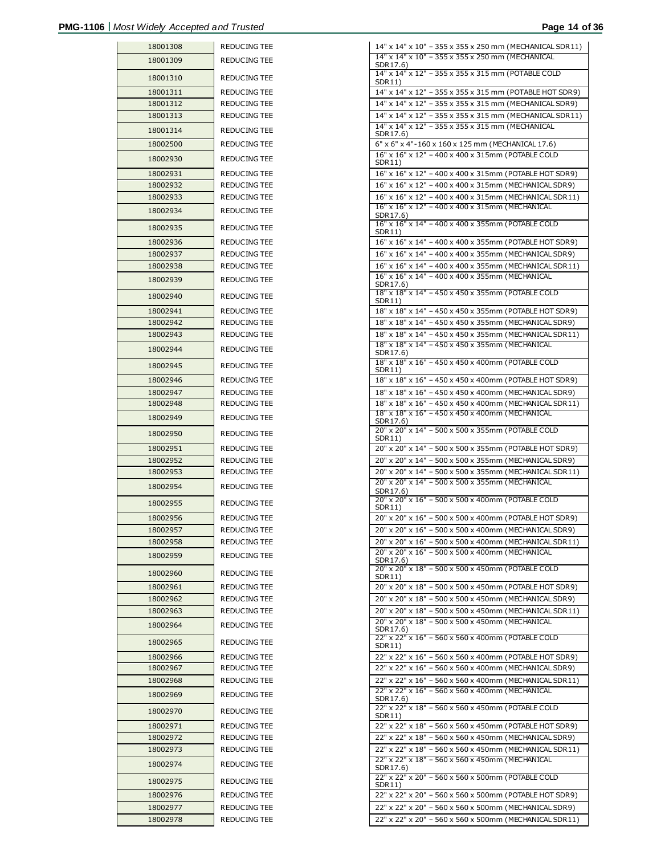| 18001308             | REDUCING TEE                 |
|----------------------|------------------------------|
| 18001309             | <b>REDUCING TEE</b>          |
| 18001310             | REDUCING TEE                 |
| 18001311             | REDUCING TEE                 |
| 18001312             | REDUCING TEE                 |
| 18001313             | <b>REDUCING TEE</b>          |
| 18001314             | <b>REDUCING TEE</b>          |
| 18002500             | REDUCING TEE                 |
| 18002930             | <b>REDUCING TEE</b>          |
| 18002931             | REDUCING TEE                 |
| 18002932             | REDUCING TEE                 |
| 18002933             | REDUCING TEE                 |
| 18002934             | <b>REDUCING TEE</b>          |
| 18002935             | REDUCING TEE                 |
| 18002936             | REDUCING TEE                 |
| 18002937             | REDUCING TEE                 |
| 18002938             | <b>REDUCING TEE</b>          |
| 18002939             | <b>REDUCING TEE</b>          |
| 18002940             | REDUCING TEE                 |
| 18002941             | REDUCING TEE                 |
| 18002942             | REDUCING TEE                 |
| 18002943             | REDUCING TEE                 |
| 18002944             | <b>REDUCING TEE</b>          |
| 18002945             | REDUCING TEE                 |
| 18002946<br>18002947 | REDUCING TEE<br>REDUCING TEE |
| 18002948             | REDUCING TEE                 |
| 18002949             | REDUCING TEE                 |
| 18002950             | REDUCING TEE                 |
| 18002951             | REDUCING TEE                 |
| 18002952             | REDUCING TEE                 |
| 18002953             | <b>REDUCING TEE</b>          |
| 18002954             | REDUCING TEE                 |
| 18002955             | REDUCING TEE                 |
| 18002956             | REDUCING TEE                 |
| 18002957             | REDUCING TEE                 |
| 18002958             | REDUCING TEE                 |
| 18002959             | REDUCING TEE                 |
| 18002960             | REDUCING TEE                 |
| 18002961             | REDUCING TEE                 |
| 18002962             | REDUCING TEE                 |
| 18002963             | REDUCING TEE                 |
| 18002964             | REDUCING TEE                 |
| 18002965             | REDUCING TEE                 |
| 18002966<br>18002967 | REDUCING TEE<br>REDUCING TEE |
| 18002968             | REDUCING TEE                 |
| 18002969             | REDUCING TEE                 |
| 18002970             | REDUCING TEE                 |
|                      |                              |
| 18002971<br>18002972 | REDUCING TEE<br>REDUCING TEE |
| 18002973             | REDUCING TEE                 |
| 18002974             | REDUCING TEE                 |
| 18002975             | REDUCING TEE                 |
| 18002976             | REDUCING TEE                 |
| 18002977             | REDUCING TEE                 |
| 0002070              |                              |

| 18001308             | REDUCING TEE                               | 14" x 14" x 10" - 355 x 355 x 250 mm (MECHANICAL SDR11)                                                         |
|----------------------|--------------------------------------------|-----------------------------------------------------------------------------------------------------------------|
| 18001309             | REDUCING TEE                               | 14" x 14" x 10" - 355 x 355 x 250 mm (MECHANICAL<br>SDR17.6)                                                    |
| 18001310             | <b>REDUCING TEE</b>                        | 14" x 14" x 12" - 355 x 355 x 315 mm (POTABLE COLD<br>SDR11)                                                    |
| 18001311             | REDUCING TEE                               | 14" x 14" x 12" - 355 x 355 x 315 mm (POTABLE HOT SDR9)                                                         |
| 18001312             | <b>REDUCING TEE</b>                        | 14" x 14" x 12" - 355 x 355 x 315 mm (MECHANICAL SDR9)                                                          |
| 18001313             | <b>REDUCING TEE</b>                        | 14" x 14" x 12" - 355 x 355 x 315 mm (MECHANICAL SDR11)                                                         |
| 18001314             | <b>REDUCING TEE</b>                        | 14" x 14" x 12" - 355 x 355 x 315 mm (MECHANICAL<br>SDR17.6)                                                    |
| 18002500             | REDUCING TEE                               | 6" x 6" x 4"-160 x 160 x 125 mm (MECHANICAL 17.6)                                                               |
| 18002930             | <b>REDUCING TEE</b>                        | 16" x 16" x 12" - 400 x 400 x 315mm (POTABLE COLD<br>SDR11)                                                     |
| 18002931             | <b>REDUCING TEE</b>                        | 16" x 16" x 12" - 400 x 400 x 315mm (POTABLE HOT SDR9)                                                          |
| 18002932             | <b>REDUCING TEE</b>                        | 16" x 16" x 12" - 400 x 400 x 315mm (MECHANICAL SDR9)                                                           |
| 18002933             | REDUCING TEE                               | 16" x 16" x 12" - 400 x 400 x 315mm (MECHANICAL SDR11)<br>16" x 16" x 12" - 400 x 400 x 315mm (MECHANICAL       |
| 18002934             | <b>REDUCING TEE</b>                        | SDR17.6)<br>16" x 16" x 14" - 400 x 400 x 355mm (POTABLE COLD                                                   |
| 18002935             | <b>REDUCING TEE</b>                        | SDR11)                                                                                                          |
| 18002936             | REDUCING TEE                               | 16" x 16" x 14" - 400 x 400 x 355mm (POTABLE HOT SDR9)                                                          |
| 18002937             | <b>REDUCING TEE</b>                        | 16" x 16" x 14" - 400 x 400 x 355mm (MECHANICAL SDR9)                                                           |
| 18002938             | <b>REDUCING TEE</b>                        | 16" x 16" x 14" - 400 x 400 x 355mm (MECHANICAL SDR11)<br>16" x 16" x 14" - 400 x 400 x 355mm (MECHANICAL       |
| 18002939             | <b>REDUCING TEE</b>                        | SDR17.6)<br>18" x 18" x 14" - 450 x 450 x 355mm (POTABLE COLD                                                   |
| 18002940             | <b>REDUCING TEE</b>                        | SDR11)                                                                                                          |
| 18002941             | <b>REDUCING TEE</b>                        | 18" x 18" x 14" - 450 x 450 x 355mm (POTABLE HOT SDR9)                                                          |
| 18002942             | REDUCING TEE                               | 18" x 18" x 14" - 450 x 450 x 355mm (MECHANICAL SDR9)                                                           |
| 18002943<br>18002944 | <b>REDUCING TEE</b><br><b>REDUCING TEE</b> | 18" x 18" x 14" - 450 x 450 x 355mm (MECHANICAL SDR11)<br>18" x 18" x 14" - 450 x 450 x 355mm (MECHANICAL       |
| 18002945             | <b>REDUCING TEE</b>                        | SDR17.6)<br>18" x 18" x 16" - 450 x 450 x 400mm (POTABLE COLD                                                   |
| 18002946             | <b>REDUCING TEE</b>                        | SDR11)<br>18" x 18" x 16" - 450 x 450 x 400mm (POTABLE HOT SDR9)                                                |
| 18002947             | <b>REDUCING TEE</b>                        | 18" x 18" x 16" - 450 x 450 x 400mm (MECHANICAL SDR9)                                                           |
| 18002948             | REDUCING TEE                               | 18" x 18" x 16" - 450 x 450 x 400mm (MECHANICAL SDR11)                                                          |
| 18002949             | <b>REDUCING TEE</b>                        | 18" x 18" x 16" - 450 x 450 x 400mm (MECHANICAL                                                                 |
| 18002950             | <b>REDUCING TEE</b>                        | SDR17.6)<br>20" x 20" x 14" - 500 x 500 x 355mm (POTABLE COLD                                                   |
| 18002951             | REDUCING TEE                               | SDR11)<br>20" x 20" x 14" - 500 x 500 x 355mm (POTABLE HOT SDR9)                                                |
| 18002952             | <b>REDUCING TEE</b>                        | 20" x 20" x 14" - 500 x 500 x 355mm (MECHANICAL SDR9)                                                           |
| 18002953             | <b>REDUCING TEE</b>                        | 20" x 20" x 14" - 500 x 500 x 355mm (MECHANICAL SDR11)                                                          |
| 18002954             | <b>REDUCING TEE</b>                        | 20" x 20" x 14" - 500 x 500 x 355mm (MECHANICAL<br>SDR17.6)                                                     |
| 18002955             | <b>REDUCING TEE</b>                        | 20" x 20" x 16" - 500 x 500 x 400mm (POTABLE COLD<br>SDR11)                                                     |
| 18002956             | <b>REDUCING TEE</b>                        | 20" x 20" x 16" - 500 x 500 x 400mm (POTABLE HOT SDR9)                                                          |
| 18002957             | REDUCING TEE                               | 20" x 20" x 16" - 500 x 500 x 400mm (MECHANICAL SDR9)                                                           |
| 18002958             | REDUCING TEE                               | 20" x 20" x 16" - 500 x 500 x 400mm (MECHANICAL SDR11)<br>20" x 20" x 16" - 500 x 500 x 400mm (MECHANICAL       |
| 18002959             | <b>REDUCING TEE</b>                        | SDR17.6)<br>20" x 20" x 18" - 500 x 500 x 450mm (POTABLE COLD                                                   |
| 18002960             | REDUCING TEE                               | SDR11)                                                                                                          |
| 18002961             | <b>REDUCING TEE</b>                        | 20" x 20" x 18" - 500 x 500 x 450mm (POTABLE HOT SDR9)                                                          |
| 18002962             | REDUCING TEE<br><b>REDUCING TEE</b>        | 20" x 20" x 18" - 500 x 500 x 450mm (MECHANICAL SDR9)<br>20" x 20" x 18" - 500 x 500 x 450mm (MECHANICAL SDR11) |
| 18002963<br>18002964 | REDUCING TEE                               | 20" x 20" x 18" - 500 x 500 x 450mm (MECHANICAL                                                                 |
| 18002965             | REDUCING TEE                               | SDR17.6)<br>22" x 22" x 16" - 560 x 560 x 400mm (POTABLE COLD                                                   |
| 18002966             | REDUCING TEE                               | SDR11)<br>22" x 22" x 16" - 560 x 560 x 400mm (POTABLE HOT SDR9)                                                |
| 18002967             | REDUCING TEE                               | 22" x 22" x 16" - 560 x 560 x 400mm (MECHANICAL SDR9)                                                           |
| 18002968             | REDUCING TEE                               | 22" x 22" x 16" - 560 x 560 x 400mm (MECHANICAL SDR11)                                                          |
| 18002969             | REDUCING TEE                               | 22" x 22" x 16" - 560 x 560 x 400mm (MECHANICAL<br>SDR17.6)                                                     |
| 18002970             | REDUCING TEE                               | 22" x 22" x 18" - 560 x 560 x 450mm (POTABLE COLD<br>SDR11)                                                     |
| 18002971             | <b>REDUCING TEE</b>                        | 22" x 22" x 18" - 560 x 560 x 450mm (POTABLE HOT SDR9)                                                          |
| 18002972             | <b>REDUCING TEE</b>                        | 22" x 22" x 18" - 560 x 560 x 450mm (MECHANICAL SDR9)                                                           |
| 18002973             | REDUCING TEE                               | 22" x 22" x 18" - 560 x 560 x 450mm (MECHANICAL SDR11)                                                          |
| 18002974             | REDUCING TEE                               | 22" x 22" x 18" - 560 x 560 x 450mm (MECHANICAL<br>SDR17.6)                                                     |
| 18002975             | REDUCING TEE                               | 22" x 22" x 20" - 560 x 560 x 500mm (POTABLE COLD<br>SDR11)                                                     |
| 18002976             | REDUCING TEE                               | 22" x 22" x 20" - 560 x 560 x 500mm (POTABLE HOT SDR9)                                                          |
| 18002977             | REDUCING TEE                               | 22" x 22" x 20" - 560 x 560 x 500mm (MECHANICAL SDR9)                                                           |
| 18002978             | REDUCING TEE                               | 22" x 22" x 20" - 560 x 560 x 500mm (MECHANICAL SDR11)                                                          |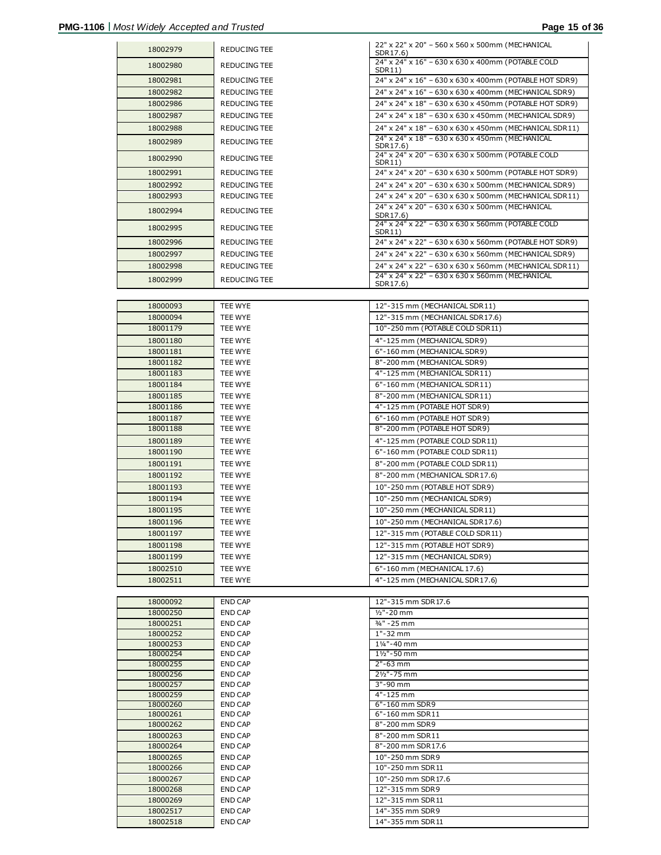| 18002979             | REDUCING TEE       | 22" x 22" x 20" - 560 x 560 x 500mm (MECHANICAL<br>SDR17.6)      |
|----------------------|--------------------|------------------------------------------------------------------|
| 18002980             | REDUCING TEE       | 24" x 24" x 16" - 630 x 630 x 400mm (POTABLE COLD                |
| 18002981             | REDUCING TEE       | SDR11)<br>24" x 24" x 16" - 630 x 630 x 400mm (POTABLE HOT SDR9) |
| 18002982             | REDUCING TEE       | 24" x 24" x 16" - 630 x 630 x 400mm (MECHANICAL SDR9)            |
| 18002986             | REDUCING TEE       | 24" x 24" x 18" - 630 x 630 x 450mm (POTABLE HOT SDR9)           |
| 18002987             | REDUCING TEE       | 24" x 24" x 18" - 630 x 630 x 450mm (MECHANICAL SDR9)            |
| 18002988             | REDUCING TEE       | 24" x 24" x 18" - 630 x 630 x 450mm (MECHANICAL SDR11)           |
|                      |                    | 24" x 24" x 18" - 630 x 630 x 450mm (MECHANICAL                  |
| 18002989             | REDUCING TEE       | SDR17.6)                                                         |
| 18002990             | REDUCING TEE       | 24" x 24" x 20" - 630 x 630 x 500mm (POTABLE COLD<br>SDR11)      |
| 18002991             | REDUCING TEE       | 24" x 24" x 20" - 630 x 630 x 500mm (POTABLE HOT SDR9)           |
| 18002992             | REDUCING TEE       | 24" x 24" x 20" - 630 x 630 x 500mm (MECHANICAL SDR9)            |
| 18002993             | REDUCING TEE       | 24" x 24" x 20" - 630 x 630 x 500mm (MECHANICAL SDR11)           |
| 18002994             | REDUCING TEE       | 24" x 24" x 20" - 630 x 630 x 500mm (MECHANICAL<br>SDR17.6)      |
| 18002995             | REDUCING TEE       | 24" x 24" x 22" - 630 x 630 x 560mm (POTABLE COLD<br>SDR11)      |
| 18002996             | REDUCING TEE       | 24" x 24" x 22" - 630 x 630 x 560mm (POTABLE HOT SDR9)           |
| 18002997             | REDUCING TEE       | 24" x 24" x 22" - 630 x 630 x 560mm (MECHANICAL SDR9)            |
| 18002998             | REDUCING TEE       | 24" x 24" x 22" - 630 x 630 x 560mm (MECHANICAL SDR11)           |
| 18002999             | REDUCING TEE       | 24" x 24" x 22" - 630 x 630 x 560mm (MECHANICAL                  |
|                      |                    | SDR17.6)                                                         |
| 18000093             |                    |                                                                  |
| 18000094             | TEE WYE<br>TEE WYE | 12"-315 mm (MECHANICAL SDR11)<br>12"-315 mm (MECHANICAL SDR17.6) |
| 18001179             | TEE WYE            | 10"-250 mm (POTABLE COLD SDR11)                                  |
| 18001180             | TEE WYE            | 4"-125 mm (MECHANICAL SDR9)                                      |
| 18001181             | TEE WYE            | 6"-160 mm (MECHANICAL SDR9)                                      |
| 18001182             | TEE WYE            | 8"-200 mm (MECHANICAL SDR9)                                      |
| 18001183             | TEE WYE            | 4"-125 mm (MECHANICAL SDR11)                                     |
| 18001184             | TEE WYE            | 6"-160 mm (MECHANICAL SDR11)                                     |
| 18001185             | TEE WYE            | 8"-200 mm (MECHANICAL SDR11)                                     |
| 18001186             | TEE WYE            | 4"-125 mm (POTABLE HOT SDR9)                                     |
| 18001187             | TEE WYE            | 6"-160 mm (POTABLE HOT SDR9)                                     |
| 18001188             | TEE WYE            | 8"-200 mm (POTABLE HOT SDR9)                                     |
| 18001189             | TEE WYE            | 4"-125 mm (POTABLE COLD SDR11)                                   |
| 18001190             | TEE WYE            | 6"-160 mm (POTABLE COLD SDR11)                                   |
| 18001191             | TEE WYE            | 8"-200 mm (POTABLE COLD SDR11)                                   |
| 18001192             | TEE WYE            | 8"-200 mm (MECHANICAL SDR17.6)                                   |
| 18001193             | TEE WYE            | 10"-250 mm (POTABLE HOT SDR9)                                    |
| 18001194<br>18001195 | TEE WYE<br>TEE WYE | 10"-250 mm (MECHANICAL SDR9)<br>10"-250 mm (MECHANICAL SDR11)    |
| 18001196             | TEE WYE            | 10"-250 mm (MECHANICAL SDR17.6)                                  |
| 18001197             | TEE WYE            | 12"-315 mm (POTABLE COLD SDR11)                                  |
| 18001198             | TEE WYE            | 12"-315 mm (POTABLE HOT SDR9)                                    |
| 18001199             | TEE WYE            | 12"-315 mm (MECHANICAL SDR9)                                     |
| 18002510             | TEE WYE            | 6"-160 mm (MECHANICAL 17.6)                                      |
| 18002511             | TEE WYE            | 4"-125 mm (MECHANICAL SDR17.6)                                   |
|                      |                    |                                                                  |
| 18000092             | END CAP            | 12"-315 mm SDR17.6                                               |
| 18000250             | END CAP            | $1/2" - 20$ mm                                                   |
| 18000251             | END CAP            | 3/4" - 25 mm                                                     |
| 18000252<br>18000253 | END CAP<br>END CAP | 1"-32 mm<br>11/4"-40 mm                                          |
| 18000254             | END CAP            | 11/2"-50 mm                                                      |
| 18000255             | END CAP            | 2"-63 mm                                                         |
| 18000256             | END CAP            | 21/2"-75 mm                                                      |
| 18000257             | END CAP            | 3"-90 mm                                                         |
| 18000259             | END CAP            | 4"-125 mm                                                        |
| 18000260<br>18000261 | END CAP<br>END CAP | 6"-160 mm SDR9<br>6"-160 mm SDR11                                |
| 18000262             | END CAP            | 8"-200 mm SDR9                                                   |
| 18000263             | END CAP            | 8"-200 mm SDR11                                                  |
| 18000264             | END CAP            | 8"-200 mm SDR17.6                                                |
| 18000265             | END CAP            | 10"-250 mm SDR9                                                  |
| 18000266             | END CAP            | 10"-250 mm SDR11                                                 |
| 18000267             | END CAP            | 10"-250 mm SDR17.6                                               |
| 18000268             | END CAP            | 12"-315 mm SDR9                                                  |
| 18000269             | END CAP            | 12"-315 mm SDR11                                                 |
| 18002517<br>18002518 | END CAP<br>END CAP | 14"-355 mm SDR9<br>14"-355 mm SDR11                              |
|                      |                    |                                                                  |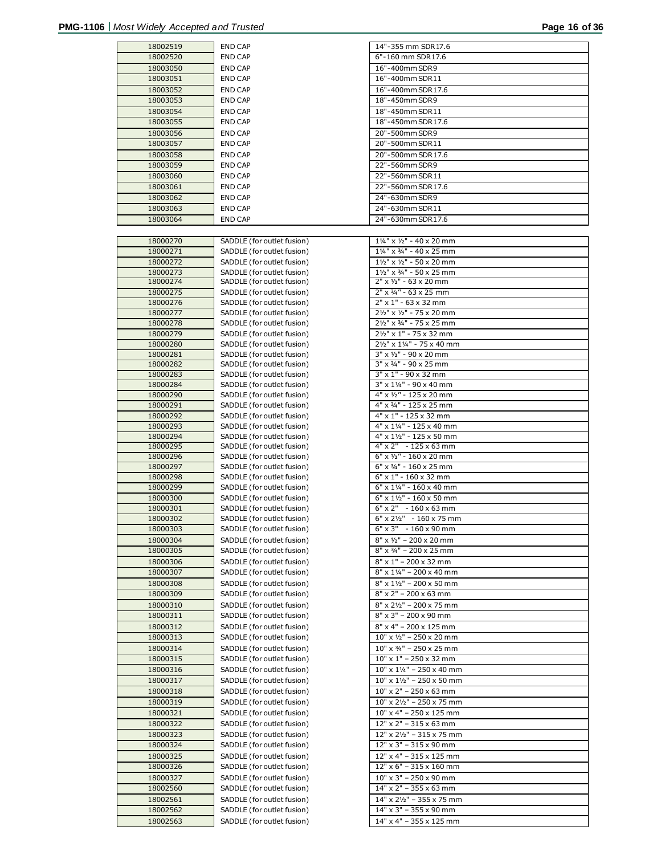| 18002519 | <b>END CAP</b>             | 14"-355 mm SDR17.6                              |
|----------|----------------------------|-------------------------------------------------|
| 18002520 | <b>END CAP</b>             | 6"-160 mm SDR17.6                               |
| 18003050 | <b>END CAP</b>             | 16"-400mm SDR9                                  |
| 18003051 | <b>END CAP</b>             | 16"-400mm SDR11                                 |
| 18003052 | <b>END CAP</b>             | 16"-400mm SDR17.6                               |
| 18003053 |                            | 18"-450mm SDR9                                  |
|          | <b>END CAP</b>             |                                                 |
| 18003054 | <b>END CAP</b>             | 18"-450mm SDR11                                 |
| 18003055 | <b>END CAP</b>             | 18"-450mm SDR17.6                               |
| 18003056 | <b>END CAP</b>             | 20"-500mm SDR9                                  |
| 18003057 | <b>END CAP</b>             | 20"-500mm SDR11                                 |
| 18003058 | <b>END CAP</b>             | 20"-500mm SDR17.6                               |
|          |                            |                                                 |
| 18003059 | <b>END CAP</b>             | 22"-560mm SDR9                                  |
| 18003060 | <b>END CAP</b>             | 22"-560mm SDR11                                 |
| 18003061 | <b>END CAP</b>             | 22"-560mm SDR17.6                               |
| 18003062 | <b>END CAP</b>             | 24"-630mm SDR9                                  |
| 18003063 | <b>END CAP</b>             | 24"-630mm SDR11                                 |
| 18003064 | <b>END CAP</b>             | 24"-630mm SDR17.6                               |
|          |                            |                                                 |
|          |                            |                                                 |
| 18000270 | SADDLE (for outlet fusion) | $1\frac{1}{4}$ " x $\frac{1}{2}$ " - 40 x 20 mm |
| 18000271 | SADDLE (for outlet fusion) | $1\frac{1}{4}$ " x $\frac{3}{4}$ " - 40 x 25 mm |
| 18000272 | SADDLE (for outlet fusion) | 11/2" x 1/2" - 50 x 20 mm                       |
| 18000273 | SADDLE (for outlet fusion) | $1\frac{1}{2}$ " x 34" - 50 x 25 mm             |
| 18000274 | SADDLE (for outlet fusion) | $2" \times 1/2" - 63 \times 20$ mm              |
| 18000275 | SADDLE (for outlet fusion) | 2" x 3/4" - 63 x 25 mm                          |
| 18000276 | SADDLE (for outlet fusion) | $2" \times 1" - 63 \times 32$ mm                |
| 18000277 | SADDLE (for outlet fusion) | 21/2" x 1/2" - 75 x 20 mm                       |
|          |                            |                                                 |
| 18000278 | SADDLE (for outlet fusion) | 21/2" x 3/4" - 75 x 25 mm                       |
| 18000279 | SADDLE (for outlet fusion) | 21/2" x 1" - 75 x 32 mm                         |
| 18000280 | SADDLE (for outlet fusion) | 21/2" x 11/4" - 75 x 40 mm                      |
| 18000281 | SADDLE (for outlet fusion) | $3'' \times 1/2'' - 90 \times 20$ mm            |
| 18000282 | SADDLE (for outlet fusion) | $3''$ x $3/4''$ - 90 x 25 mm                    |
| 18000283 | SADDLE (for outlet fusion) | $3" \times 1" - 90 \times 32$ mm                |
| 18000284 | SADDLE (for outlet fusion) | 3" x 11/4" - 90 x 40 mm                         |
| 18000290 | SADDLE (for outlet fusion) | 4" x 1/2" - 125 x 20 mm                         |
| 18000291 | SADDLE (for outlet fusion) | 4" x 3/4" - 125 x 25 mm                         |
|          |                            |                                                 |
| 18000292 | SADDLE (for outlet fusion) | 4" x 1" - 125 x 32 mm                           |
| 18000293 | SADDLE (for outlet fusion) | 4" x 11/4" - 125 x 40 mm                        |
| 18000294 | SADDLE (for outlet fusion) | 4" x 11/2" - 125 x 50 mm                        |
| 18000295 | SADDLE (for outlet fusion) | $4" \times 2" - 125 \times 63$ mm               |
| 18000296 | SADDLE (for outlet fusion) | $6"$ x $1/2"$ - 160 x 20 mm                     |
| 18000297 | SADDLE (for outlet fusion) | 6" x 3/4" - 160 x 25 mm                         |
| 18000298 | SADDLE (for outlet fusion) | 6" x 1" - 160 x 32 mm                           |
| 18000299 | SADDLE (for outlet fusion) | 6" x 11/4" - 160 x 40 mm                        |
| 18000300 | SADDLE (for outlet fusion) | $6" \times 1\frac{1}{2}$ " - 160 x 50 mm        |
| 18000301 | SADDLE (for outlet fusion) | $6" \times 2" - 160 \times 63$ mm               |
| 18000302 | SADDLE (for outlet fusion) | 6" x 21/2" - 160 x 75 mm                        |
| 18000303 |                            | $6" \times 3" - 160 \times 90$ mm               |
|          | SADDLE (for outlet fusion) |                                                 |
| 18000304 | SADDLE (for outlet fusion) | $8" \times 1/2" - 200 \times 20$ mm             |
| 18000305 | SADDLE (for outlet fusion) | 8" x 3/4" - 200 x 25 mm                         |
| 18000306 | SADDLE (for outlet fusion) | 8" x 1" - 200 x 32 mm                           |
| 18000307 | SADDLE (for outlet fusion) | $8" \times 1\frac{1}{4}$ " – 200 x 40 mm        |
| 18000308 | SADDLE (for outlet fusion) | $8" \times 1\frac{1}{2}" - 200 \times 50$ mm    |
| 18000309 | SADDLE (for outlet fusion) | $8"$ x 2" - 200 x 63 mm                         |
|          |                            |                                                 |
| 18000310 | SADDLE (for outlet fusion) | $8'' \times 2\frac{1}{2}'' - 200 \times 75$ mm  |
| 18000311 | SADDLE (for outlet fusion) | 8" x 3" - 200 x 90 mm                           |
| 18000312 | SADDLE (for outlet fusion) | 8" x 4" - 200 x 125 mm                          |
| 18000313 | SADDLE (for outlet fusion) | $10" \times V_2" - 250 \times 20$ mm            |
| 18000314 | SADDLE (for outlet fusion) | 10" x 3/4" - 250 x 25 mm                        |
| 18000315 | SADDLE (for outlet fusion) | 10" x 1" - 250 x 32 mm                          |
| 18000316 | SADDLE (for outlet fusion) | $10"$ x $1\frac{1}{4}$ " - 250 x 40 mm          |
|          |                            |                                                 |
| 18000317 | SADDLE (for outlet fusion) | $10" \times 1\frac{1}{2}$ " – 250 x 50 mm       |
| 18000318 | SADDLE (for outlet fusion) | $10"$ x 2" - 250 x 63 mm                        |
| 18000319 | SADDLE (for outlet fusion) | $10"$ x $2\frac{1}{2}$ " - 250 x 75 mm          |
| 18000321 | SADDLE (for outlet fusion) | 10" x 4" - 250 x 125 mm                         |
| 18000322 | SADDLE (for outlet fusion) | 12" x 2" - 315 x 63 mm                          |
| 18000323 | SADDLE (for outlet fusion) | 12" x 21/2" - 315 x 75 mm                       |
|          |                            |                                                 |
| 18000324 | SADDLE (for outlet fusion) | 12" x 3" - 315 x 90 mm                          |
| 18000325 | SADDLE (for outlet fusion) | 12" x 4" - 315 x 125 mm                         |
| 18000326 | SADDLE (for outlet fusion) | $12" \times 6" - 315 \times 160$ mm             |
| 18000327 | SADDLE (for outlet fusion) | $10" \times 3" - 250 \times 90$ mm              |
| 18002560 | SADDLE (for outlet fusion) | 14" x 2" - 355 x 63 mm                          |
| 18002561 | SADDLE (for outlet fusion) | 14" x 21/2" - 355 x 75 mm                       |
|          | SADDLE (for outlet fusion) | 14" x 3" - 355 x 90 mm                          |
| 18002562 |                            |                                                 |
| 18002563 | SADDLE (for outlet fusion) | 14" x 4" - 355 x 125 mm                         |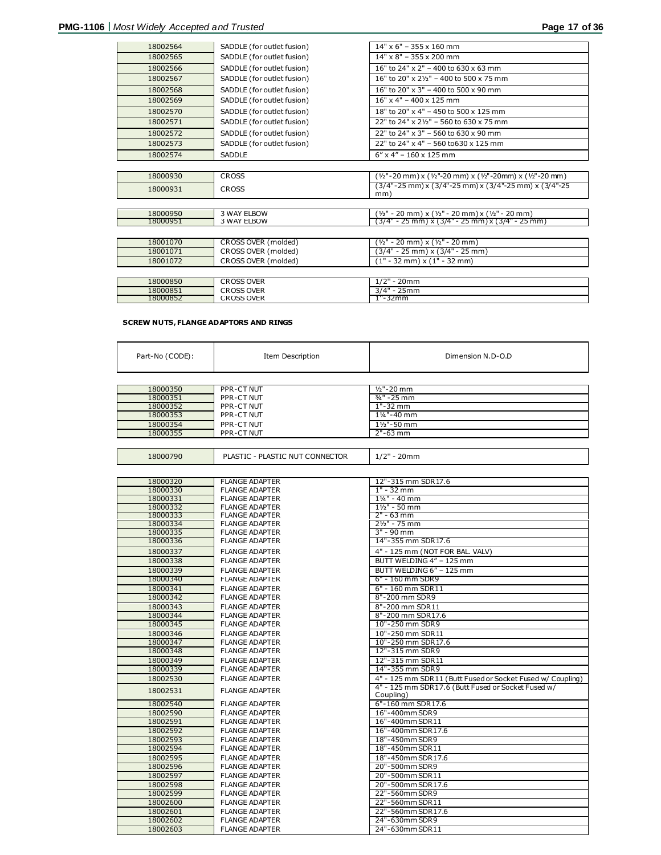| 18002564             | SADDLE (for outlet fusion)                 | $14" \times 6" - 355 \times 160$ mm                                |
|----------------------|--------------------------------------------|--------------------------------------------------------------------|
| 18002565             | SADDLE (for outlet fusion)                 | $14" \times 8" - 355 \times 200$ mm                                |
| 18002566             | SADDLE (for outlet fusion)                 | 16" to 24" x 2" - 400 to 630 x 63 mm                               |
| 18002567             | SADDLE (for outlet fusion)                 | 16" to 20" x 21/2" - 400 to 500 x 75 mm                            |
| 18002568             | SADDLE (for outlet fusion)                 | 16" to 20" x 3" - 400 to 500 x 90 mm                               |
| 18002569             | SADDLE (for outlet fusion)                 | $16"$ x 4" - 400 x 125 mm                                          |
| 18002570             | SADDLE (for outlet fusion)                 | 18" to 20" x 4" - 450 to 500 x 125 mm                              |
| 18002571             | SADDLE (for outlet fusion)                 | 22" to 24" x 21/2" - 560 to 630 x 75 mm                            |
| 18002572             | SADDLE (for outlet fusion)                 | 22" to 24" $\times$ 3" - 560 to 630 $\times$ 90 mm                 |
| 18002573             | SADDLE (for outlet fusion)                 | 22" to 24" x 4" - 560 to 630 x 125 mm                              |
| 18002574             | <b>SADDLE</b>                              | $6''$ x 4" - 160 x 125 mm                                          |
|                      |                                            |                                                                    |
| 18000930             | <b>CROSS</b>                               | (1/2"-20 mm) x (1/2"-20 mm) x (1/2"-20mm) x (1/2"-20 mm)           |
| 18000931             | <b>CROSS</b>                               | (3/4"-25 mm) x (3/4"-25 mm) x (3/4"-25 mm) x (3/4"-25<br>mm)       |
|                      |                                            |                                                                    |
| 18000950             | 3 WAY ELBOW                                | $(y_2" - 20$ mm) x ( $y_2" - 20$ mm) x ( $y_2" - 20$ mm)           |
| 18000951             | 3 WAY ELBOW                                | (3/4" - 25 mm) x (3/4" - 25 mm) x (3/4" - 25 mm)                   |
|                      |                                            |                                                                    |
| 18001070<br>18001071 | CROSS OVER (molded)                        | (½" - 20 mm) x (½" - 20 mm)                                        |
| 18001072             | CROSS OVER (molded)<br>CROSS OVER (molded) | $(3/4" - 25$ mm) x $(3/4" - 25$ mm)<br>(1" - 32 mm) x (1" - 32 mm) |
|                      |                                            |                                                                    |
|                      |                                            |                                                                    |
| 18000850<br>18000851 | <b>CROSS OVER</b><br><b>CROSS OVER</b>     | $1/2" - 20mm$<br>$3/4" - 25mm$                                     |
| 18000852             | <b>CROSS OVER</b>                          | 1"-32mm                                                            |
|                      |                                            |                                                                    |

#### **SCREW NUTS, FLANGE ADAPTORS AND RINGS**

| Part-No (CODE): | <b>Item Description</b> | Dimension N.D-O.D        |
|-----------------|-------------------------|--------------------------|
|                 |                         |                          |
| 18000350        | <b>PPR-CT NUT</b>       | $1/2$ "-20 mm            |
| 18000351        | PPR-CT NUT              | $3/4$ " - 25 mm          |
| 18000352        | PPR-CT NUT              | 1"-32 mm                 |
| 18000353        | PPR-CT NUT              | 11/ <sub>4</sub> "-40 mm |
| 18000354        | PPR-CT NUT              | $1\frac{1}{2}$ "-50 mm   |
| 18000355        | PPR-CT NUT              | $2" - 63$ mm             |

| 18000790 | PLASTIC - PLASTIC NUT CONNECTOR | 1/2" - 20mm        |
|----------|---------------------------------|--------------------|
|          |                                 |                    |
| 18000320 | <b>FLANGE ADAPTER</b>           | 12"-315 mm SDR17.6 |
|          | <b>FLANGE ADAPTER</b>           | $-32$ mm<br>1 H    |

| 18000330 | <b>FLANGE ADAPTER</b> | $1" - 32$ mm                                               |
|----------|-----------------------|------------------------------------------------------------|
| 18000331 | <b>FLANGE ADAPTER</b> | $1\frac{1}{4}$ " - 40 mm                                   |
| 18000332 | <b>FLANGE ADAPTER</b> | $1\frac{1}{2}$ " - 50 mm                                   |
| 18000333 | <b>FLANGE ADAPTER</b> | 2" - 63 mm                                                 |
| 18000334 | <b>FLANGE ADAPTER</b> | $2\frac{1}{2}$ " - 75 mm                                   |
| 18000335 | <b>FLANGE ADAPTER</b> | $3" - 90$ mm                                               |
| 18000336 | <b>FLANGE ADAPTER</b> | 14"-355 mm SDR17.6                                         |
| 18000337 | <b>FLANGE ADAPTER</b> | 4" - 125 mm (NOT FOR BAL. VALV)                            |
| 18000338 | <b>FLANGE ADAPTER</b> | BUTT WELDING 4" - 125 mm                                   |
| 18000339 | <b>FLANGE ADAPTER</b> | BUTT WELDING 6" - 125 mm                                   |
| 18000340 | <b>FLANGE ADAPTER</b> | 6" - 160 mm SDR9                                           |
| 18000341 | <b>FLANGE ADAPTER</b> | 6" - 160 mm SDR11                                          |
| 18000342 | <b>FLANGE ADAPTER</b> | 8"-200 mm SDR9                                             |
| 18000343 | <b>FLANGE ADAPTER</b> | 8"-200 mm SDR11                                            |
| 18000344 | <b>FLANGE ADAPTER</b> | 8"-200 mm SDR17.6                                          |
| 18000345 | <b>FLANGE ADAPTER</b> | 10"-250 mm SDR9                                            |
| 18000346 | <b>FLANGE ADAPTER</b> | 10"-250 mm SDR 11                                          |
| 18000347 | <b>FLANGE ADAPTER</b> | 10"-250 mm SDR17.6                                         |
| 18000348 | <b>FLANGE ADAPTER</b> | 12"-315 mm SDR9                                            |
| 18000349 | <b>FLANGE ADAPTER</b> | 12"-315 mm SDR11                                           |
| 18000339 | <b>FLANGE ADAPTER</b> | 14"-355 mm SDR9                                            |
| 18002530 | <b>FLANGE ADAPTER</b> | 4" - 125 mm SDR11 (Butt Fused or Socket Fused w/ Coupling) |
| 18002531 | <b>FLANGE ADAPTER</b> | 4" - 125 mm SDR17.6 (Butt Fused or Socket Fused w/         |
|          |                       | Coupling)                                                  |
| 18002540 | <b>FLANGE ADAPTER</b> | 6"-160 mm SDR17.6                                          |
| 18002590 | <b>FLANGE ADAPTER</b> | 16"-400mm SDR9                                             |
| 18002591 | <b>FLANGE ADAPTER</b> | 16"-400mm SDR11                                            |
| 18002592 | <b>FLANGE ADAPTER</b> | 16"-400mm SDR17.6                                          |
| 18002593 | <b>FLANGE ADAPTER</b> | 18"-450mm SDR9                                             |
| 18002594 | <b>FLANGE ADAPTER</b> | 18"-450mm SDR11                                            |
| 18002595 | <b>FLANGE ADAPTER</b> | 18"-450mm SDR17.6                                          |
| 18002596 | <b>FLANGE ADAPTER</b> | 20"-500mm SDR9                                             |
| 18002597 | <b>FLANGE ADAPTER</b> | 20"-500mm SDR11                                            |
| 18002598 | <b>FLANGE ADAPTER</b> | 20"-500mm SDR17.6                                          |
| 18002599 | <b>FLANGE ADAPTER</b> | 22"-560mm SDR9                                             |
| 18002600 | <b>FLANGE ADAPTER</b> | 22"-560mm SDR11                                            |
| 18002601 | <b>FLANGE ADAPTER</b> | 22"-560mm SDR17.6                                          |
| 18002602 | <b>FLANGE ADAPTER</b> | 24"-630mm SDR9                                             |
| 18002603 | <b>FLANGE ADAPTER</b> | 24"-630mm SDR11                                            |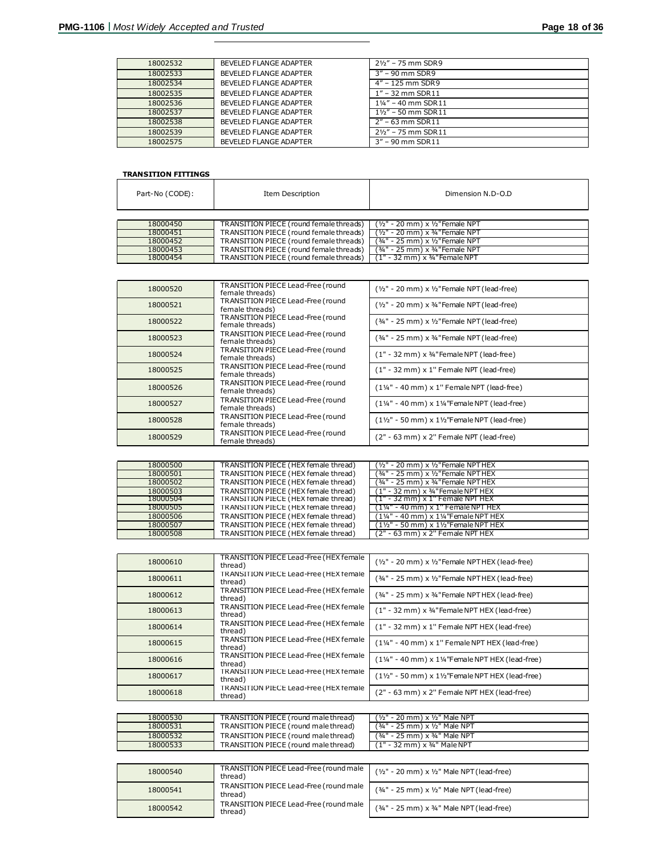| 18002532 | BEVELED FLANGE ADAPTER | $2\frac{1}{2}$ – 75 mm SDR9    |
|----------|------------------------|--------------------------------|
| 18002533 | BEVELED FLANGE ADAPTER | $3" - 90$ mm SDR9              |
| 18002534 | BEVELED FLANGE ADAPTER | $4" - 125$ mm SDR9             |
| 18002535 | BEVELED FLANGE ADAPTER | $1" - 32$ mm SDR $11$          |
| 18002536 | BEVELED FLANGE ADAPTER | $1\frac{1}{4}$ " – 40 mm SDR11 |
| 18002537 | BEVELED FLANGE ADAPTER | $1\frac{1}{2}$ – 50 mm SDR11   |
| 18002538 | BEVELED FLANGE ADAPTER | $2" - 63$ mm SDR 11            |
| 18002539 | BEVELED FLANGE ADAPTER | $2\frac{1}{2}$ – 75 mm SDR11   |
| 18002575 | BEVELED FLANGE ADAPTER | $3'' - 90$ mm SDR11            |

## **TRANSITION FITTINGS**

| Part-No (CODE): | Item Description                        | Dimension N.D-O.D                          |
|-----------------|-----------------------------------------|--------------------------------------------|
|                 |                                         |                                            |
| 18000450        | TRANSITION PIECE (round female threads) | $(y_2" - 20$ mm $) \times y_2"$ Female NPT |
| 18000451        | TRANSITION PIECE (round female threads) | $(1/2" - 20$ mm $) \times 3/4"$ Female NPT |
| 18000452        | TRANSITION PIECE (round female threads) | (34" - 25 mm) x 1/2"Female NPT             |
| 18000453        | TRANSITION PIECE (round female threads) | (3/4" - 25 mm) x 3/4" Female NPT           |
| 18000454        | TRANSITION PIECE (round female threads) | $(1" - 32$ mm) x $\frac{3}{4}$ "Female NPT |

| 18000520 | TRANSITION PIECE Lead-Free (round<br>female threads) | $(y_2" - 20$ mm) x $y_2"$ Female NPT (lead-free)                    |
|----------|------------------------------------------------------|---------------------------------------------------------------------|
| 18000521 | TRANSITION PIECE Lead-Free (round<br>female threads) | $(y_2" - 20$ mm) x $\frac{3}{4}$ "Female NPT (lead-free)            |
| 18000522 | TRANSITION PIECE Lead-Free (round<br>female threads) | $(34" - 25$ mm) x $1/2"$ Female NPT (lead-free)                     |
| 18000523 | TRANSITION PIECE Lead-Free (round<br>female threads) | $(34" - 25$ mm) x $34"$ Female NPT (lead-free)                      |
| 18000524 | TRANSITION PIECE Lead-Free (round<br>female threads) | $(1" - 32$ mm) x 3/4"Female NPT (lead-free)                         |
| 18000525 | TRANSITION PIECE Lead-Free (round<br>female threads) | $(1" - 32$ mm) $\times$ 1" Female NPT (lead-free)                   |
| 18000526 | TRANSITION PIECE Lead-Free (round<br>female threads) | $(1\frac{1}{4}$ " - 40 mm) x 1" Female NPT (lead-free)              |
| 18000527 | TRANSITION PIECE Lead-Free (round<br>female threads) | $(1\frac{1}{4}$ " - 40 mm) x $1\frac{1}{4}$ "Female NPT (lead-free) |
| 18000528 | TRANSITION PIECE Lead-Free (round<br>female threads) | $(1\frac{1}{2})$ - 50 mm) x $1\frac{1}{2}$ Female NPT (lead-free)   |
| 18000529 | TRANSITION PIECE Lead-Free (round<br>female threads) | (2" - 63 mm) x 2" Female NPT (lead-free)                            |

| 18000500 | TRANSITION PIECE (HEX female thread) | $(y_2" - 20$ mm) x $y_2"$ Female NPT HEX                    |
|----------|--------------------------------------|-------------------------------------------------------------|
| 18000501 | TRANSITION PIECE (HEX female thread) | $(34" - 25$ mm $) \times 1/2"$ Female NPT HEX               |
| 18000502 | TRANSITION PIECE (HEX female thread) | $(34" - 25$ mm) x $34"$ Female NPT HEX                      |
| 18000503 | TRANSITION PIECE (HEX female thread) | $(1" - 32$ mm) x $\frac{3}{4}$ "Female NPT HEX              |
| 18000504 | TRANSITION PIECE (HEX female thread) | $(1" - 32$ mm) $\times$ 1" Female NPT HEX                   |
| 18000505 | TRANSITION PIECE (HEX female thread) | $(1\frac{1}{4}$ " - 40 mm) x 1" Female NPT HEX              |
| 18000506 | TRANSITION PIECE (HEX female thread) | $(1\frac{1}{4}$ " - 40 mm) x $1\frac{1}{4}$ "Female NPT HEX |
| 18000507 | TRANSITION PIECE (HEX female thread) | $(1\frac{1}{2}$ " - 50 mm) x $1\frac{1}{2}$ "Female NPT HEX |
| 18000508 | TRANSITION PIECE (HEX female thread) | $(2" - 63$ mm) x 2" Female NPT HEX                          |

| 18000610 | TRANSITION PIECE Lead-Free (HEX female<br>thread) | $(y_2" - 20$ mm) x $y_2"$ Female NPT HEX (lead-free)                    |
|----------|---------------------------------------------------|-------------------------------------------------------------------------|
| 18000611 | TRANSITION PIECE Lead-Free (HEX female<br>thread) | $(34" - 25$ mm) x $1/2"$ Female NPT HEX (lead-free)                     |
| 18000612 | TRANSITION PIECE Lead-Free (HEX female<br>thread) | (34" - 25 mm) x 34" Female NPT HEX (lead-free)                          |
| 18000613 | TRANSITION PIECE Lead-Free (HEX female<br>thread) | $(1" - 32 \text{ mm}) \times 34"$ Female NPT HEX (lead-free)            |
| 18000614 | TRANSITION PIECE Lead-Free (HEX female<br>thread) | (1" - 32 mm) x 1" Female NPT HEX (lead-free)                            |
| 18000615 | TRANSITION PIECE Lead-Free (HEX female<br>thread) | $(1\frac{1}{4}$ " - 40 mm) x 1" Female NPT HEX (lead-free)              |
| 18000616 | TRANSITION PIECE Lead-Free (HEX female<br>thread) | $(1\frac{1}{4}$ " - 40 mm) x $1\frac{1}{4}$ "Female NPT HEX (lead-free) |
| 18000617 | TRANSITION PIECE Lead-Free (HEX female<br>thread) | $(1\frac{1}{2})$ - 50 mm) x $1\frac{1}{2}$ Female NPT HEX (lead-free)   |
| 18000618 | TRANSITION PIECE Lead-Free (HEX female<br>thread) | (2" - 63 mm) x 2" Female NPT HEX (lead-free)                            |

| 18000530 | TRANSITION PIECE (round male thread) | $(y_2" - 20$ mm $) \times y_2"$ Male NPT |
|----------|--------------------------------------|------------------------------------------|
| 18000531 | TRANSITION PIECE (round male thread) | $(34" - 25$ mm $) \times 1/2"$ Male NPT  |
| 18000532 | TRANSITION PIECE (round male thread) | (34" - 25 mm) x 34" Male NPT             |
| 18000533 | TRANSITION PIECE (round male thread) | (1" - 32 mm) x 34" Male NPT              |

| 18000540 | TRANSITION PIECE Lead-Free (round male<br>thread) | $(y_2" - 20$ mm) x $y_2"$ Male NPT (lead-free)            |
|----------|---------------------------------------------------|-----------------------------------------------------------|
| 18000541 | TRANSITION PIECE Lead-Free (round male<br>thread) | $(34" - 25 \text{ mm}) \times 1/2"$ Male NPT (lead-free)  |
| 18000542 | TRANSITION PIECE Lead-Free (round male<br>thread) | $(34" - 25 \, \text{mm}) \times 34"$ Male NPT (lead-free) |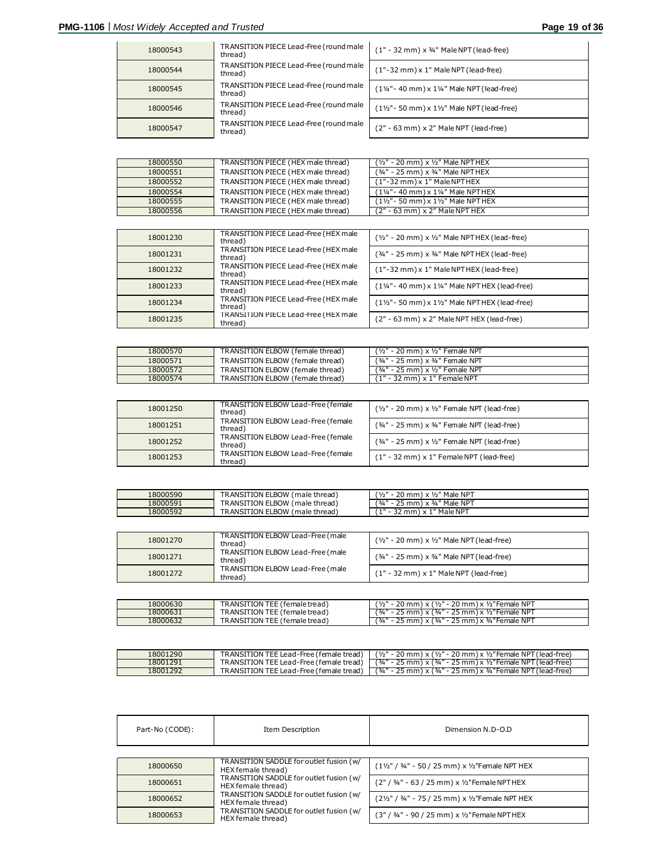| 18000543 | TRANSITION PIECE Lead-Free (round male<br>thread) | $(1" - 32$ mm) x 3/4" Male NPT (lead-free)                                |
|----------|---------------------------------------------------|---------------------------------------------------------------------------|
| 18000544 | TRANSITION PIECE Lead-Free (round male<br>thread) | $(1" - 32$ mm) x 1" Male NPT (lead-free)                                  |
| 18000545 | TRANSITION PIECE Lead-Free (round male<br>thread) | $(1\frac{1}{4} - 40 \text{ mm}) \times 1\frac{1}{4}$ Male NPT (lead-free) |
| 18000546 | TRANSITION PIECE Lead-Free (round male<br>thread) | $(1\frac{1}{2} - 50 \text{ mm}) \times 1\frac{1}{2}$ Male NPT (lead-free) |
| 18000547 | TRANSITION PIECE Lead-Free (round male<br>thread) | (2" - 63 mm) x 2" Male NPT (lead-free)                                    |

| 18000550 | TRANSITION PIECE (HEX male thread) | $(y_2" - 20$ mm) x $y_2"$ Male NPTHEX                             |
|----------|------------------------------------|-------------------------------------------------------------------|
| 18000551 | TRANSITION PIECE (HEX male thread) | (3/4" - 25 mm) x 3/4" Male NPTHEX                                 |
| 18000552 | TRANSITION PIECE (HEX male thread) | $(1" - 32$ mm) x 1" Male NPT HEX                                  |
| 18000554 | TRANSITION PIECE (HEX male thread) | $(1\frac{1}{4} - 40 \text{ mm}) \times 1\frac{1}{4}$ Male NPT HEX |
| 18000555 | TRANSITION PIECE (HEX male thread) | $(1\frac{1}{2} - 50 \text{ mm}) \times 1\frac{1}{2}$ Male NPTHEX  |
| 18000556 | TRANSITION PIECE (HEX male thread) | $(2" - 63$ mm) $\times$ 2" Male NPT HEX                           |

| 18001230 | TRANSITION PIECE Lead-Free (HEX male<br>thread) | $(y_2" - 20$ mm) x $y_2"$ Male NPTHEX (lead-free)                             |
|----------|-------------------------------------------------|-------------------------------------------------------------------------------|
| 18001231 | TRANSITION PIECE Lead-Free (HEX male<br>thread) | $(34" - 25$ mm) x $34"$ Male NPTHEX (lead-free)                               |
| 18001232 | TRANSITION PIECE Lead-Free (HEX male<br>thread) | $(1" - 32$ mm) x 1" Male NPT HEX (lead-free)                                  |
| 18001233 | TRANSITION PIECE Lead-Free (HEX male<br>thread) | $(1\frac{1}{4} - 40 \text{ mm}) \times 1\frac{1}{4}$ Male NPT HEX (lead-free) |
| 18001234 | TRANSITION PIECE Lead-Free (HEX male<br>thread) | $(1\frac{1}{2} - 50 \text{ mm}) \times 1\frac{1}{2}$ Male NPT HEX (lead-free) |
| 18001235 | TRANSITION PIECE Lead-Free (HEX male<br>thread) | (2" - 63 mm) x 2" Male NPT HEX (lead-free)                                    |

| 18000570 | TRANSITION ELBOW (female thread) | (1/2" - 20 mm) x 1/2" Female NPT            |
|----------|----------------------------------|---------------------------------------------|
| 18000571 | TRANSITION ELBOW (female thread) | $(34" - 25$ mm $) \times 34"$ Female NPT    |
| 18000572 | TRANSITION ELBOW (female thread) | $(34" - 25$ mm $) \times 1/2"$ Female NPT   |
| 18000574 | TRANSITION ELBOW (female thread) | $(1" - 32 \text{ mm}) \times 1"$ Female NPT |

| 18001250 | TRANSITION ELBOW Lead-Free (female<br>thread) | $(y_2" - 20$ mm) x $y_2"$ Female NPT (lead-free)           |
|----------|-----------------------------------------------|------------------------------------------------------------|
| 18001251 | TRANSITION ELBOW Lead-Free (female<br>thread) | $(34" - 25 \text{ mm}) \times 34"$ Female NPT (lead-free)  |
| 18001252 | TRANSITION ELBOW Lead-Free (female<br>thread) | $(34" - 25 \text{ mm}) \times 1/2"$ Female NPT (lead-free) |
| 18001253 | TRANSITION ELBOW Lead-Free (female<br>thread) | $(1" - 32$ mm) $\times$ 1" Female NPT (lead-free)          |

| 18000590 | TRANSITION ELBOW (male thread) | $20 \text{ mm}$ ) x $1/2$ " Male NPT       |
|----------|--------------------------------|--------------------------------------------|
| 18000591 | TRANSITION ELBOW (male thread) | ' 3/4 "<br>$25$ mm) $\times$ 3/4" Male NPT |
| 18000592 | TRANSITION ELBOW (male thread) | 4 H<br>L" Male NPT<br>! mm<br>$\sqrt{ }$   |

| 18001270 | TRANSITION ELBOW Lead-Free (male<br>thread) | $(y_2" - 20$ mm) x $y_2"$ Male NPT (lead-free)            |
|----------|---------------------------------------------|-----------------------------------------------------------|
| 18001271 | TRANSITION ELBOW Lead-Free (male<br>thread) | $(34" - 25 \, \text{mm}) \times 34"$ Male NPT (lead-free) |
| 18001272 | TRANSITION ELBOW Lead-Free (male<br>thread) | $(1" - 32$ mm) $\times$ 1" Male NPT (lead-free)           |
|          |                                             |                                                           |

| 18000630 | TRANSITION TEE (female tread)  | - 20 mm) x (½" - 20 mm) x ½"Female NPT<br>1/2"             |
|----------|--------------------------------|------------------------------------------------------------|
| 18000631 | TRANSITION TEE (female tread)  | 25 mm) x (34" - 25 mm) x 1/2" Female NPT                   |
| 8000632  | [TRANSITION TEE (female tread) | (¾" - 25 mm) x ¾"Female NPT<br>$\times$ (<br>$\frac{3}{4}$ |

| 18001290 | TRANSITION TEE Lead-Free (female tread) | $(y_2$ " - 20 mm) x $(y_2$ " - 20 mm) x $y_2$ "Female NPT (lead-free)        |
|----------|-----------------------------------------|------------------------------------------------------------------------------|
| 18001291 | TRANSITION TEE Lead-Free (female tread) | $(34" - 25$ mm $) \times (34" - 25$ mm $) \times 72"$ Female NPT (lead-free) |
| 18001292 | TRANSITION TEE Lead-Free (female tread) | $(34" - 25$ mm) x $(34" - 25$ mm) x $34"$ Female NPT (lead-free)             |

| Part-No (CODE): | Item Description                                              | Dimension N.D-O.D                                                     |
|-----------------|---------------------------------------------------------------|-----------------------------------------------------------------------|
|                 |                                                               |                                                                       |
| 18000650        | TRANSITION SADDLE for outlet fusion (w/<br>HEX female thread) | $(1\frac{1}{2}$ " / 3/4" - 50 / 25 mm) x 1/2 "Female NPT HEX          |
| 18000651        | TRANSITION SADDLE for outlet fusion (w/<br>HEX female thread) | $(2" / 34" - 63 / 25$ mm) x 1/2" Female NPT HEX                       |
| 18000652        | TRANSITION SADDLE for outlet fusion (w/<br>HEX female thread) | $(2\frac{1}{2}\frac{1}{2})$ / 34" - 75 / 25 mm) x 1/2 "Female NPT HEX |
| 18000653        | TRANSITION SADDLE for outlet fusion (w/<br>HEX female thread) | (3" / 34" - 90 / 25 mm) x 1/2" Female NPT HEX                         |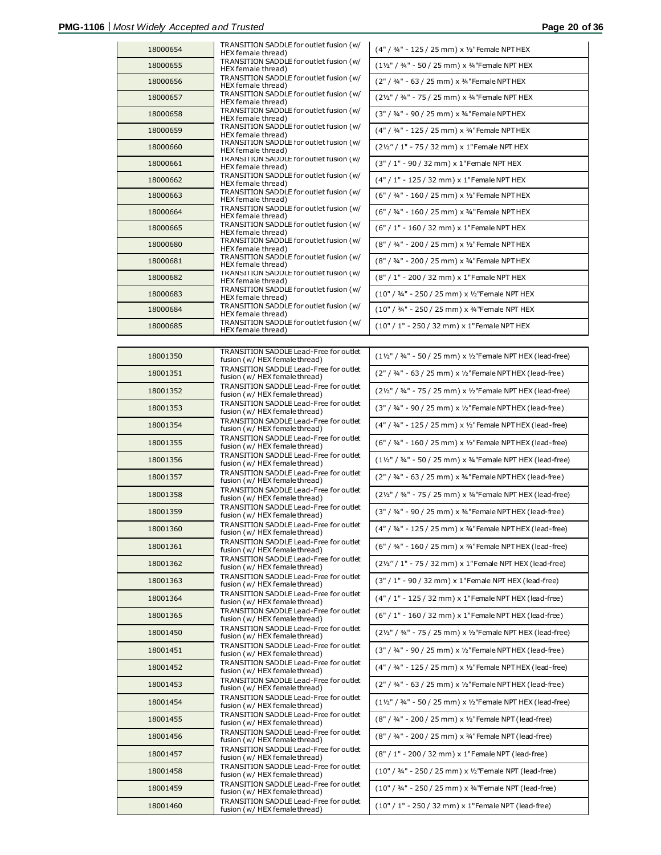| 18000654 | TRANSITION SADDLE for outlet fusion (w/<br>HEX female thread)  | (4" / 34" - 125 / 25 mm) x 1/2" Female NPT HEX   |
|----------|----------------------------------------------------------------|--------------------------------------------------|
| 18000655 | TRANSITION SADDLE for outlet fusion (w/<br>HEX female thread)  | (11/2" / 3/4" - 50 / 25 mm) x 3/4"Female NPT HEX |
| 18000656 | TRANSITION SADDLE for outlet fusion (w/<br>HEX female thread)  | (2" / 34" - 63 / 25 mm) x 34" Female NPT HEX     |
| 18000657 | TRANSITION SADDLE for outlet fusion (w/<br>HEX female thread)  | (21/2" / 3/4" - 75 / 25 mm) x 3/4"Female NPT HEX |
| 18000658 | TRANSITION SADDLE for outlet fusion (w/<br>HEX female thread)  | (3" / 34" - 90 / 25 mm) x 34" Female NPT HEX     |
| 18000659 | TRANSITION SADDLE for outlet fusion ( w/<br>HEX female thread) | (4" / 34" - 125 / 25 mm) x 34" Female NPT HEX    |
| 18000660 | TRANSITION SADDLE for outlet fusion (w/<br>HEX female thread)  | (21/2" / 1" - 75 / 32 mm) x 1"Female NPT HEX     |
| 18000661 | TRANSITION SADDLE for outlet fusion (w/<br>HEX female thread)  | (3" / 1" - 90 / 32 mm) x 1"Female NPT HEX        |
| 18000662 | TRANSITION SADDLE for outlet fusion (w/<br>HEX female thread)  | (4" / 1" - 125 / 32 mm) x 1"Female NPT HEX       |
| 18000663 | TRANSITION SADDLE for outlet fusion (w/<br>HEX female thread)  | (6" / 34" - 160 / 25 mm) x 1/2" Female NPT HEX   |
| 18000664 | TRANSITION SADDLE for outlet fusion (w/<br>HEX female thread)  | (6" / 3/4" - 160 / 25 mm) x 3/4" Female NPT HEX  |
| 18000665 | TRANSITION SADDLE for outlet fusion (w/<br>HEX female thread)  | (6" / 1" - 160 / 32 mm) x 1"Female NPT HEX       |
| 18000680 | TRANSITION SADDLE for outlet fusion (w/<br>HEX female thread)  | (8" / 3/4" - 200 / 25 mm) x 1/2" Female NPT HEX  |
| 18000681 | TRANSITION SADDLE for outlet fusion (w/<br>HEX female thread)  | (8" / 3/4" - 200 / 25 mm) x 3/4" Female NPT HEX  |
| 18000682 | TRANSITION SADDLE for outlet fusion (w/<br>HEX female thread)  | (8" / 1" - 200 / 32 mm) x 1"Female NPT HEX       |
| 18000683 | TRANSITION SADDLE for outlet fusion (w/<br>HEX female thread)  | (10" / 34" - 250 / 25 mm) x 1/2"Female NPT HEX   |
| 18000684 | TRANSITION SADDLE for outlet fusion (w/<br>HEX female thread)  | (10" / 3/4" - 250 / 25 mm) x 3/4"Female NPT HEX  |
| 18000685 | TRANSITION SADDLE for outlet fusion (w/<br>HEX female thread)  | (10" / 1" - 250 / 32 mm) x 1"Female NPT HEX      |

| 18001350 | TRANSITION SADDLE Lead-Free for outlet<br>fusion (w/ HEX female thread) | (11/2" / 3/4" - 50 / 25 mm) x 1/2"Female NPT HEX (lead-free |
|----------|-------------------------------------------------------------------------|-------------------------------------------------------------|
| 18001351 | TRANSITION SADDLE Lead-Free for outlet<br>fusion (w/ HEX female thread) | (2" / 3/4" - 63 / 25 mm) x 1/2" Female NPT HEX (lead-free)  |
| 18001352 | TRANSITION SADDLE Lead-Free for outlet<br>fusion (w/ HEX female thread) | (21/2" / 3/4" - 75 / 25 mm) x 1/2"Female NPT HEX (lead-free |
| 18001353 | TRANSITION SADDLE Lead-Free for outlet<br>fusion (w/ HEX female thread) | (3" / 3/4" - 90 / 25 mm) x 1/2" Female NPT HEX (lead-free)  |
| 18001354 | TRANSITION SADDLE Lead-Free for outlet<br>fusion (w/ HEX female thread) | (4" / 3/4" - 125 / 25 mm) x 1/2" Female NPT HEX (lead-free  |
| 18001355 | TRANSITION SADDLE Lead-Free for outlet<br>fusion (w/ HEX female thread) | (6" / 3/4" - 160 / 25 mm) x 1/2" Female NPT HEX (lead-free  |
| 18001356 | TRANSITION SADDLE Lead-Free for outlet<br>fusion (w/ HEX female thread) | (11/2" / 3/4" - 50 / 25 mm) x 3/4"Female NPT HEX (lead-free |
| 18001357 | TRANSITION SADDLE Lead-Free for outlet<br>fusion (w/ HEX female thread) | (2" / 3/4" - 63 / 25 mm) x 3/4" Female NPT HEX (lead-free)  |
| 18001358 | TRANSITION SADDLE Lead-Free for outlet<br>fusion (w/ HEX female thread) | (21/2" / 3/4" - 75 / 25 mm) x 3/4"Female NPT HEX (lead-free |
| 18001359 | TRANSITION SADDLE Lead-Free for outlet<br>fusion (w/ HEX female thread) | (3" / 3/4" - 90 / 25 mm) x 3/4" Female NPT HEX (lead-free)  |
| 18001360 | TRANSITION SADDLE Lead-Free for outlet<br>fusion (w/ HEX female thread) | (4" / 34" - 125 / 25 mm) x 34" Female NPT HEX (lead-free    |
| 18001361 | TRANSITION SADDLE Lead-Free for outlet<br>fusion (w/ HEX female thread) | (6" / 3/4" - 160 / 25 mm) x 3/4" Female NPT HEX (lead-free  |
| 18001362 | TRANSITION SADDLE Lead-Free for outlet<br>fusion (w/ HEX female thread) | (21/2" / 1" - 75 / 32 mm) x 1"Female NPT HEX (lead-free)    |
| 18001363 | TRANSITION SADDLE Lead-Free for outlet<br>fusion (w/ HEX female thread) | (3" / 1" - 90 / 32 mm) x 1"Female NPT HEX (lead-free)       |
| 18001364 | TRANSITION SADDLE Lead-Free for outlet<br>fusion (w/ HEX female thread) | (4" / 1" - 125 / 32 mm) x 1"Female NPT HEX (lead-free)      |
| 18001365 | TRANSITION SADDLE Lead-Free for outlet<br>fusion (w/ HEX female thread) | (6" / 1" - 160 / 32 mm) x 1"Female NPT HEX (lead-free)      |
| 18001450 | TRANSITION SADDLE Lead-Free for outlet<br>fusion (w/ HEX female thread) | (21/2" / 3/4" - 75 / 25 mm) x 1/2"Female NPT HEX (lead-free |
| 18001451 | TRANSITION SADDLE Lead-Free for outlet<br>fusion (w/ HEX female thread) | (3" / 3/4" - 90 / 25 mm) x 1/2" Female NPT HEX (lead-free)  |
| 18001452 | TRANSITION SADDLE Lead-Free for outlet<br>fusion (w/ HEX female thread) | (4" / 3/4" - 125 / 25 mm) x 1/2" Female NPT HEX (lead-free  |
| 18001453 | TRANSITION SADDLE Lead-Free for outlet<br>fusion (w/ HEX female thread) | (2" / 3/4" - 63 / 25 mm) x 1/2" Female NPT HEX (lead-free)  |
| 18001454 | TRANSITION SADDLE Lead-Free for outlet<br>fusion (w/ HEX female thread) | (11/2" / 3/4" - 50 / 25 mm) x 1/2"Female NPT HEX (lead-free |
| 18001455 | TRANSITION SADDLE Lead-Free for outlet<br>fusion (w/ HEX female thread) | (8" / 3/4" - 200 / 25 mm) x 1/2" Female NPT (lead-free)     |
| 18001456 | TRANSITION SADDLE Lead-Free for outlet<br>fusion (w/ HEX female thread) | (8" / 3/4" - 200 / 25 mm) x 3/4" Female NPT (lead-free)     |
| 18001457 | TRANSITION SADDLE Lead-Free for outlet<br>fusion (w/ HEX female thread) | (8" / 1" - 200 / 32 mm) x 1"Female NPT (lead-free)          |
| 18001458 | TRANSITION SADDLE Lead-Free for outlet<br>fusion (w/ HEX female thread) | (10" / 3/4" - 250 / 25 mm) x 1/2"Female NPT (lead-free)     |
| 18001459 | TRANSITION SADDLE Lead-Free for outlet<br>fusion (w/ HEX female thread) | (10" / 34" - 250 / 25 mm) x 34 "Female NPT (lead-free)      |
| 18001460 | TRANSITION SADDLE Lead-Free for outlet<br>fusion (w/ HEX female thread) | (10" / 1" - 250 / 32 mm) x 1"Female NPT (lead-free)         |

| TRANSITION SADDLE Lead-Free for outlet<br>fusion (w/ HEX female thread)         | $(1\frac{1}{2}\%$ / 34" - 50 / 25 mm) x 1/2 "Female NPT HEX (lead-free) |
|---------------------------------------------------------------------------------|-------------------------------------------------------------------------|
| TRANSITION SADDLE Lead-Free for outlet<br>fusion (w/HEX female thread)          | (2" / 3/4" - 63 / 25 mm) x 1/2" Female NPT HEX (lead-free)              |
| TRANSITION SADDLE Lead-Free for outlet<br>fusion (w/ HEX female thread)         | (21/2" / 3/4" - 75 / 25 mm) x 1/2"Female NPT HEX (lead-free)            |
| TRANSITION SADDLE Lead-Free for outlet<br>fusion (w/ HEX female thread)         | (3" / 3/4" - 90 / 25 mm) x 1/2" Female NPT HEX (lead-free)              |
| TRANSITION SADDLE Lead-Free for outlet<br>fusion ( w/ HEX female thread)        | (4" / 3/4" - 125 / 25 mm) x 1/2" Female NPT HEX (lead-free)             |
| TRANSITION SADDLE Lead-Free for outlet<br>fusion (w/ HEX female thread)         | (6" / 34" - 160 / 25 mm) x 1/2" Female NPT HEX (lead-free)              |
| TRANSITION SADDLE Lead-Free for outlet<br>fusion (w/HEX female thread)          | $(1\frac{1}{2}$ " / 34" - 50 / 25 mm) x 34 "Female NPT HEX (lead-free)  |
| TRANSITION SADDLE Lead-Free for outlet<br>fusion (w/ HEX female thread)         | (2" / 3/4" - 63 / 25 mm) x 3/4" Female NPT HEX (lead-free)              |
| <b>TRANSITION SADDLE Lead-Free for outlet</b><br>fusion (w/ HEX female thread)  | (21/2" / 3/4" - 75 / 25 mm) x 3/4"Female NPT HEX (lead-free)            |
| TRANSITION SADDLE Lead-Free for outlet<br>fusion (w/ HEX female thread)         | $(3" / 34" - 90 / 25$ mm) x $34"$ Female NPT HEX (lead-free)            |
| TRANSITION SADDLE Lead-Free for outlet<br>fusion ( w / HEX female thread )      | (4" / 3/4" - 125 / 25 mm) x 3/4" Female NPT HEX (lead-free)             |
| TRANSITION SADDLE Lead-Free for outlet<br>fusion (w/HEX female thread)          | (6" / 34" - 160 / 25 mm) x 34" Female NPT HEX (lead-free)               |
| TRANSITION SADDLE Lead-Free for outlet<br>fusion (w/ HEX female thread)         | (21/2" / 1" - 75 / 32 mm) x 1"Female NPT HEX (lead-free)                |
| TRANSITION SADDLE Lead-Free for outlet<br>fusion ( w/ HEX female thread)        | (3" / 1" - 90 / 32 mm) x 1"Female NPT HEX (lead-free)                   |
| TRANSITION SADDLE Lead-Free for outlet<br>fusion (w/HEX female thread)          | (4" / 1" - 125 / 32 mm) x 1"Female NPT HEX (lead-free)                  |
| TRANSITION SADDLE Lead-Free for outlet<br>fusion ( w/ HEX female thread)        | (6" / 1" - 160 / 32 mm) x 1"Female NPT HEX (lead-free)                  |
| TRANSITION SADDLE Lead-Free for outlet<br>fusion (w/HEX female thread)          | (21/2" / 3/4" - 75 / 25 mm) x 1/2"Female NPT HEX (lead-free)            |
| TRANSITION SADDLE Lead-Free for outlet<br>fusion (w/ HEX female thread)         | (3" / 3/4" - 90 / 25 mm) x 1/2" Female NPT HEX (lead-free)              |
| TRANSITION SADDLE Lead-Free for outlet<br>fusion (w/ HEX female thread)         | (4" / 34" - 125 / 25 mm) x 1/2" Female NPT HEX (lead-free)              |
| TRANSITION SADDLE Lead-Free for outlet<br>fusion (w/ HEX female thread)         | (2" / 3/4" - 63 / 25 mm) x 1/2" Female NPT HEX (lead-free)              |
| <b>TRANSITION SADDLE Lead-Free for outlet</b><br>fusion ( w/ HEX female thread) | (11/2" / 3/4" - 50 / 25 mm) x 1/2"Female NPT HEX (lead-free)            |
| TRANSITION SADDLE Lead-Free for outlet<br>fusion ( w/ HEX female thread)        | (8" / 34" - 200 / 25 mm) x 1/2" Female NPT (lead-free)                  |
| <b>TRANSITION SADDLE Lead-Free for outlet</b><br>fusion ( w/ HEX female thread) | (8" / 34" - 200 / 25 mm) x 34" Female NPT (lead-free)                   |
| TRANSITION SADDLE Lead-Free for outlet<br>fusion (w/ HEX female thread)         | (8" / 1" - 200 / 32 mm) x 1"Female NPT (lead-free)                      |
| TRANSITION SADDLE Lead-Free for outlet<br>fusion (w/ HEX female thread)         | (10" / 34" - 250 / 25 mm) x 1/2"Female NPT (lead-free)                  |
| TRANSITION SADDLE Lead-Free for outlet<br>fusion (w/HEX female thread)          | (10" / 34" - 250 / 25 mm) x 34 "Female NPT (lead-free)                  |
|                                                                                 |                                                                         |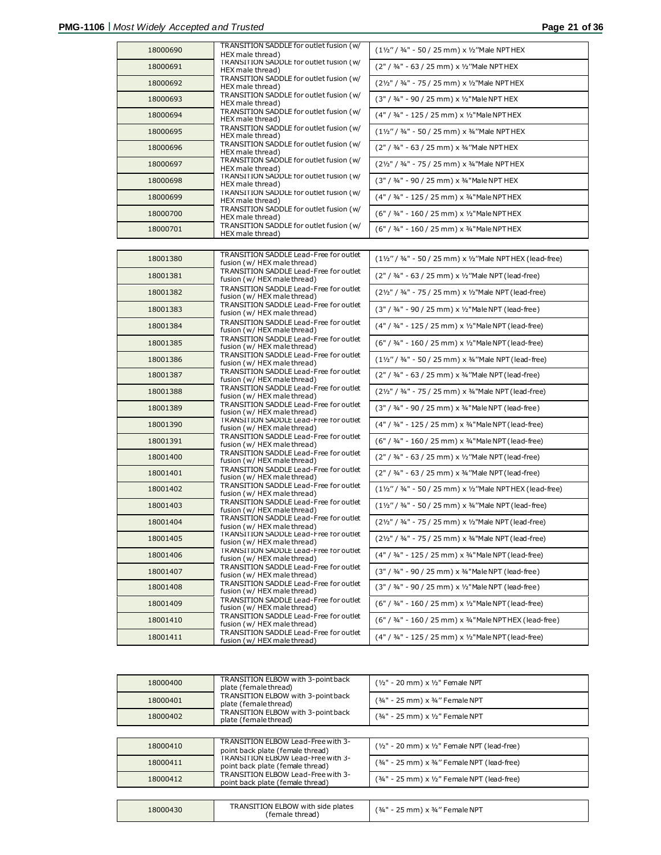| 18000690 | TRANSITION SADDLE for outlet fusion (w/<br>HEX male thread)           | $(1\frac{1}{2}$ " / 3/4" - 50 / 25 mm) x 1/2 "Male NPTHEX                                  |
|----------|-----------------------------------------------------------------------|--------------------------------------------------------------------------------------------|
| 18000691 | TRANSITION SADDLE for outlet fusion (w/<br>HEX male thread)           | (2" / 34" - 63 / 25 mm) x 1/2" Male NPTHEX                                                 |
| 18000692 | TRANSITION SADDLE for outlet fusion (w/<br>HEX male thread)           | (21/2" / 3/4" - 75 / 25 mm) x 1/2"Male NPTHEX                                              |
| 18000693 | TRANSITION SADDLE for outlet fusion (w/<br>HEX male thread)           | (3" / 34" - 90 / 25 mm) x 1/2" Male NPT HEX                                                |
| 18000694 | TRANSITION SADDLE for outlet fusion (w/<br>HEX male thread)           | (4" / 34" - 125 / 25 mm) x 1/2" Male NPT HEX                                               |
| 18000695 | TRANSITION SADDLE for outlet fusion (w/<br>HEX male thread)           | $(1\frac{1}{2}$ " / 3/4" - 50 / 25 mm) x 3/4 "Male NPTHEX                                  |
| 18000696 | TRANSITION SADDLE for outlet fusion (w/<br>HEX male thread)           | (2" / 34" - 63 / 25 mm) x 34"Male NPTHEX                                                   |
| 18000697 | TRANSITION SADDLE for outlet fusion (w/<br>HEX male thread)           | (21/2" / 3/4" - 75 / 25 mm) x 3/4"Male NPTHEX                                              |
| 18000698 | TRANSITION SADDLE for outlet fusion (w/<br>HEX male thread)           | (3" / 34" - 90 / 25 mm) x 34" Male NPT HEX                                                 |
| 18000699 | TRANSITION SADDLE for outlet fusion (w/<br>HEX male thread)           | (4" / 34" - 125 / 25 mm) x 34" Male NPT HEX                                                |
| 18000700 | TRANSITION SADDLE for outlet fusion (w/<br>HEX male thread)           | (6" / 34" - 160 / 25 mm) x 1/2" Male NPT HEX                                               |
| 18000701 | TRANSITION SADDLE for outlet fusion (w/<br>HEX male thread)           | (6" / 34" - 160 / 25 mm) x 34" Male NPT HEX                                                |
|          |                                                                       |                                                                                            |
| 18001380 | TRANSITION SADDLE Lead-Free for outlet<br>fusion (w/ HEX male thread) | (11/2" / 3/4" - 50 / 25 mm) x 1/2"Male NPT HEX (lead-free)                                 |
| 18001381 | TRANSITION SADDLE Lead-Free for outlet<br>fusion (w/ HEX male thread) | (2" / 3/4" - 63 / 25 mm) x 1/2"Male NPT (lead-free)                                        |
| 18001382 | TRANSITION SADDLE Lead-Free for outlet<br>fusion (w/ HEX male thread) | (21/2" / 3/4" - 75 / 25 mm) x 1/2"Male NPT (lead-free)                                     |
| 18001383 | TRANSITION SADDLE Lead-Free for outlet<br>fusion (w/ HEX male thread) | (3" / 3/4" - 90 / 25 mm) x 1/2"Male NPT (lead-free)                                        |
| 18001384 | TRANSITION SADDLE Lead-Free for outlet<br>fusion (w/ HEX male thread) | (4" / 34" - 125 / 25 mm) x 1/2"Male NPT (lead-free)                                        |
| 18001385 | TRANSITION SADDLE Lead-Free for outlet<br>fusion (w/ HEX male thread) | (6" / 34" - 160 / 25 mm) x 1/2"Male NPT (lead-free)                                        |
| 18001386 | TRANSITION SADDLE Lead-Free for outlet<br>fusion (w/ HEX male thread) | $(1\frac{1}{2}\frac{7}{4}\frac{3}{4} - 50/25$ mm) x 3/4 "Male NPT (lead-free)              |
| 18001387 | TRANSITION SADDLE Lead-Free for outlet<br>fusion (w/ HEX male thread) | $(2" / 34" - 63 / 25$ mm) x 34"Male NPT (lead-free)                                        |
| 18001388 | TRANSITION SADDLE Lead-Free for outlet<br>fusion (w/ HEX male thread) | (21/2" / 3/4" - 75 / 25 mm) x 3/4"Male NPT (lead-free)                                     |
| 18001389 | TRANSITION SADDLE Lead-Free for outlet<br>fusion (w/ HEX male thread) | (3" / 34" - 90 / 25 mm) x 34" Male NPT (lead-free)                                         |
| 18001390 | TRANSITION SADDLE Lead-Free for outlet<br>fusion (w/ HEX male thread) | (4" / 34" - 125 / 25 mm) x 34"Male NPT (lead-free)                                         |
| 18001391 | TRANSITION SADDLE Lead-Free for outlet<br>fusion (w/ HEX male thread) | (6" / 34" - 160 / 25 mm) x 34"Male NPT (lead-free)                                         |
| 18001400 | TRANSITION SADDLE Lead-Free for outlet<br>fusion (w/ HEX male thread) | (2" / 3/4" - 63 / 25 mm) x 1/2"Male NPT (lead-free)                                        |
| 18001401 | TRANSITION SADDLE Lead-Free for outlet<br>fusion (w/ HEX male thread) | (2" / 3/4" - 63 / 25 mm) x 3/4 "Male NPT (lead-free)                                       |
| 18001402 | TRANSITION SADDLE Lead-Free for outlet<br>fusion (w/ HEX male thread) | $(1\frac{1}{2}\frac{7}{4}\frac{3}{4} - 50/25$ mm) x $\frac{1}{2}$ Male NPT HEX (lead-free) |
| 18001403 | TRANSITION SADDLE Lead-Free for outlet<br>fusion (w/ HEX male thread) | $(1\frac{1}{2}$ " / 34" - 50 / 25 mm) x 34"Male NPT (lead-free)                            |
| 18001404 | TRANSITION SADDLE Lead-Free for outlet<br>fusion (w/ HEX male thread) | (21/2" / 3/4" - 75 / 25 mm) x 1/2"Male NPT (lead-free)                                     |
| 18001405 | TRANSITION SADDLE Lead-Free for outlet<br>fusion (w/ HEX male thread) | (21/2" / 3/4" - 75 / 25 mm) x 3/4"Male NPT (lead-free)                                     |
| 18001406 | TRANSITION SADDLE Lead-Free for outlet<br>fusion (w/ HEX male thread) | (4" / 3/4" - 125 / 25 mm) x 3/4" Male NPT (lead-free)                                      |
| 18001407 | TRANSITION SADDLE Lead-Free for outlet<br>fusion (w/ HEX male thread) | (3" / 34" - 90 / 25 mm) x 34" Male NPT (lead-free)                                         |
| 18001408 | TRANSITION SADDLE Lead-Free for outlet<br>fusion (w/ HEX male thread) | $(3" / 34" - 90 / 25$ mm) x 1/2"Male NPT (lead-free)                                       |
| 18001409 | TRANSITION SADDLE Lead-Free for outlet<br>fusion (w/ HEX male thread) | (6" / 3/4" - 160 / 25 mm) x 1/2"Male NPT (lead-free)                                       |
| 18001410 | TRANSITION SADDLE Lead-Free for outlet<br>fusion (w/ HEX male thread) | (6" / 34" - 160 / 25 mm) x 34"Male NPT HEX (lead-free)                                     |
| 18001411 | TRANSITION SADDLE Lead-Free for outlet<br>fusion (w/ HEX male thread) | (4" / 34" - 125 / 25 mm) x 1/2"Male NPT (lead-free)                                        |

| 18000400 | TRANSITION ELBOW with 3-point back<br>plate (female thread)                   | $(y_2" - 20$ mm) x $1/2"$ Female NPT             |
|----------|-------------------------------------------------------------------------------|--------------------------------------------------|
| 18000401 | TRANSITION ELBOW with 3-point back<br>plate (female thread)                   | $(34" - 25$ mm) x $34"$ Female NPT               |
| 18000402 | TRANSITION ELBOW with 3-point back<br>plate (female thread)                   | (34" - 25 mm) x 1/2" Female NPT                  |
|          |                                                                               |                                                  |
| 18000410 | TRANSITION ELBOW Lead-Free with 3-<br>point back plate (female thread)        | $(y_2" - 20$ mm) x $y_2"$ Female NPT (lead-free) |
| 18000411 | <b>TRANSITION ELBOW Lead-Free with 3-</b><br>point back plate (female thread) | $(34" - 25$ mm) x $34"$ Female NPT (lead-free)   |
| 18000412 | <b>TRANSITION ELBOW Lead-Free with 3-</b><br>point back plate (female thread) | $(34" - 25$ mm) x $1/2"$ Female NPT (lead-free)  |

| 18000430 | TRANSITION ELBOW with side plates<br>(female thread) | កmm) x ¾" Female NPT<br>(3/4" |
|----------|------------------------------------------------------|-------------------------------|
|----------|------------------------------------------------------|-------------------------------|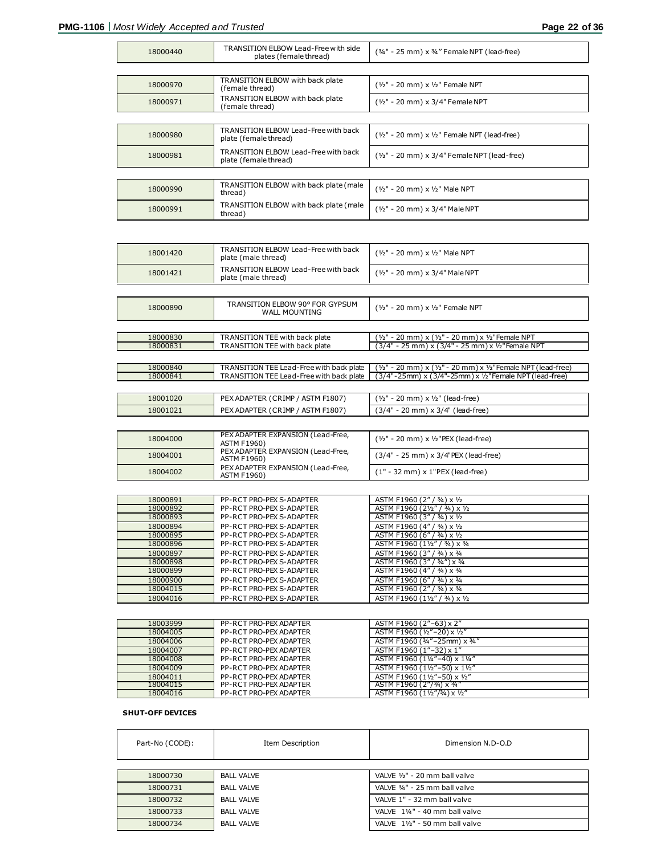Г

ī

| 18000440 | TRANSITION ELBOW Lead-Free with side<br>plates (female thread) | (3/4" - 25 mm) x 3/4" Female NPT (lead-free)     |
|----------|----------------------------------------------------------------|--------------------------------------------------|
|          |                                                                |                                                  |
| 18000970 | TRANSITION ELBOW with back plate<br>(female thread)            | $(y_2" - 20$ mm) x $1/2"$ Female NPT             |
| 18000971 | TRANSITION ELBOW with back plate<br>(female thread)            | (1/2" - 20 mm) x 3/4" Female NPT                 |
|          |                                                                |                                                  |
| 18000980 | TRANSITION ELBOW Lead-Free with back<br>plate (female thread)  | $(y_2" - 20$ mm) x $y_2"$ Female NPT (lead-free) |
| 18000981 | TRANSITION ELBOW Lead-Free with back<br>plate (female thread)  | $(y_2" - 20$ mm) x $3/4"$ Female NPT (lead-free) |
|          |                                                                |                                                  |
| 18000990 | TRANSITION ELBOW with back plate (male<br>thread)              | (1/2" - 20 mm) x 1/2" Male NPT                   |
| 18000991 | TRANSITION ELBOW with back plate (male<br>thread)              | $(y_2" - 20$ mm) x 3/4" Male NPT                 |

| 18001420 | <b>TRANSITION ELBOW Lead-Free with back</b><br>plate (male thread) | (1/2" - 20 mm) x 1/2" Male NPT                                |
|----------|--------------------------------------------------------------------|---------------------------------------------------------------|
| 18001421 | <b>TRANSITION ELBOW Lead-Free with back</b><br>plate (male thread) | (1/2" - 20 mm) x 3/4" Male NPT                                |
|          |                                                                    |                                                               |
| 18000890 | TRANSITION ELBOW 90° FOR GYPSUM<br><b>WALL MOUNTING</b>            | (1/2" - 20 mm) x 1/2" Female NPT                              |
|          |                                                                    |                                                               |
| 18000830 | TRANSITION TEE with back plate                                     | (1/2" - 20 mm) x (1/2" - 20 mm) x 1/2"Female NPT              |
| 18000831 | TRANSITION TEE with back plate                                     | (3/4" - 25 mm) x (3/4" - 25 mm) x 1/2" Female NPT             |
|          |                                                                    |                                                               |
| 18000840 | TRANSITION TEE Lead-Free with back plate                           | (1/2" - 20 mm) x (1/2" - 20 mm) x 1/2" Female NPT (lead-free) |
| 18000841 | TRANSITION TEE Lead-Free with back plate                           | (3/4"-25mm) x (3/4"-25mm) x 1/2" Female NPT (lead-free)       |
|          |                                                                    |                                                               |
| 18001020 | PEX ADAPTER (CRIMP / ASTM F1807)                                   | $(y_2" - 20$ mm) x $y_2"$ (lead-free)                         |
| 18001021 | PEX ADAPTER (CRIMP / ASTM F1807)                                   | (3/4" - 20 mm) x 3/4" (lead-free)                             |

| 18004000 | PEX ADAPTER EXPANSION (Lead-Free,<br><b>ASTM F1960)</b> | $(y_2" - 20$ mm) x $y_2"$ PEX (lead-free) |
|----------|---------------------------------------------------------|-------------------------------------------|
| 18004001 | PEX ADAPTER EXPANSION (Lead-Free,<br><b>ASTM F1960)</b> | (3/4" - 25 mm) x 3/4"PEX (lead-free)      |
| 18004002 | PEX ADAPTER EXPANSION (Lead-Free,<br><b>ASTM F1960)</b> | $(1" - 32$ mm) x $1"PEX$ (lead-free)      |

| 18000891 | PP-RCT PRO-PEX S-ADAPTER | ASTM F1960 (2" / 3/4) x 1/2    |
|----------|--------------------------|--------------------------------|
| 18000892 | PP-RCT PRO-PEX S-ADAPTER | ASTM F1960 (21/2" / 3/4) x 1/2 |
| 18000893 | PP-RCT PRO-PEX S-ADAPTER | ASTM F1960 (3" / 3/4) x 1/2    |
| 18000894 | PP-RCT PRO-PEX S-ADAPTER | ASTM F1960 (4" / 3/4) x 1/2    |
| 18000895 | PP-RCT PRO-PEX S-ADAPTER | ASTM F1960 (6" / 3/4) x 1/2    |
| 18000896 | PP-RCT PRO-PEX S-ADAPTER | ASTM F1960 (11/2" / 3/4) x 3/4 |
| 18000897 | PP-RCT PRO-PEX S-ADAPTER | ASTM F1960 (3" / 3/4) x 3/4    |
| 18000898 | PP-RCT PRO-PEX S-ADAPTER | ASTM F1960 (3" / 3/4") x 3/4   |
| 18000899 | PP-RCT PRO-PEX S-ADAPTER | ASTM F1960 (4" / 3/4) x 3/4    |
| 18000900 | PP-RCT PRO-PEX S-ADAPTER | ASTM F1960 (6" / 3/4) x 3/4    |
| 18004015 | PP-RCT PRO-PEX S-ADAPTER | ASTM F1960 (2" / 3/4) x 3/4    |
| 18004016 | PP-RCT PRO-PEX S-ADAPTER | ASTM F1960 (11/2" / 3/4) x 1/2 |

| 18003999 | PP-RCT PRO-PEX ADAPTER | ASTM F1960 (2"-63) x 2"       |
|----------|------------------------|-------------------------------|
| 18004005 | PP-RCT PRO-PEX ADAPTER | ASTM F1960 (1/2"-20) x 1/2"   |
| 18004006 | PP-RCT PRO-PEX ADAPTER | ASTM F1960 (3/4"-25mm) x 3/4" |
| 18004007 | PP-RCT PRO-PEX ADAPTER | ASTM F1960 (1"-32) x 1"       |
| 18004008 | PP-RCT PRO-PEX ADAPTER | ASTM F1960 (11/4"-40) x 11/4" |
| 18004009 | PP-RCT PRO-PEX ADAPTER | ASTM F1960 (11/2"-50) x 11/2" |
| 18004011 | PP-RCT PRO-PEX ADAPTER | ASTM F1960 (11/2"-50) x 1/2"  |
| 18004015 | PP-RCT PRO-PEX ADAPTER | ASTM F1960 (2"/3/4) x 3/4"    |
| 18004016 | PP-RCT PRO-PEX ADAPTER | ASTM F1960 (11/2"/3/4) x 1/2" |

#### **SHUT-OFF DEVICES**

| Part-No (CODE): | Item Description  | Dimension N.D-O.D              |
|-----------------|-------------------|--------------------------------|
|                 |                   |                                |
| 18000730        | <b>BALL VALVE</b> | VALVE 1/2" - 20 mm ball valve  |
| 18000731        | <b>BALL VALVE</b> | VALVE 34" - 25 mm ball valve   |
| 18000732        | <b>BALL VALVE</b> | VALVE 1" - 32 mm ball valve    |
| 18000733        | <b>BALL VALVE</b> | VALVE 11/4" - 40 mm ball valve |
| 18000734        | <b>BALL VALVE</b> | VALVE 11/2" - 50 mm ball valve |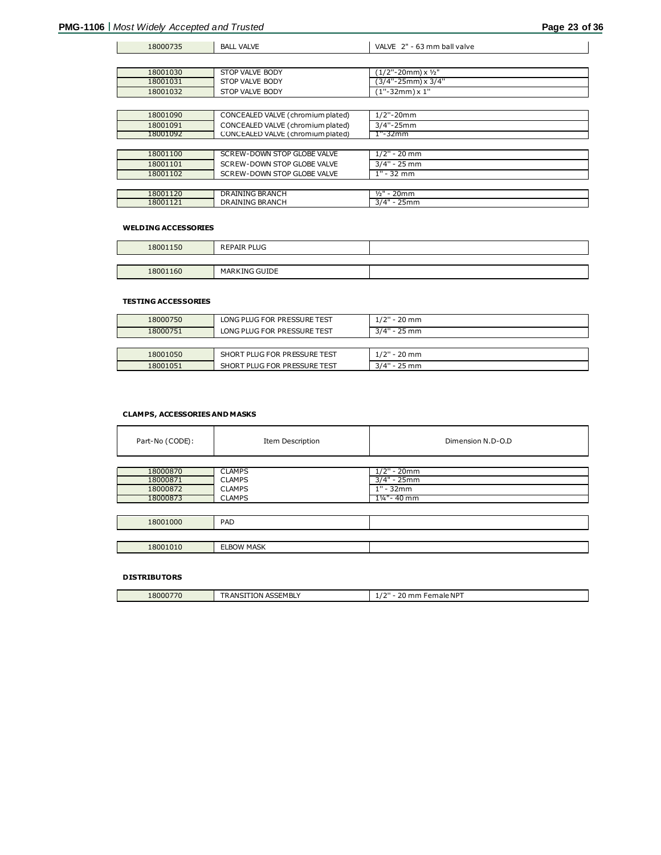$\mathbf{I}$ 

| 18001030 | STOP VALVE BODY                    | $(1/2"$ -20mm) x $1/2"$ |
|----------|------------------------------------|-------------------------|
| 18001031 | STOP VALVE BODY                    | (3/4"-25mm) x 3/4"      |
| 18001032 | STOP VALVE BODY                    | $(1" - 32mm) \times 1"$ |
|          |                                    |                         |
| 18001090 | CONCEALED VALVE (chromium plated)  | $1/2$ "-20mm            |
| 18001091 | CONCEALED VALVE (chromium plated)  | $3/4" - 25mm$           |
| 18001092 | CONCEALED VALVE (chromium plated)  | 1"-32mm                 |
|          |                                    |                         |
| 18001100 | <b>SCREW-DOWN STOP GLOBE VALVE</b> | $1/2" - 20$ mm          |
| 18001101 | SCREW-DOWN STOP GLOBE VALVE        | $3/4" - 25$ mm          |
| 18001102 | SCREW-DOWN STOP GLOBE VALVE        | $1" - 32$ mm            |
|          |                                    |                         |
| 18001120 | <b>DRAINING BRANCH</b>             | $1/2" - 20mm$           |
| 18001121 | <b>DRAINING BRANCH</b>             | $3/4" - 25mm$           |

18000735 BALL VALVE VALVE VALVE 2" - 63 mm ball valve

#### **WELDING ACCESSORIES**

| 18001150 | <b>REPAIR PLUG</b>   |  |
|----------|----------------------|--|
|          |                      |  |
| 18001160 | <b>MARKING GUIDE</b> |  |

#### **TESTING ACCESSORIES**

| 18000750<br>18000751 | LONG PLUG FOR PRESSURE TEST<br>LONG PLUG FOR PRESSURE TEST | $1/2"$ - 20 mm<br>$3/4" - 25$ mm |
|----------------------|------------------------------------------------------------|----------------------------------|
|                      |                                                            |                                  |
| 18001050             | SHORT PLUG FOR PRESSURE TEST                               | $1/2$ " - 20 mm                  |
| 18001051             | SHORT PLUG FOR PRESSURE TEST                               | $3/4" - 25$ mm                   |

#### **CLAMPS, ACCESSORIES AND MASKS**

| Part-No (CODE):                              | Item Description                                                 | Dimension N.D-O.D                                           |
|----------------------------------------------|------------------------------------------------------------------|-------------------------------------------------------------|
| 18000870<br>18000871<br>18000872<br>18000873 | <b>CLAMPS</b><br><b>CLAMPS</b><br><b>CLAMPS</b><br><b>CLAMPS</b> | $1/2" - 20mm$<br>$3/4" - 25mm$<br>$1" - 32mm$<br>1¼"- 40 mm |
| 18001000                                     | PAD                                                              |                                                             |
| 18001010                                     | <b>ELBOW MASK</b>                                                |                                                             |

#### **DISTRIBUTORS**

| 18000770 | ،EMBLY<br>$\sim$ $\sim$ $\sim$<br><b>TION</b><br>$R$ AN <sup>ct</sup><br>ASSL 5 | 1211<br>emale NPT<br>--<br>ш<br>$-1$ |
|----------|---------------------------------------------------------------------------------|--------------------------------------|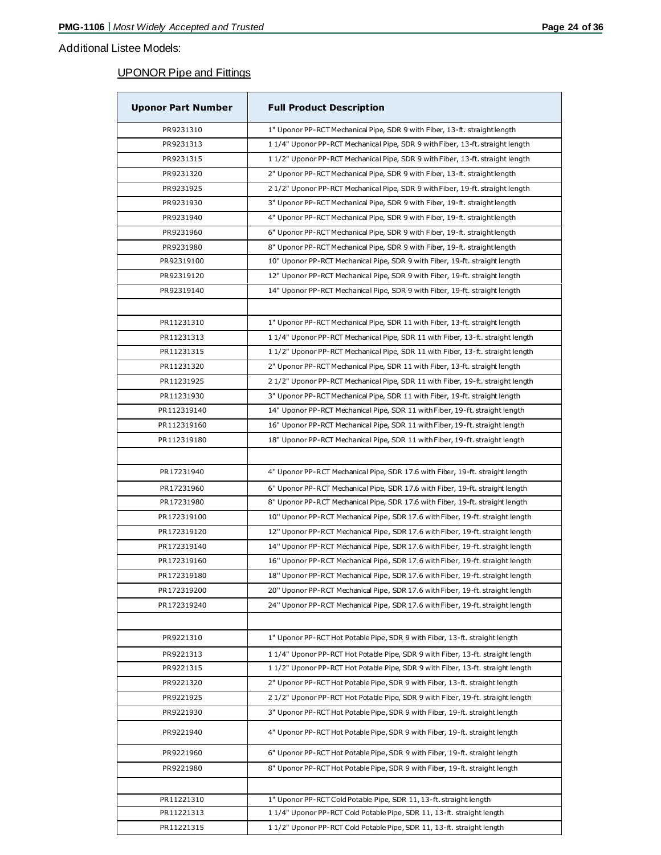## Additional Listee Models:

# UPONOR Pipe and Fittings

| <b>Uponor Part Number</b> | <b>Full Product Description</b>                                                 |
|---------------------------|---------------------------------------------------------------------------------|
| PR9231310                 | 1" Uponor PP-RCT Mechanical Pipe, SDR 9 with Fiber, 13-ft. straight length      |
| PR9231313                 | 1 1/4" Uponor PP-RCT Mechanical Pipe, SDR 9 with Fiber, 13-ft. straight length  |
| PR9231315                 | 11/2" Uponor PP-RCT Mechanical Pipe, SDR 9 with Fiber, 13-ft. straight length   |
| PR9231320                 | 2" Uponor PP-RCT Mechanical Pipe, SDR 9 with Fiber, 13-ft. straight length      |
| PR9231925                 | 21/2" Uponor PP-RCT Mechanical Pipe, SDR 9 with Fiber, 19-ft. straight length   |
| PR9231930                 | 3" Uponor PP-RCT Mechanical Pipe, SDR 9 with Fiber, 19-ft. straight length      |
| PR9231940                 | 4" Uponor PP-RCT Mechanical Pipe, SDR 9 with Fiber, 19-ft. straight length      |
| PR9231960                 | 6" Uponor PP-RCT Mechanical Pipe, SDR 9 with Fiber, 19-ft. straight length      |
| PR9231980                 | 8" Uponor PP-RCT Mechanical Pipe, SDR 9 with Fiber, 19-ft. straight length      |
| PR92319100                | 10" Uponor PP-RCT Mechanical Pipe, SDR 9 with Fiber, 19-ft. straight length     |
| PR92319120                | 12" Uponor PP-RCT Mechanical Pipe, SDR 9 with Fiber, 19-ft. straight length     |
| PR92319140                | 14" Uponor PP-RCT Mechanical Pipe, SDR 9 with Fiber, 19-ft. straight length     |
|                           |                                                                                 |
| PR11231310                | 1" Uponor PP-RCT Mechanical Pipe, SDR 11 with Fiber, 13-ft. straight length     |
| PR11231313                | 1 1/4" Uponor PP-RCT Mechanical Pipe, SDR 11 with Fiber, 13-ft. straight length |
| PR11231315                | 11/2" Uponor PP-RCT Mechanical Pipe, SDR 11 with Fiber, 13-ft. straight length  |
| PR11231320                | 2" Uponor PP-RCT Mechanical Pipe, SDR 11 with Fiber, 13-ft. straight length     |
| PR11231925                | 21/2" Uponor PP-RCT Mechanical Pipe, SDR 11 with Fiber, 19-ft. straight length  |
| PR11231930                | 3" Uponor PP-RCT Mechanical Pipe, SDR 11 with Fiber, 19-ft. straight length     |
| PR112319140               | 14" Uponor PP-RCT Mechanical Pipe, SDR 11 with Fiber, 19-ft. straight length    |
| PR112319160               | 16" Uponor PP-RCT Mechanical Pipe, SDR 11 with Fiber, 19-ft. straight length    |
| PR112319180               | 18" Uponor PP-RCT Mechanical Pipe, SDR 11 with Fiber, 19-ft. straight length    |
|                           |                                                                                 |
| PR17231940                | 4" Uponor PP-RCT Mechanical Pipe, SDR 17.6 with Fiber, 19-ft. straight length   |
|                           |                                                                                 |
| PR17231960                | 6" Uponor PP-RCT Mechanical Pipe, SDR 17.6 with Fiber, 19-ft. straight length   |
| PR17231980                | 8" Uponor PP-RCT Mechanical Pipe, SDR 17.6 with Fiber, 19-ft. straight length   |
| PR172319100               | 10" Uponor PP-RCT Mechanical Pipe, SDR 17.6 with Fiber, 19-ft. straight length  |
| PR172319120               | 12" Uponor PP-RCT Mechanical Pipe, SDR 17.6 with Fiber, 19-ft. straight length  |
| PR172319140               | 14" Uponor PP-RCT Mechanical Pipe, SDR 17.6 with Fiber, 19-ft. straight length  |
| PR172319160               | 16" Uponor PP-RCT Mechanical Pipe, SDR 17.6 with Fiber, 19-ft. straight length  |
| PR172319180               | 18" Uponor PP-RCT Mechanical Pipe, SDR 17.6 with Fiber, 19-ft. straight length  |
| PR172319200               | 20" Uponor PP-RCT Mechanical Pipe, SDR 17.6 with Fiber, 19-ft. straight length  |
| PR172319240               | 24" Uponor PP-RCT Mechanical Pipe, SDR 17.6 with Fiber, 19-ft. straight length  |
|                           |                                                                                 |
| PR9221310                 | 1" Uponor PP-RCT Hot Potable Pipe, SDR 9 with Fiber, 13-ft. straight length     |
| PR9221313                 | 11/4" Uponor PP-RCT Hot Potable Pipe, SDR 9 with Fiber, 13-ft. straight length  |
| PR9221315                 | 1 1/2" Uponor PP-RCT Hot Potable Pipe, SDR 9 with Fiber, 13-ft. straight length |
| PR9221320                 | 2" Uponor PP-RCT Hot Potable Pipe, SDR 9 with Fiber, 13-ft. straight length     |
| PR9221925                 | 21/2" Uponor PP-RCT Hot Potable Pipe, SDR 9 with Fiber, 19-ft. straight length  |
| PR9221930                 | 3" Uponor PP-RCT Hot Potable Pipe, SDR 9 with Fiber, 19-ft. straight length     |
| PR9221940                 | 4" Uponor PP-RCT Hot Potable Pipe, SDR 9 with Fiber, 19-ft. straight length     |
| PR9221960                 | 6" Uponor PP-RCT Hot Potable Pipe, SDR 9 with Fiber, 19-ft. straight length     |
| PR9221980                 | 8" Uponor PP-RCT Hot Potable Pipe, SDR 9 with Fiber, 19-ft. straight length     |
|                           |                                                                                 |
| PR11221310                | 1" Uponor PP-RCT Cold Potable Pipe, SDR 11, 13-ft. straight length              |
| PR11221313                | 11/4" Uponor PP-RCT Cold Potable Pipe, SDR 11, 13-ft. straight length           |
| PR11221315                | 11/2" Uponor PP-RCT Cold Potable Pipe, SDR 11, 13-ft. straight length           |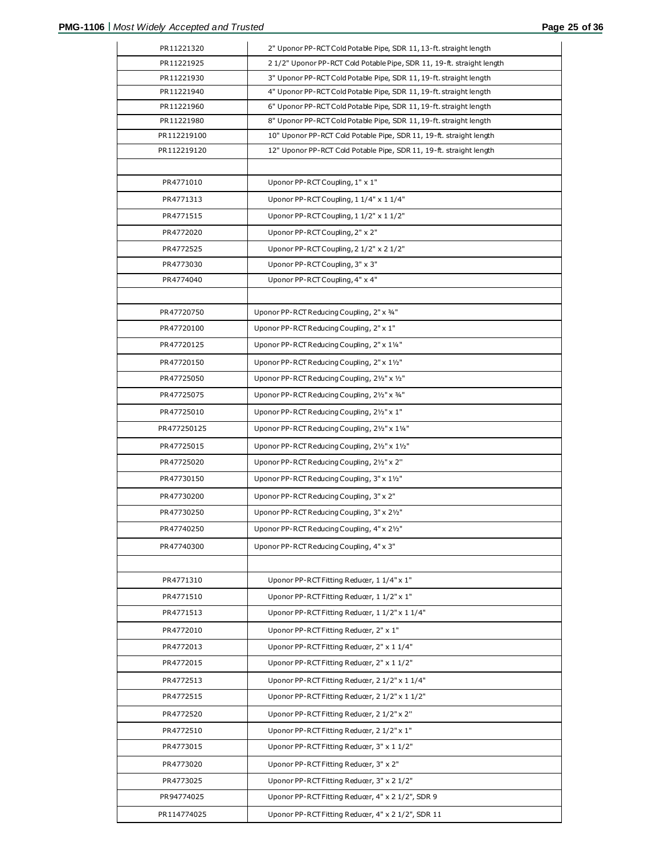| PR11221320  | 2" Uponor PP-RCT Cold Potable Pipe, SDR 11, 13-ft. straight length    |
|-------------|-----------------------------------------------------------------------|
| PR11221925  | 21/2" Uponor PP-RCT Cold Potable Pipe, SDR 11, 19-ft. straight length |
| PR11221930  | 3" Uponor PP-RCT Cold Potable Pipe, SDR 11, 19-ft. straight length    |
| PR11221940  | 4" Uponor PP-RCT Cold Potable Pipe, SDR 11, 19-ft. straight length    |
| PR11221960  | 6" Uponor PP-RCT Cold Potable Pipe, SDR 11, 19-ft. straight length    |
| PR11221980  | 8" Uponor PP-RCT Cold Potable Pipe, SDR 11, 19-ft. straight length    |
| PR112219100 | 10" Uponor PP-RCT Cold Potable Pipe, SDR 11, 19-ft. straight length   |
| PR112219120 | 12" Uponor PP-RCT Cold Potable Pipe, SDR 11, 19-ft. straight length   |
|             |                                                                       |
| PR4771010   | Uponor PP-RCT Coupling, 1" x 1"                                       |
| PR4771313   | Uponor PP-RCT Coupling, 1 1/4" x 1 1/4"                               |
| PR4771515   | Uponor PP-RCT Coupling, 1 1/2" x 1 1/2"                               |
| PR4772020   | Uponor PP-RCT Coupling, 2" x 2"                                       |
| PR4772525   | Uponor PP-RCT Coupling, 2 1/2" x 2 1/2"                               |
| PR4773030   | Uponor PP-RCT Coupling, 3" x 3"                                       |
| PR4774040   | Uponor PP-RCT Coupling, 4" x 4"                                       |
|             |                                                                       |
| PR47720750  | Uponor PP-RCT Reducing Coupling, 2" x 34"                             |
| PR47720100  | Uponor PP-RCT Reducing Coupling, 2" x 1"                              |
| PR47720125  | Uponor PP-RCT Reducing Coupling, 2" x 11/4"                           |
| PR47720150  | Uponor PP-RCT Reducing Coupling, 2" x 11/2"                           |
|             |                                                                       |
| PR47725050  | Uponor PP-RCT Reducing Coupling, 21/2" x 1/2"                         |
| PR47725075  | Uponor PP-RCT Reducing Coupling, 21/2" x 3/4"                         |
| PR47725010  | Uponor PP-RCT Reducing Coupling, 21/2" x 1"                           |
| PR477250125 | Uponor PP-RCT Reducing Coupling, 21/2" x 11/4"                        |
| PR47725015  | Uponor PP-RCT Reducing Coupling, 21/2" x 11/2"                        |
| PR47725020  | Uponor PP-RCT Reducing Coupling, 21/2" x 2"                           |
| PR47730150  | Uponor PP-RCT Reducing Coupling, 3" x 11/2"                           |
| PR47730200  | Uponor PP-RCT Reducing Coupling, 3" x 2"                              |
| PR47730250  | Uponor PP-RCT Reducing Coupling, 3" x 21/2"                           |
| PR47740250  | Uponor PP-RCT Reducing Coupling, 4" x 21/2"                           |
| PR47740300  | Uponor PP-RCT Reducing Coupling, 4" x 3"                              |
|             |                                                                       |
| PR4771310   | Uponor PP-RCT Fitting Reducer, 11/4" x 1"                             |
|             |                                                                       |
| PR4771510   | Uponor PP-RCT Fitting Reducer, 11/2" x 1"                             |
| PR4771513   | Uponor PP-RCT Fitting Reducer, 11/2" x 11/4"                          |
| PR4772010   | Uponor PP-RCT Fitting Reducer, 2" x 1"                                |
| PR4772013   | Uponor PP-RCT Fitting Reducer, 2" x 1 1/4"                            |
| PR4772015   | Uponor PP-RCT Fitting Reducer, 2" x 1 1/2"                            |
| PR4772513   | Uponor PP-RCT Fitting Reducer, 2 1/2" x 1 1/4"                        |
| PR4772515   | Uponor PP-RCT Fitting Reducer, 2 1/2" x 1 1/2"                        |
| PR4772520   | Uponor PP-RCT Fitting Reducer, 2 1/2" x 2"                            |
| PR4772510   | Uponor PP-RCT Fitting Reducer, 2 1/2" x 1"                            |
| PR4773015   | Uponor PP-RCT Fitting Reducer, 3" x 1 1/2"                            |
| PR4773020   | Uponor PP-RCT Fitting Reducer, 3" x 2"                                |
| PR4773025   | Uponor PP-RCT Fitting Reducer, 3" x 2 1/2"                            |
| PR94774025  | Uponor PP-RCT Fitting Reducer, 4" x 2 1/2", SDR 9                     |
|             |                                                                       |
| PR114774025 | Uponor PP-RCT Fitting Reducer, 4" x 2 1/2", SDR 11                    |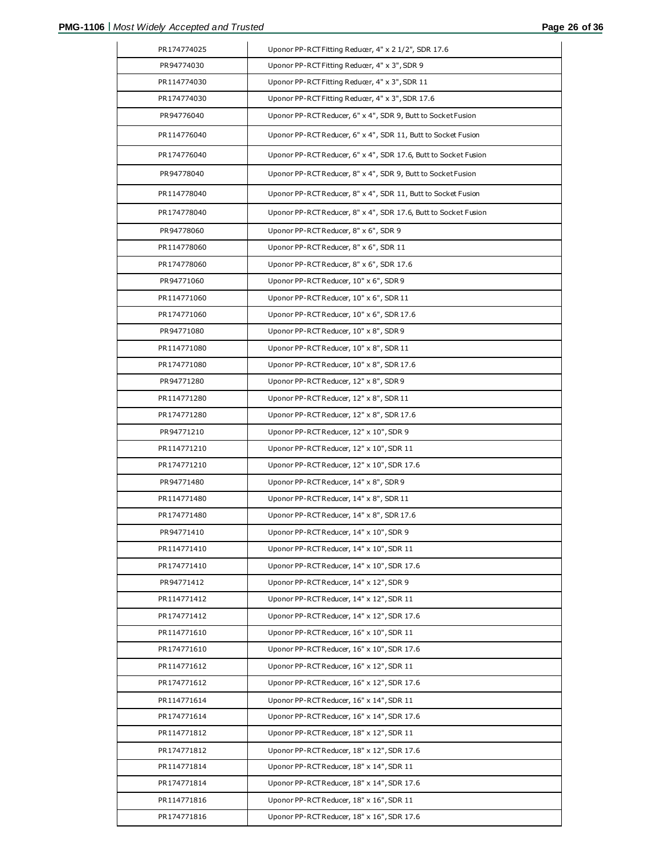| PR174774025 | Uponor PP-RCT Fitting Reducer, 4" x 2 1/2", SDR 17.6            |
|-------------|-----------------------------------------------------------------|
| PR94774030  | Uponor PP-RCT Fitting Reducer, 4" x 3", SDR 9                   |
| PR114774030 | Uponor PP-RCT Fitting Reducer, 4" x 3", SDR 11                  |
| PR174774030 | Uponor PP-RCT Fitting Reducer, 4" x 3", SDR 17.6                |
| PR94776040  | Uponor PP-RCT Reducer, 6" x 4", SDR 9, Butt to Socket Fusion    |
| PR114776040 | Uponor PP-RCT Reducer, 6" x 4", SDR 11, Butt to Socket Fusion   |
| PR174776040 | Uponor PP-RCT Reducer, 6" x 4", SDR 17.6, Butt to Socket Fusion |
| PR94778040  | Uponor PP-RCT Reducer, 8" x 4", SDR 9, Butt to Socket Fusion    |
| PR114778040 | Uponor PP-RCT Reducer, 8" x 4", SDR 11, Butt to Socket Fusion   |
| PR174778040 | Uponor PP-RCT Reducer, 8" x 4", SDR 17.6, Butt to Socket Fusion |
| PR94778060  | Uponor PP-RCT Reducer, 8" x 6", SDR 9                           |
| PR114778060 | Uponor PP-RCT Reducer, 8" x 6", SDR 11                          |
| PR174778060 | Uponor PP-RCT Reducer, 8" x 6", SDR 17.6                        |
| PR94771060  | Uponor PP-RCT Reducer, 10" x 6", SDR 9                          |
| PR114771060 | Uponor PP-RCT Reducer, 10" x 6", SDR 11                         |
| PR174771060 | Uponor PP-RCT Reducer, 10" x 6", SDR 17.6                       |
| PR94771080  | Uponor PP-RCT Reducer, 10" x 8", SDR 9                          |
| PR114771080 | Uponor PP-RCT Reducer, 10" x 8", SDR 11                         |
| PR174771080 | Uponor PP-RCT Reducer, 10" x 8", SDR 17.6                       |
| PR94771280  | Uponor PP-RCT Reducer, 12" x 8", SDR 9                          |
| PR114771280 | Uponor PP-RCT Reducer, 12" x 8", SDR 11                         |
| PR174771280 | Uponor PP-RCT Reducer, 12" x 8", SDR 17.6                       |
| PR94771210  | Uponor PP-RCT Reducer, 12" x 10", SDR 9                         |
| PR114771210 | Uponor PP-RCT Reducer, 12" x 10", SDR 11                        |
| PR174771210 | Uponor PP-RCT Reducer, 12" x 10", SDR 17.6                      |
| PR94771480  | Uponor PP-RCT Reducer, 14" x 8", SDR 9                          |
| PR114771480 | Uponor PP-RCT Reducer, 14" x 8", SDR 11                         |
| PR174771480 | Uponor PP-RCT Reducer, 14" x 8", SDR 17.6                       |
| PR94771410  | Uponor PP-RCT Reducer, 14" x 10", SDR 9                         |
| PR114771410 | Uponor PP-RCT Reducer, 14" x 10", SDR 11                        |
| PR174771410 | Uponor PP-RCT Reducer, 14" x 10", SDR 17.6                      |
| PR94771412  | Uponor PP-RCT Reducer, 14" x 12", SDR 9                         |
| PR114771412 | Uponor PP-RCT Reducer, 14" x 12", SDR 11                        |
| PR174771412 | Uponor PP-RCT Reducer, 14" x 12", SDR 17.6                      |
| PR114771610 | Uponor PP-RCT Reducer, 16" x 10", SDR 11                        |
| PR174771610 | Uponor PP-RCT Reducer, 16" x 10", SDR 17.6                      |
| PR114771612 | Uponor PP-RCT Reducer, 16" x 12", SDR 11                        |
| PR174771612 | Uponor PP-RCT Reducer, 16" x 12", SDR 17.6                      |
| PR114771614 | Uponor PP-RCT Reducer, 16" x 14", SDR 11                        |
| PR174771614 | Uponor PP-RCT Reducer, 16" x 14", SDR 17.6                      |
| PR114771812 | Uponor PP-RCT Reducer, 18" x 12", SDR 11                        |
| PR174771812 | Uponor PP-RCT Reducer, 18" x 12", SDR 17.6                      |
| PR114771814 | Uponor PP-RCT Reducer, 18" x 14", SDR 11                        |
| PR174771814 | Uponor PP-RCT Reducer, 18" x 14", SDR 17.6                      |
| PR114771816 | Uponor PP-RCT Reducer, 18" x 16", SDR 11                        |
| PR174771816 | Uponor PP-RCT Reducer, 18" x 16", SDR 17.6                      |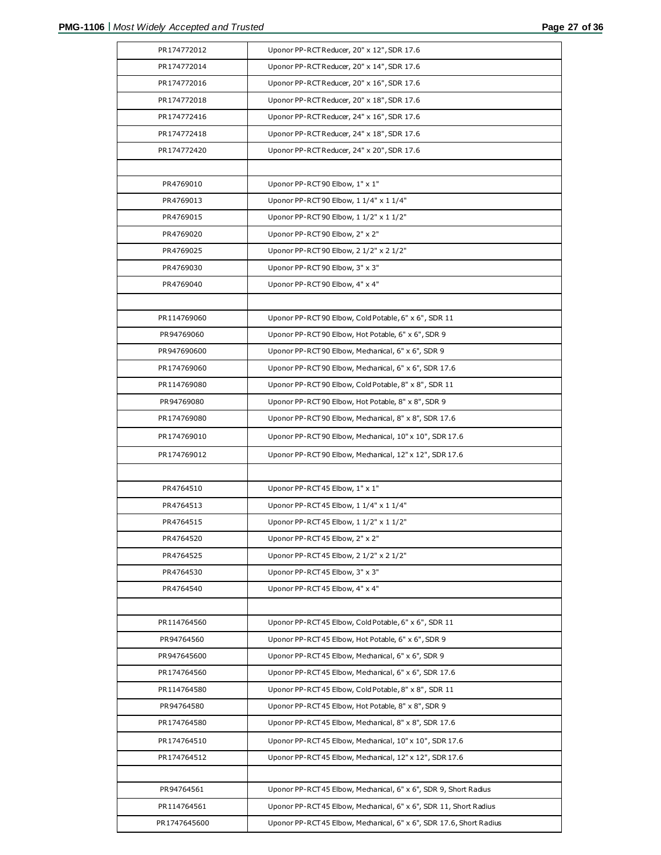| PR174772012  | Uponor PP-RCT Reducer, 20" x 12", SDR 17.6                         |
|--------------|--------------------------------------------------------------------|
| PR174772014  | Uponor PP-RCT Reducer, 20" x 14", SDR 17.6                         |
| PR174772016  | Uponor PP-RCT Reducer, 20" x 16", SDR 17.6                         |
| PR174772018  | Uponor PP-RCT Reducer, 20" x 18", SDR 17.6                         |
| PR174772416  | Uponor PP-RCT Reducer, 24" x 16", SDR 17.6                         |
| PR174772418  | Uponor PP-RCT Reducer, 24" x 18", SDR 17.6                         |
| PR174772420  | Uponor PP-RCT Reducer, 24" x 20", SDR 17.6                         |
|              |                                                                    |
| PR4769010    | Uponor PP-RCT90 Elbow, 1" x 1"                                     |
| PR4769013    | Uponor PP-RCT90 Elbow, 1 1/4" x 1 1/4"                             |
| PR4769015    | Uponor PP-RCT90 Elbow, 1 1/2" x 1 1/2"                             |
| PR4769020    | Uponor PP-RCT90 Elbow, 2" x 2"                                     |
| PR4769025    | Uponor PP-RCT90 Elbow, 2 1/2" x 2 1/2"                             |
| PR4769030    | Uponor PP-RCT90 Elbow, 3" x 3"                                     |
| PR4769040    | Uponor PP-RCT90 Elbow, 4" x 4"                                     |
|              |                                                                    |
| PR114769060  | Uponor PP-RCT90 Elbow, Cold Potable, 6" x 6", SDR 11               |
| PR94769060   | Uponor PP-RCT90 Elbow, Hot Potable, 6" x 6", SDR 9                 |
| PR947690600  | Uponor PP-RCT90 Elbow, Mechanical, 6" x 6", SDR 9                  |
| PR174769060  | Uponor PP-RCT90 Elbow, Mechanical, 6" x 6", SDR 17.6               |
| PR114769080  | Uponor PP-RCT90 Elbow, Cold Potable, 8" x 8", SDR 11               |
| PR94769080   | Uponor PP-RCT90 Elbow, Hot Potable, 8" x 8", SDR 9                 |
| PR174769080  | Uponor PP-RCT90 Elbow, Mechanical, 8" x 8", SDR 17.6               |
| PR174769010  | Uponor PP-RCT90 Elbow, Mechanical, 10" x 10", SDR 17.6             |
| PR174769012  | Uponor PP-RCT90 Elbow, Mechanical, 12" x 12", SDR 17.6             |
|              |                                                                    |
| PR4764510    | Uponor PP-RCT45 Elbow, 1" x 1"                                     |
| PR4764513    | Uponor PP-RCT45 Elbow, 1 1/4" x 1 1/4"                             |
| PR4764515    | Uponor PP-RCT45 Elbow, 1 1/2" x 1 1/2"                             |
| PR4764520    | Uponor PP-RCT45 Elbow, 2" x 2"                                     |
| PR4764525    | Uponor PP-RCT45 Elbow, 2 1/2" x 2 1/2"                             |
| PR4764530    | Uponor PP-RCT45 Elbow, 3" x 3"                                     |
| PR4764540    | Uponor PP-RCT45 Elbow, 4" x 4"                                     |
|              |                                                                    |
| PR114764560  | Uponor PP-RCT 45 Elbow, Cold Potable, 6" x 6", SDR 11              |
| PR94764560   | Uponor PP-RCT 45 Elbow, Hot Potable, 6" x 6", SDR 9                |
| PR947645600  | Uponor PP-RCT45 Elbow, Mechanical, 6" x 6", SDR 9                  |
| PR174764560  | Uponor PP-RCT45 Elbow, Mechanical, 6" x 6", SDR 17.6               |
| PR114764580  | Uponor PP-RCT45 Elbow, Cold Potable, 8" x 8", SDR 11               |
| PR94764580   | Uponor PP-RCT 45 Elbow, Hot Potable, 8" x 8", SDR 9                |
| PR174764580  | Uponor PP-RCT45 Elbow, Mechanical, 8" x 8", SDR 17.6               |
| PR174764510  | Uponor PP-RCT45 Elbow, Mechanical, 10" x 10", SDR 17.6             |
| PR174764512  | Uponor PP-RCT45 Elbow, Mechanical, 12" x 12", SDR 17.6             |
|              |                                                                    |
| PR94764561   | Uponor PP-RCT45 Elbow, Mechanical, 6" x 6", SDR 9, Short Radius    |
| PR114764561  | Uponor PP-RCT45 Elbow, Mechanical, 6" x 6", SDR 11, Short Radius   |
| PR1747645600 | Uponor PP-RCT45 Elbow, Mechanical, 6" x 6", SDR 17.6, Short Radius |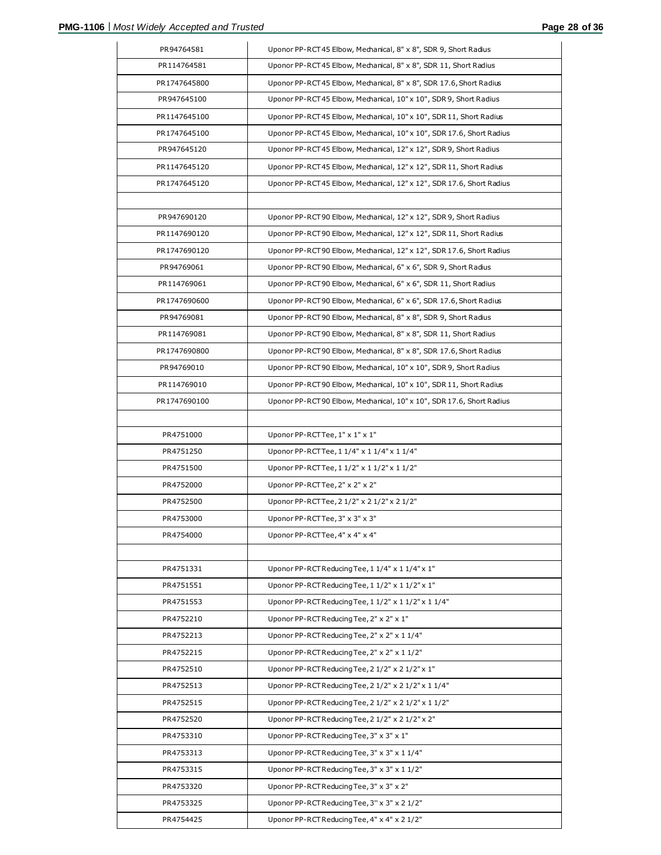| PR94764581   | Uponor PP-RCT45 Elbow, Mechanical, 8" x 8", SDR 9, Short Radius      |
|--------------|----------------------------------------------------------------------|
| PR114764581  | Uponor PP-RCT45 Elbow, Mechanical, 8" x 8", SDR 11, Short Radius     |
| PR1747645800 | Uponor PP-RCT45 Elbow, Mechanical, 8" x 8", SDR 17.6, Short Radius   |
| PR947645100  | Uponor PP-RCT45 Elbow, Mechanical, 10" x 10", SDR 9, Short Radius    |
| PR1147645100 | Uponor PP-RCT45 Elbow, Mechanical, 10" x 10", SDR 11, Short Radius   |
| PR1747645100 | Uponor PP-RCT45 Elbow, Mechanical, 10" x 10", SDR 17.6, Short Radius |
| PR947645120  | Uponor PP-RCT45 Elbow, Mechanical, 12" x 12", SDR 9, Short Radius    |
| PR1147645120 | Uponor PP-RCT45 Elbow, Mechanical, 12" x 12", SDR 11, Short Radius   |
| PR1747645120 | Uponor PP-RCT45 Elbow, Mechanical, 12" x 12", SDR 17.6, Short Radius |
|              |                                                                      |
| PR947690120  | Uponor PP-RCT90 Elbow, Mechanical, 12" x 12", SDR 9, Short Radius    |
| PR1147690120 | Uponor PP-RCT90 Elbow, Mechanical, 12" x 12", SDR 11, Short Radius   |
| PR1747690120 | Uponor PP-RCT90 Elbow, Mechanical, 12" x 12", SDR 17.6, Short Radius |
| PR94769061   | Uponor PP-RCT90 Elbow, Mechanical, 6" x 6", SDR 9, Short Radius      |
| PR114769061  | Uponor PP-RCT90 Elbow, Mechanical, 6" x 6", SDR 11, Short Radius     |
| PR1747690600 | Uponor PP-RCT90 Elbow, Mechanical, 6" x 6", SDR 17.6, Short Radius   |
| PR94769081   | Uponor PP-RCT90 Elbow, Mechanical, 8" x 8", SDR 9, Short Radius      |
| PR114769081  | Uponor PP-RCT90 Elbow, Mechanical, 8" x 8", SDR 11, Short Radius     |
| PR1747690800 | Uponor PP-RCT90 Elbow, Mechanical, 8" x 8", SDR 17.6, Short Radius   |
| PR94769010   | Uponor PP-RCT90 Elbow, Mechanical, 10" x 10", SDR 9, Short Radius    |
| PR114769010  | Uponor PP-RCT90 Elbow, Mechanical, 10" x 10", SDR 11, Short Radius   |
| PR1747690100 | Uponor PP-RCT90 Elbow, Mechanical, 10" x 10", SDR 17.6, Short Radius |
|              |                                                                      |
| PR4751000    | Uponor PP-RCTTee, 1" x 1" x 1"                                       |
| PR4751250    | Uponor PP-RCTTee, 1 1/4" x 1 1/4" x 1 1/4"                           |
| PR4751500    | Uponor PP-RCTTee, 1 1/2" x 1 1/2" x 1 1/2"                           |
| PR4752000    | Uponor PP-RCTTee, 2" x 2" x 2"                                       |
| PR4752500    | Uponor PP-RCTTee, 2 1/2" x 2 1/2" x 2 1/2"                           |
| PR4753000    | Uponor PP-RCTTee, 3" x 3" x 3"                                       |
| PR4754000    | Uponor PP-RCTTee, 4" x 4" x 4"                                       |
|              |                                                                      |
| PR4751331    | Uponor PP-RCT Reducing Tee, 1 1/4" x 1 1/4" x 1"                     |
| PR4751551    | Uponor PP-RCT Reducing Tee, 1 1/2" x 1 1/2" x 1"                     |
| PR4751553    | Uponor PP-RCT Reducing Tee, 1 1/2" x 1 1/2" x 1 1/4"                 |
| PR4752210    | Uponor PP-RCT Reducing Tee, 2" x 2" x 1"                             |
| PR4752213    | Uponor PP-RCT Reducing Tee, 2" x 2" x 1 1/4"                         |
| PR4752215    | Uponor PP-RCT Reducing Tee, 2" x 2" x 1 1/2"                         |
| PR4752510    | Uponor PP-RCT Reducing Tee, 2 1/2" x 2 1/2" x 1"                     |
| PR4752513    | Uponor PP-RCT Reducing Tee, 2 1/2" x 2 1/2" x 1 1/4"                 |
| PR4752515    | Uponor PP-RCT Reducing Tee, 2 1/2" x 2 1/2" x 1 1/2"                 |
| PR4752520    | Uponor PP-RCT Reducing Tee, 2 1/2" x 2 1/2" x 2"                     |
| PR4753310    | Uponor PP-RCT Reducing Tee, 3" x 3" x 1"                             |
| PR4753313    | Uponor PP-RCT Reducing Tee, 3" x 3" x 1 1/4"                         |
| PR4753315    | Uponor PP-RCT Reducing Tee, 3" x 3" x 1 1/2"                         |
| PR4753320    | Uponor PP-RCT Reducing Tee, 3" x 3" x 2"                             |
| PR4753325    | Uponor PP-RCT Reducing Tee, 3" x 3" x 2 1/2"                         |
| PR4754425    | Uponor PP-RCT Reducing Tee, 4" x 4" x 2 1/2"                         |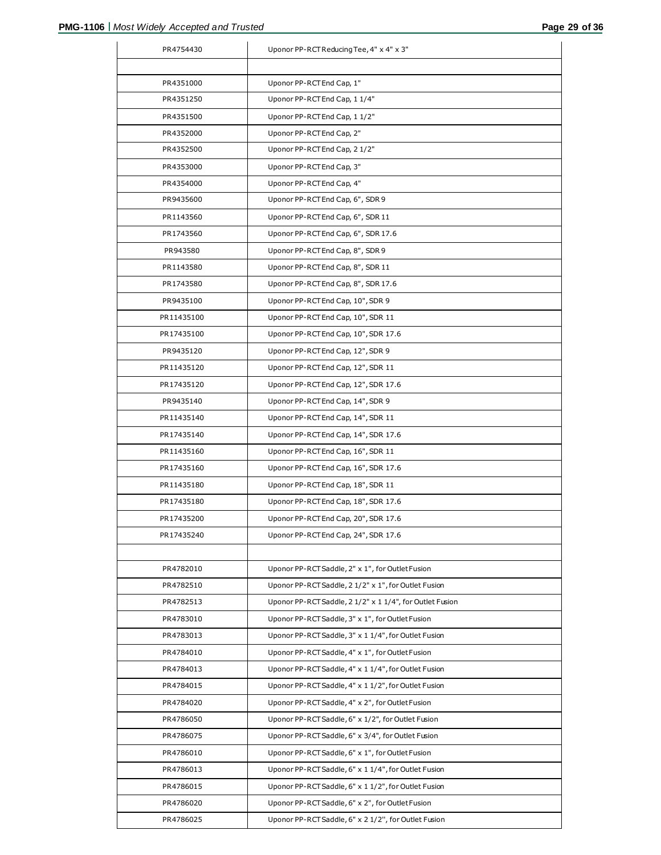| PR4754430  | Uponor PP-RCT Reducing Tee, 4" x 4" x 3"                 |
|------------|----------------------------------------------------------|
|            |                                                          |
| PR4351000  | Uponor PP-RCT End Cap, 1"                                |
| PR4351250  | Uponor PP-RCT End Cap, 1 1/4"                            |
| PR4351500  | Uponor PP-RCT End Cap, 1 1/2"                            |
| PR4352000  | Uponor PP-RCT End Cap, 2"                                |
| PR4352500  | Uponor PP-RCT End Cap, 2 1/2"                            |
| PR4353000  | Uponor PP-RCT End Cap, 3"                                |
| PR4354000  | Uponor PP-RCT End Cap, 4"                                |
| PR9435600  | Uponor PP-RCT End Cap, 6", SDR 9                         |
| PR1143560  | Uponor PP-RCT End Cap, 6", SDR 11                        |
| PR1743560  | Uponor PP-RCT End Cap, 6", SDR 17.6                      |
| PR943580   | Uponor PP-RCT End Cap, 8", SDR 9                         |
| PR1143580  | Uponor PP-RCT End Cap, 8", SDR 11                        |
| PR1743580  | Uponor PP-RCT End Cap, 8", SDR 17.6                      |
| PR9435100  | Uponor PP-RCT End Cap, 10", SDR 9                        |
| PR11435100 | Uponor PP-RCT End Cap, 10", SDR 11                       |
| PR17435100 | Uponor PP-RCT End Cap, 10", SDR 17.6                     |
| PR9435120  | Uponor PP-RCT End Cap, 12", SDR 9                        |
| PR11435120 | Uponor PP-RCT End Cap, 12", SDR 11                       |
| PR17435120 | Uponor PP-RCT End Cap, 12", SDR 17.6                     |
| PR9435140  | Uponor PP-RCT End Cap, 14", SDR 9                        |
| PR11435140 | Uponor PP-RCT End Cap, 14", SDR 11                       |
| PR17435140 | Uponor PP-RCT End Cap, 14", SDR 17.6                     |
| PR11435160 | Uponor PP-RCT End Cap, 16", SDR 11                       |
| PR17435160 | Uponor PP-RCT End Cap, 16", SDR 17.6                     |
| PR11435180 | Uponor PP-RCT End Cap, 18", SDR 11                       |
| PR17435180 | Uponor PP-RCT End Cap, 18", SDR 17.6                     |
| PR17435200 | Uponor PP-RCT End Cap, 20", SDR 17.6                     |
| PR17435240 | Uponor PP-RCT End Cap, 24", SDR 17.6                     |
|            |                                                          |
| PR4782010  | Uponor PP-RCT Saddle, 2" x 1", for Outlet Fusion         |
| PR4782510  | Uponor PP-RCT Saddle, 2 1/2" x 1", for Outlet Fusion     |
| PR4782513  | Uponor PP-RCT Saddle, 2 1/2" x 1 1/4", for Outlet Fusion |
| PR4783010  | Uponor PP-RCT Saddle, 3" x 1", for Outlet Fusion         |
| PR4783013  | Uponor PP-RCT Saddle, 3" x 1 1/4", for Outlet Fusion     |
| PR4784010  | Uponor PP-RCT Saddle, 4" x 1", for Outlet Fusion         |
| PR4784013  | Uponor PP-RCT Saddle, 4" x 1 1/4", for Outlet Fusion     |
| PR4784015  | Uponor PP-RCT Saddle, 4" x 1 1/2", for Outlet Fusion     |
| PR4784020  | Uponor PP-RCT Saddle, 4" x 2", for Outlet Fusion         |
| PR4786050  | Uponor PP-RCT Saddle, 6" x 1/2", for Outlet Fusion       |
| PR4786075  | Uponor PP-RCT Saddle, 6" x 3/4", for Outlet Fusion       |
| PR4786010  | Uponor PP-RCT Saddle, 6" x 1", for Outlet Fusion         |
| PR4786013  | Uponor PP-RCT Saddle, 6" x 1 1/4", for Outlet Fusion     |
| PR4786015  | Uponor PP-RCT Saddle, 6" x 1 1/2", for Outlet Fusion     |
| PR4786020  | Uponor PP-RCT Saddle, 6" x 2", for Outlet Fusion         |
| PR4786025  | Uponor PP-RCT Saddle, 6" x 2 1/2", for Outlet Fusion     |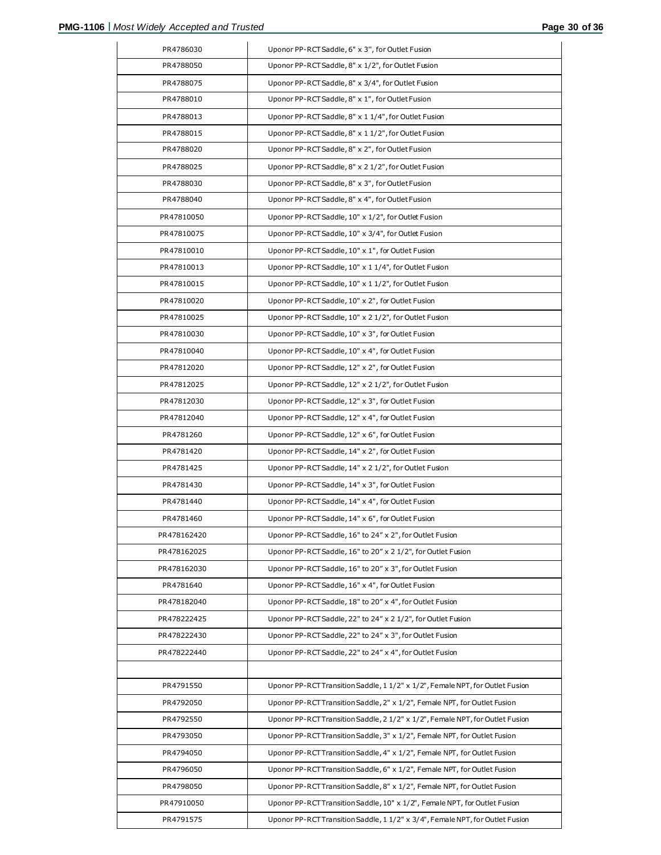| PR4786030   | Uponor PP-RCT Saddle, 6" x 3", for Outlet Fusion                              |
|-------------|-------------------------------------------------------------------------------|
| PR4788050   | Uponor PP-RCT Saddle, 8" x 1/2", for Outlet Fusion                            |
|             |                                                                               |
| PR4788075   | Uponor PP-RCT Saddle, 8" x 3/4", for Outlet Fusion                            |
| PR4788010   | Uponor PP-RCT Saddle, 8" x 1", for Outlet Fusion                              |
| PR4788013   | Uponor PP-RCT Saddle, 8" x 1 1/4", for Outlet Fusion                          |
| PR4788015   | Uponor PP-RCT Saddle, 8" x 1 1/2", for Outlet Fusion                          |
| PR4788020   | Uponor PP-RCT Saddle, 8" x 2", for Outlet Fusion                              |
| PR4788025   | Uponor PP-RCT Saddle, 8" x 2 1/2", for Outlet Fusion                          |
| PR4788030   | Uponor PP-RCT Saddle, 8" x 3", for Outlet Fusion                              |
| PR4788040   | Uponor PP-RCT Saddle, 8" x 4", for Outlet Fusion                              |
| PR47810050  | Uponor PP-RCT Saddle, 10" x 1/2", for Outlet Fusion                           |
| PR47810075  | Uponor PP-RCT Saddle, 10" x 3/4", for Outlet Fusion                           |
| PR47810010  | Uponor PP-RCT Saddle, 10" x 1", for Outlet Fusion                             |
| PR47810013  | Uponor PP-RCT Saddle, 10" x 1 1/4", for Outlet Fusion                         |
| PR47810015  | Uponor PP-RCT Saddle, 10" x 1 1/2", for Outlet Fusion                         |
| PR47810020  | Uponor PP-RCT Saddle, 10" x 2", for Outlet Fusion                             |
| PR47810025  | Uponor PP-RCT Saddle, 10" x 2 1/2", for Outlet Fusion                         |
| PR47810030  | Uponor PP-RCT Saddle, 10" x 3", for Outlet Fusion                             |
| PR47810040  | Uponor PP-RCT Saddle, 10" x 4", for Outlet Fusion                             |
| PR47812020  | Uponor PP-RCT Saddle, 12" x 2", for Outlet Fusion                             |
| PR47812025  | Uponor PP-RCT Saddle, 12" x 2 1/2", for Outlet Fusion                         |
| PR47812030  | Uponor PP-RCT Saddle, 12" x 3", for Outlet Fusion                             |
| PR47812040  | Uponor PP-RCT Saddle, 12" x 4", for Outlet Fusion                             |
| PR4781260   | Uponor PP-RCT Saddle, 12" x 6", for Outlet Fusion                             |
| PR4781420   | Uponor PP-RCT Saddle, 14" x 2", for Outlet Fusion                             |
| PR4781425   | Uponor PP-RCT Saddle, 14" x 2 1/2", for Outlet Fusion                         |
| PR4781430   | Uponor PP-RCT Saddle, 14" x 3", for Outlet Fusion                             |
| PR4781440   | Uponor PP-RCT Saddle, 14" x 4", for Outlet Fusion                             |
| PR4781460   | Uponor PP-RCT Saddle, 14" x 6", for Outlet Fusion                             |
| PR478162420 | Uponor PP-RCT Saddle, 16" to 24" x 2", for Outlet Fusion                      |
| PR478162025 | Uponor PP-RCT Saddle, 16" to 20" x 2 1/2", for Outlet Fusion                  |
| PR478162030 | Uponor PP-RCT Saddle, 16" to 20" x 3", for Outlet Fusion                      |
| PR4781640   | Uponor PP-RCT Saddle, 16" x 4", for Outlet Fusion                             |
| PR478182040 | Uponor PP-RCT Saddle, 18" to 20" x 4", for Outlet Fusion                      |
| PR478222425 | Uponor PP-RCT Saddle, 22" to 24" x 2 1/2", for Outlet Fusion                  |
| PR478222430 | Uponor PP-RCT Saddle, 22" to 24" x 3", for Outlet Fusion                      |
| PR478222440 | Uponor PP-RCT Saddle, 22" to 24" x 4", for Outlet Fusion                      |
|             |                                                                               |
| PR4791550   | Uponor PP-RCT Transition Saddle, 1 1/2" x 1/2", Female NPT, for Outlet Fusion |
| PR4792050   | Uponor PP-RCT Transition Saddle, 2" x 1/2", Female NPT, for Outlet Fusion     |
| PR4792550   | Uponor PP-RCT Transition Saddle, 2 1/2" x 1/2", Female NPT, for Outlet Fusion |
| PR4793050   | Uponor PP-RCT Transition Saddle, 3" x 1/2", Female NPT, for Outlet Fusion     |
| PR4794050   | Uponor PP-RCT Transition Saddle, 4" x 1/2", Female NPT, for Outlet Fusion     |
| PR4796050   | Uponor PP-RCT Transition Saddle, 6" x 1/2", Female NPT, for Outlet Fusion     |
| PR4798050   | Uponor PP-RCT Transition Saddle, 8" x 1/2", Female NPT, for Outlet Fusion     |
| PR47910050  | Uponor PP-RCT Transition Saddle, 10" x 1/2", Female NPT, for Outlet Fusion    |
|             |                                                                               |
| PR4791575   | Uponor PP-RCT Transition Saddle, 1 1/2" x 3/4", Female NPT, for Outlet Fusion |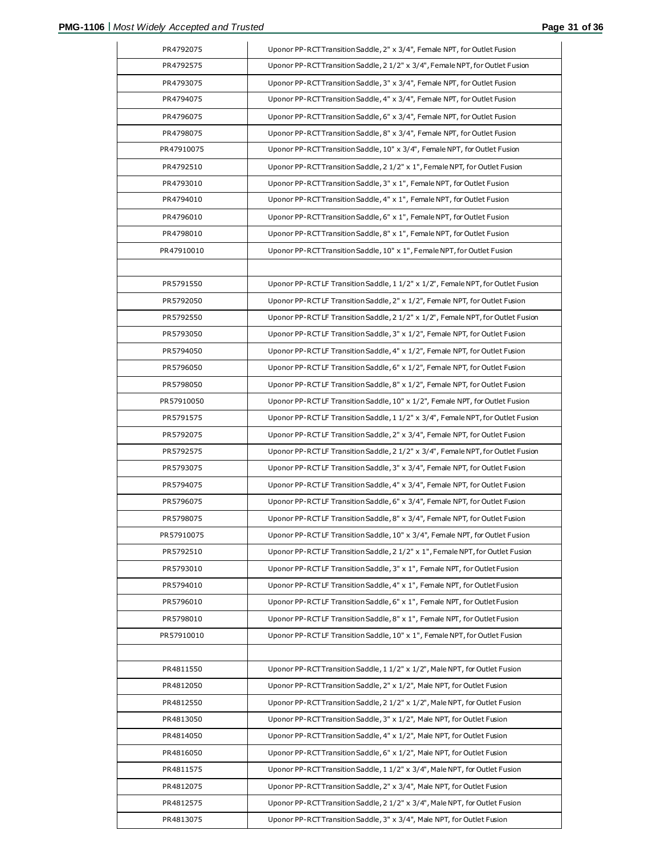| PR4792075              | Uponor PP-RCT Transition Saddle, 2" x 3/4", Female NPT, for Outlet Fusion                                                                              |
|------------------------|--------------------------------------------------------------------------------------------------------------------------------------------------------|
| PR4792575              | Uponor PP-RCT Transition Saddle, 2 1/2" x 3/4", Female NPT, for Outlet Fusion                                                                          |
| PR4793075              | Uponor PP-RCT Transition Saddle, 3" x 3/4", Female NPT, for Outlet Fusion                                                                              |
| PR4794075              | Uponor PP-RCT Transition Saddle, 4" x 3/4", Female NPT, for Outlet Fusion                                                                              |
| PR4796075              | Uponor PP-RCT Transition Saddle, 6" x 3/4", Female NPT, for Outlet Fusion                                                                              |
| PR4798075              | Uponor PP-RCTTransition Saddle, 8" x 3/4", Female NPT, for Outlet Fusion                                                                               |
| PR47910075             | Uponor PP-RCT Transition Saddle, 10" x 3/4", Female NPT, for Outlet Fusion                                                                             |
| PR4792510              | Uponor PP-RCT Transition Saddle, 2 1/2" x 1", Female NPT, for Outlet Fusion                                                                            |
| PR4793010              | Uponor PP-RCT Transition Saddle, 3" x 1", Female NPT, for Outlet Fusion                                                                                |
| PR4794010              | Uponor PP-RCTTransition Saddle, 4" x 1", Female NPT, for Outlet Fusion                                                                                 |
| PR4796010              | Uponor PP-RCT Transition Saddle, 6" x 1", Female NPT, for Outlet Fusion                                                                                |
| PR4798010              | Uponor PP-RCT Transition Saddle, 8" x 1", Female NPT, for Outlet Fusion                                                                                |
| PR47910010             | Uponor PP-RCTTransition Saddle, 10" x 1", Female NPT, for Outlet Fusion                                                                                |
|                        |                                                                                                                                                        |
| PR5791550              | Uponor PP-RCTLF Transition Saddle, 1 1/2" x 1/2", Female NPT, for Outlet Fusion                                                                        |
| PR5792050              | Uponor PP-RCTLF Transition Saddle, 2" x 1/2", Female NPT, for Outlet Fusion                                                                            |
| PR5792550              | Uponor PP-RCTLF Transition Saddle, 2 1/2" x 1/2", Female NPT, for Outlet Fusion                                                                        |
| PR5793050              | Uponor PP-RCTLF Transition Saddle, 3" x 1/2", Female NPT, for Outlet Fusion                                                                            |
| PR5794050              | Uponor PP-RCTLF Transition Saddle, 4" x 1/2", Female NPT, for Outlet Fusion                                                                            |
| PR5796050              | Uponor PP-RCTLF Transition Saddle, 6" x 1/2", Female NPT, for Outlet Fusion                                                                            |
| PR5798050              | Uponor PP-RCTLF Transition Saddle, 8" x 1/2", Female NPT, for Outlet Fusion                                                                            |
| PR57910050             | Uponor PP-RCTLF Transition Saddle, 10" x 1/2", Female NPT, for Outlet Fusion                                                                           |
| PR5791575              | Uponor PP-RCTLF Transition Saddle, 1 1/2" x 3/4", Female NPT, for Outlet Fusion                                                                        |
| PR5792075              | Uponor PP-RCT LF Transition Saddle, 2" x 3/4", Female NPT, for Outlet Fusion                                                                           |
| PR5792575              | Uponor PP-RCTLF Transition Saddle, 2 1/2" x 3/4", Female NPT, for Outlet Fusion                                                                        |
| PR5793075              | Uponor PP-RCTLF Transition Saddle, 3" x 3/4", Female NPT, for Outlet Fusion                                                                            |
| PR5794075              | Uponor PP-RCTLF Transition Saddle, 4" x 3/4", Female NPT, for Outlet Fusion                                                                            |
| PR5796075              | Uponor PP-RCTLF Transition Saddle, 6" x 3/4", Female NPT, for Outlet Fusion                                                                            |
| PR5798075              | Uponor PP-RCTLF Transition Saddle, 8" x 3/4", Female NPT, for Outlet Fusion                                                                            |
| PR57910075             | Uponor PP-RCTLF Transition Saddle, 10" x 3/4", Female NPT, for Outlet Fusion                                                                           |
| PR5792510              | Uponor PP-RCTLF Transition Saddle, 2 1/2" x 1", Female NPT, for Outlet Fusion                                                                          |
| PR5793010              | Uponor PP-RCTLF Transition Saddle, 3" x 1", Female NPT, for Outlet Fusion                                                                              |
| PR5794010<br>PR5796010 | Uponor PP-RCTLF Transition Saddle, 4" x 1", Female NPT, for Outlet Fusion<br>Uponor PP-RCTLF Transition Saddle, 6" x 1", Female NPT, for Outlet Fusion |
| PR5798010              | Uponor PP-RCTLF Transition Saddle, 8" x 1", Female NPT, for Outlet Fusion                                                                              |
| PR57910010             | Uponor PP-RCTLF Transition Saddle, 10" x 1", Female NPT, for Outlet Fusion                                                                             |
|                        |                                                                                                                                                        |
| PR4811550              | Uponor PP-RCT Transition Saddle, 1 1/2" x 1/2", Male NPT, for Outlet Fusion                                                                            |
| PR4812050              | Uponor PP-RCTTransition Saddle, 2" x 1/2", Male NPT, for Outlet Fusion                                                                                 |
| PR4812550              | Uponor PP-RCT Transition Saddle, 2 1/2" x 1/2", Male NPT, for Outlet Fusion                                                                            |
| PR4813050              | Uponor PP-RCT Transition Saddle, 3" x 1/2", Male NPT, for Outlet Fusion                                                                                |
| PR4814050              | Uponor PP-RCT Transition Saddle, 4" x 1/2", Male NPT, for Outlet Fusion                                                                                |
| PR4816050              | Uponor PP-RCTTransition Saddle, 6" x 1/2", Male NPT, for Outlet Fusion                                                                                 |
| PR4811575              | Uponor PP-RCT Transition Saddle, 1 1/2" x 3/4", Male NPT, for Outlet Fusion                                                                            |
| PR4812075              | Uponor PP-RCT Transition Saddle, 2" x 3/4", Male NPT, for Outlet Fusion                                                                                |
| PR4812575              | Uponor PP-RCT Transition Saddle, 2 1/2" x 3/4", Male NPT, for Outlet Fusion                                                                            |
| PR4813075              | Uponor PP-RCT Transition Saddle, 3" x 3/4", Male NPT, for Outlet Fusion                                                                                |
|                        |                                                                                                                                                        |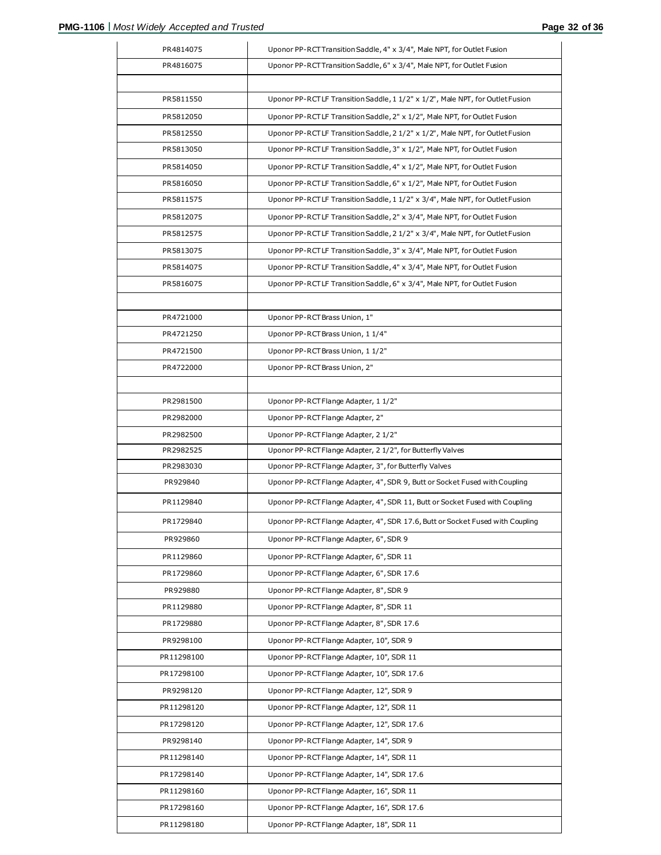| PR4814075  | Uponor PP-RCT Transition Saddle, 4" x 3/4", Male NPT, for Outlet Fusion        |
|------------|--------------------------------------------------------------------------------|
| PR4816075  | Uponor PP-RCT Transition Saddle, 6" x 3/4", Male NPT, for Outlet Fusion        |
|            |                                                                                |
| PR5811550  | Uponor PP-RCTLF Transition Saddle, 1 1/2" x 1/2", Male NPT, for Outlet Fusion  |
| PR5812050  | Uponor PP-RCTLF Transition Saddle, 2" x 1/2", Male NPT, for Outlet Fusion      |
| PR5812550  | Uponor PP-RCTLF Transition Saddle, 2 1/2" x 1/2", Male NPT, for Outlet Fusion  |
| PR5813050  | Uponor PP-RCTLF Transition Saddle, 3" x 1/2", Male NPT, for Outlet Fusion      |
| PR5814050  | Uponor PP-RCTLF Transition Saddle, 4" x 1/2", Male NPT, for Outlet Fusion      |
| PR5816050  | Uponor PP-RCTLF Transition Saddle, 6" x 1/2", Male NPT, for Outlet Fusion      |
| PR5811575  | Uponor PP-RCTLF Transition Saddle, 1 1/2" x 3/4", Male NPT, for Outlet Fusion  |
| PR5812075  | Uponor PP-RCTLF Transition Saddle, 2" x 3/4", Male NPT, for Outlet Fusion      |
| PR5812575  | Uponor PP-RCTLF Transition Saddle, 2 1/2" x 3/4", Male NPT, for Outlet Fusion  |
| PR5813075  | Uponor PP-RCTLF Transition Saddle, 3" x 3/4", Male NPT, for Outlet Fusion      |
| PR5814075  | Uponor PP-RCTLF Transition Saddle, 4" x 3/4", Male NPT, for Outlet Fusion      |
| PR5816075  | Uponor PP-RCTLF Transition Saddle, 6" x 3/4", Male NPT, for Outlet Fusion      |
|            |                                                                                |
| PR4721000  | Uponor PP-RCT Brass Union, 1"                                                  |
| PR4721250  | Uponor PP-RCT Brass Union, 1 1/4"                                              |
| PR4721500  | Uponor PP-RCT Brass Union, 1 1/2"                                              |
| PR4722000  | Uponor PP-RCT Brass Union, 2"                                                  |
|            |                                                                                |
| PR2981500  | Uponor PP-RCT Flange Adapter, 11/2"                                            |
| PR2982000  | Uponor PP-RCT Flange Adapter, 2"                                               |
| PR2982500  | Uponor PP-RCT Flange Adapter, 2 1/2"                                           |
| PR2982525  | Uponor PP-RCT Flange Adapter, 2 1/2", for Butterfly Valves                     |
| PR2983030  | Uponor PP-RCT Flange Adapter, 3", for Butterfly Valves                         |
| PR929840   | Uponor PP-RCT Flange Adapter, 4", SDR 9, Butt or Socket Fused with Coupling    |
| PR1129840  | Uponor PP-RCT Flange Adapter, 4", SDR 11, Butt or Socket Fused with Coupling   |
| PR1729840  | Uponor PP-RCT Flange Adapter, 4", SDR 17.6, Butt or Socket Fused with Coupling |
| PR929860   | Uponor PP-RCT Flange Adapter, 6", SDR 9                                        |
| PR1129860  | Uponor PP-RCT Flange Adapter, 6", SDR 11                                       |
| PR1729860  | Uponor PP-RCT Flange Adapter, 6", SDR 17.6                                     |
| PR929880   | Uponor PP-RCT Flange Adapter, 8", SDR 9                                        |
| PR1129880  | Uponor PP-RCT Flange Adapter, 8", SDR 11                                       |
| PR1729880  | Uponor PP-RCT Flange Adapter, 8", SDR 17.6                                     |
| PR9298100  | Uponor PP-RCT Flange Adapter, 10", SDR 9                                       |
| PR11298100 | Uponor PP-RCT Flange Adapter, 10", SDR 11                                      |
| PR17298100 | Uponor PP-RCT Flange Adapter, 10", SDR 17.6                                    |
| PR9298120  | Uponor PP-RCT Flange Adapter, 12", SDR 9                                       |
| PR11298120 | Uponor PP-RCT Flange Adapter, 12", SDR 11                                      |
| PR17298120 | Uponor PP-RCT Flange Adapter, 12", SDR 17.6                                    |
| PR9298140  | Uponor PP-RCT Flange Adapter, 14", SDR 9                                       |
| PR11298140 | Uponor PP-RCT Flange Adapter, 14", SDR 11                                      |
| PR17298140 | Uponor PP-RCT Flange Adapter, 14", SDR 17.6                                    |
| PR11298160 | Uponor PP-RCT Flange Adapter, 16", SDR 11                                      |
| PR17298160 | Uponor PP-RCT Flange Adapter, 16", SDR 17.6                                    |
| PR11298180 | Uponor PP-RCT Flange Adapter, 18", SDR 11                                      |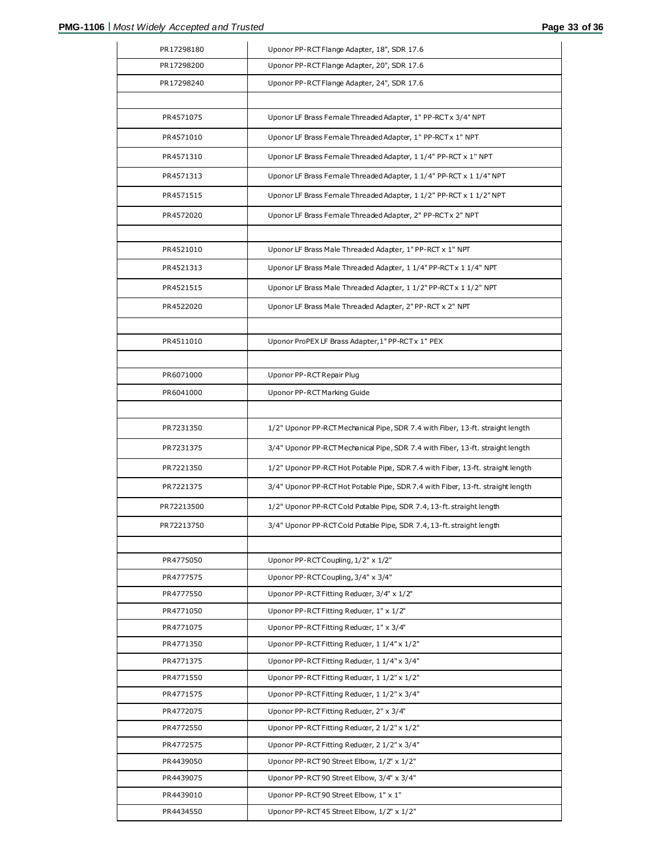| PR17298180             | Uponor PP-RCT Flange Adapter, 18", SDR 17.6                                              |
|------------------------|------------------------------------------------------------------------------------------|
| PR17298200             | Uponor PP-RCT Flange Adapter, 20", SDR 17.6                                              |
| PR17298240             | Uponor PP-RCT Flange Adapter, 24", SDR 17.6                                              |
|                        |                                                                                          |
| PR4571075              | Uponor LF Brass Female Threaded Adapter, 1" PP-RCT x 3/4" NPT                            |
| PR4571010              | Uponor LF Brass Female Threaded Adapter, 1" PP-RCT x 1" NPT                              |
| PR4571310              | Uponor LF Brass Female Threaded Adapter, 1 1/4" PP-RCT x 1" NPT                          |
| PR4571313              | Uponor LF Brass Female Threaded Adapter, 1 1/4" PP-RCT x 1 1/4" NPT                      |
| PR4571515              | Uponor LF Brass Female Threaded Adapter, 1 1/2" PP-RCT x 1 1/2" NPT                      |
| PR4572020              | Uponor LF Brass Female Threaded Adapter, 2" PP-RCT x 2" NPT                              |
|                        |                                                                                          |
| PR4521010              | Uponor LF Brass Male Threaded Adapter, 1" PP-RCT x 1" NPT                                |
| PR4521313              | Uponor LF Brass Male Threaded Adapter, 1 1/4" PP-RCT x 1 1/4" NPT                        |
| PR4521515              | Uponor LF Brass Male Threaded Adapter, 1 1/2" PP-RCT x 1 1/2" NPT                        |
| PR4522020              | Uponor LF Brass Male Threaded Adapter, 2" PP-RCT x 2" NPT                                |
|                        |                                                                                          |
| PR4511010              | Uponor ProPEX LF Brass Adapter, 1" PP-RCT x 1" PEX                                       |
|                        |                                                                                          |
| PR6071000              | Uponor PP-RCT Repair Plug                                                                |
| PR6041000              | Uponor PP-RCT Marking Guide                                                              |
|                        |                                                                                          |
| PR7231350              | 1/2" Uponor PP-RCT Mechanical Pipe, SDR 7.4 with Fiber, 13-ft. straight length           |
| PR7231375              | 3/4" Uponor PP-RCT Mechanical Pipe, SDR 7.4 with Fiber, 13-ft. straight length           |
| PR7221350              | 1/2" Uponor PP-RCT Hot Potable Pipe, SDR 7.4 with Fiber, 13-ft. straight length          |
| PR7221375              | 3/4" Uponor PP-RCT Hot Potable Pipe, SDR 7.4 with Fiber, 13-ft. straight length          |
| PR72213500             | 1/2" Uponor PP-RCT Cold Potable Pipe, SDR 7.4, 13-ft. straight length                    |
| PR72213750             | 3/4" Uponor PP-RCT Cold Potable Pipe, SDR 7.4, 13-ft. straight length                    |
|                        |                                                                                          |
| PR4775050              | Uponor PP-RCT Coupling, 1/2" x 1/2"                                                      |
| PR4777575              | Uponor PP-RCT Coupling, 3/4" x 3/4"                                                      |
| PR4777550              | Uponor PP-RCT Fitting Reducer, 3/4" x 1/2"                                               |
| PR4771050              | Uponor PP-RCT Fitting Reducer, 1" x 1/2"                                                 |
| PR4771075              | Uponor PP-RCT Fitting Reducer, 1" x 3/4"                                                 |
| PR4771350              | Uponor PP-RCT Fitting Reducer, 1 1/4" x 1/2"                                             |
| PR4771375              | Uponor PP-RCT Fitting Reducer, 11/4" x 3/4"                                              |
| PR4771550              | Uponor PP-RCT Fitting Reducer, 1 1/2" x 1/2"                                             |
| PR4771575              | Uponor PP-RCT Fitting Reducer, 1 1/2" x 3/4"                                             |
| PR4772075<br>PR4772550 | Uponor PP-RCT Fitting Reducer, 2" x 3/4"<br>Uponor PP-RCT Fitting Reducer, 2 1/2" x 1/2" |
| PR4772575              | Uponor PP-RCT Fitting Reducer, 2 1/2" x 3/4"                                             |
| PR4439050              | Uponor PP-RCT90 Street Elbow, 1/2" x 1/2"                                                |
| PR4439075              | Uponor PP-RCT90 Street Elbow, 3/4" x 3/4"                                                |
| PR4439010              | Uponor PP-RCT90 Street Elbow, 1" x 1"                                                    |
| PR4434550              | Uponor PP-RCT 45 Street Elbow, 1/2" x 1/2"                                               |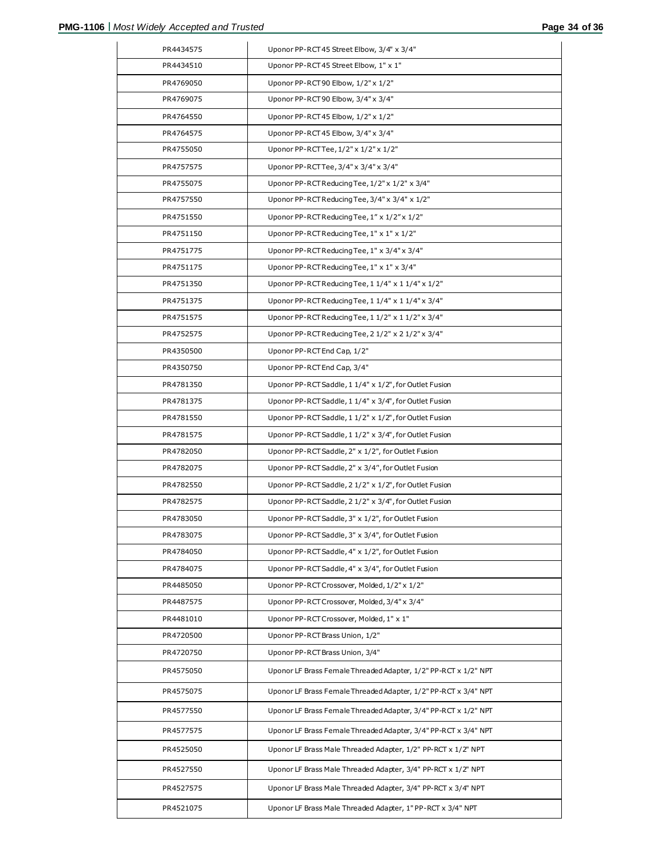| PR4434575 | Uponor PP-RCT45 Street Elbow, 3/4" x 3/4"                       |
|-----------|-----------------------------------------------------------------|
| PR4434510 | Uponor PP-RCT45 Street Elbow, 1" x 1"                           |
| PR4769050 | Uponor PP-RCT90 Elbow, 1/2" x 1/2"                              |
| PR4769075 | Uponor PP-RCT90 Elbow, 3/4" x 3/4"                              |
| PR4764550 | Uponor PP-RCT45 Elbow, 1/2" x 1/2"                              |
| PR4764575 | Uponor PP-RCT45 Elbow, 3/4" x 3/4"                              |
| PR4755050 | Uponor PP-RCTTee, 1/2" x 1/2" x 1/2"                            |
| PR4757575 | Uponor PP-RCTTee, 3/4" x 3/4" x 3/4"                            |
| PR4755075 | Uponor PP-RCT Reducing Tee, 1/2" x 1/2" x 3/4"                  |
| PR4757550 | Uponor PP-RCT Reducing Tee, 3/4" x 3/4" x 1/2"                  |
| PR4751550 | Uponor PP-RCT Reducing Tee, 1" x 1/2" x 1/2"                    |
| PR4751150 | Uponor PP-RCT Reducing Tee, 1" x 1" x 1/2"                      |
| PR4751775 | Uponor PP-RCT Reducing Tee, 1" x 3/4" x 3/4"                    |
| PR4751175 | Uponor PP-RCT Reducing Tee, 1" x 1" x 3/4"                      |
| PR4751350 | Uponor PP-RCT Reducing Tee, 1 1/4" x 1 1/4" x 1/2"              |
| PR4751375 | Uponor PP-RCT Reducing Tee, 1 1/4" x 1 1/4" x 3/4"              |
| PR4751575 | Uponor PP-RCT Reducing Tee, 1 1/2" x 1 1/2" x 3/4"              |
| PR4752575 | Uponor PP-RCT Reducing Tee, 2 1/2" x 2 1/2" x 3/4"              |
| PR4350500 | Uponor PP-RCT End Cap, 1/2"                                     |
| PR4350750 | Uponor PP-RCT End Cap, 3/4"                                     |
| PR4781350 | Uponor PP-RCT Saddle, 1 1/4" x 1/2", for Outlet Fusion          |
| PR4781375 | Uponor PP-RCT Saddle, 1 1/4" x 3/4", for Outlet Fusion          |
| PR4781550 | Uponor PP-RCT Saddle, 1 1/2" x 1/2", for Outlet Fusion          |
| PR4781575 | Uponor PP-RCT Saddle, 1 1/2" x 3/4", for Outlet Fusion          |
| PR4782050 | Uponor PP-RCT Saddle, 2" x 1/2", for Outlet Fusion              |
| PR4782075 | Uponor PP-RCT Saddle, 2" x 3/4", for Outlet Fusion              |
| PR4782550 | Uponor PP-RCT Saddle, 2 1/2" x 1/2", for Outlet Fusion          |
| PR4782575 | Uponor PP-RCT Saddle, 2 1/2" x 3/4", for Outlet Fusion          |
| PR4783050 | Uponor PP-RCT Saddle, 3" x 1/2", for Outlet Fusion              |
| PR4783075 | Uponor PP-RCT Saddle, 3" x 3/4", for Outlet Fusion              |
| PR4784050 | Uponor PP-RCT Saddle, 4" x 1/2", for Outlet Fusion              |
| PR4784075 | Uponor PP-RCT Saddle, 4" x 3/4", for Outlet Fusion              |
| PR4485050 | Uponor PP-RCT Crossover, Molded, 1/2" x 1/2"                    |
| PR4487575 | Uponor PP-RCT Crossover, Molded, 3/4" x 3/4"                    |
| PR4481010 | Uponor PP-RCT Crossover, Molded, 1" x 1"                        |
| PR4720500 | Uponor PP-RCT Brass Union, 1/2"                                 |
| PR4720750 | Uponor PP-RCT Brass Union, 3/4"                                 |
| PR4575050 | Uponor LF Brass Female Threaded Adapter, 1/2" PP-RCT x 1/2" NPT |
| PR4575075 | Uponor LF Brass Female Threaded Adapter, 1/2" PP-RCT x 3/4" NPT |
| PR4577550 | Uponor LF Brass Female Threaded Adapter, 3/4" PP-RCT x 1/2" NPT |
| PR4577575 | Uponor LF Brass Female Threaded Adapter, 3/4" PP-RCT x 3/4" NPT |
| PR4525050 | Uponor LF Brass Male Threaded Adapter, 1/2" PP-RCT x 1/2" NPT   |
| PR4527550 | Uponor LF Brass Male Threaded Adapter, 3/4" PP-RCT x 1/2" NPT   |
| PR4527575 | Uponor LF Brass Male Threaded Adapter, 3/4" PP-RCT x 3/4" NPT   |
| PR4521075 | Uponor LF Brass Male Threaded Adapter, 1" PP-RCT x 3/4" NPT     |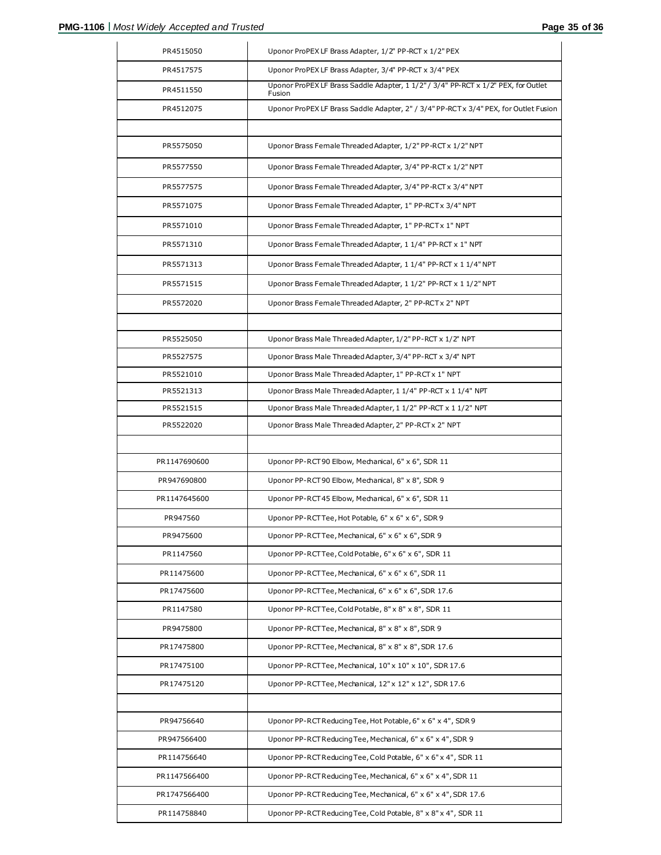| Uponor ProPEX LF Brass Adapter, 3/4" PP-RCT x 3/4" PEX<br>PR4517575<br>Uponor ProPEX LF Brass Saddle Adapter, 1 1/2" / 3/4" PP-RCT x 1/2" PEX, for Outlet<br>PR4511550<br>Fusion<br>Uponor ProPEX LF Brass Saddle Adapter, 2" / 3/4" PP-RCT x 3/4" PEX, for Outlet Fusion<br>PR4512075<br>Uponor Brass Female Threaded Adapter, 1/2" PP-RCT x 1/2" NPT<br>PR5575050<br>Uponor Brass Female Threaded Adapter, 3/4" PP-RCT x 1/2" NPT<br>PR5577550<br>Uponor Brass Female Threaded Adapter, 3/4" PP-RCT x 3/4" NPT<br>PR5577575<br>PR5571075<br>Uponor Brass Female Threaded Adapter, 1" PP-RCT x 3/4" NPT<br>Uponor Brass Female Threaded Adapter, 1" PP-RCT x 1" NPT<br>PR5571010<br>PR5571310<br>Uponor Brass Female Threaded Adapter, 1 1/4" PP-RCT x 1" NPT<br>Uponor Brass Female Threaded Adapter, 1 1/4" PP-RCT x 1 1/4" NPT<br>PR5571313<br>PR5571515<br>Uponor Brass Female Threaded Adapter, 1 1/2" PP-RCT x 1 1/2" NPT<br>Uponor Brass Female Threaded Adapter, 2" PP-RCT x 2" NPT<br>PR5572020<br>PR5525050<br>Uponor Brass Male Threaded Adapter, 1/2" PP-RCT x 1/2" NPT<br>Uponor Brass Male Threaded Adapter, 3/4" PP-RCT x 3/4" NPT<br>PR5527575<br>PR5521010<br>Uponor Brass Male Threaded Adapter, 1" PP-RCT x 1" NPT<br>Uponor Brass Male Threaded Adapter, 1 1/4" PP-RCT x 1 1/4" NPT<br>PR5521313 |
|-----------------------------------------------------------------------------------------------------------------------------------------------------------------------------------------------------------------------------------------------------------------------------------------------------------------------------------------------------------------------------------------------------------------------------------------------------------------------------------------------------------------------------------------------------------------------------------------------------------------------------------------------------------------------------------------------------------------------------------------------------------------------------------------------------------------------------------------------------------------------------------------------------------------------------------------------------------------------------------------------------------------------------------------------------------------------------------------------------------------------------------------------------------------------------------------------------------------------------------------------------------------------------------------------------------------------|
|                                                                                                                                                                                                                                                                                                                                                                                                                                                                                                                                                                                                                                                                                                                                                                                                                                                                                                                                                                                                                                                                                                                                                                                                                                                                                                                       |
|                                                                                                                                                                                                                                                                                                                                                                                                                                                                                                                                                                                                                                                                                                                                                                                                                                                                                                                                                                                                                                                                                                                                                                                                                                                                                                                       |
|                                                                                                                                                                                                                                                                                                                                                                                                                                                                                                                                                                                                                                                                                                                                                                                                                                                                                                                                                                                                                                                                                                                                                                                                                                                                                                                       |
|                                                                                                                                                                                                                                                                                                                                                                                                                                                                                                                                                                                                                                                                                                                                                                                                                                                                                                                                                                                                                                                                                                                                                                                                                                                                                                                       |
|                                                                                                                                                                                                                                                                                                                                                                                                                                                                                                                                                                                                                                                                                                                                                                                                                                                                                                                                                                                                                                                                                                                                                                                                                                                                                                                       |
|                                                                                                                                                                                                                                                                                                                                                                                                                                                                                                                                                                                                                                                                                                                                                                                                                                                                                                                                                                                                                                                                                                                                                                                                                                                                                                                       |
|                                                                                                                                                                                                                                                                                                                                                                                                                                                                                                                                                                                                                                                                                                                                                                                                                                                                                                                                                                                                                                                                                                                                                                                                                                                                                                                       |
|                                                                                                                                                                                                                                                                                                                                                                                                                                                                                                                                                                                                                                                                                                                                                                                                                                                                                                                                                                                                                                                                                                                                                                                                                                                                                                                       |
|                                                                                                                                                                                                                                                                                                                                                                                                                                                                                                                                                                                                                                                                                                                                                                                                                                                                                                                                                                                                                                                                                                                                                                                                                                                                                                                       |
|                                                                                                                                                                                                                                                                                                                                                                                                                                                                                                                                                                                                                                                                                                                                                                                                                                                                                                                                                                                                                                                                                                                                                                                                                                                                                                                       |
|                                                                                                                                                                                                                                                                                                                                                                                                                                                                                                                                                                                                                                                                                                                                                                                                                                                                                                                                                                                                                                                                                                                                                                                                                                                                                                                       |
|                                                                                                                                                                                                                                                                                                                                                                                                                                                                                                                                                                                                                                                                                                                                                                                                                                                                                                                                                                                                                                                                                                                                                                                                                                                                                                                       |
|                                                                                                                                                                                                                                                                                                                                                                                                                                                                                                                                                                                                                                                                                                                                                                                                                                                                                                                                                                                                                                                                                                                                                                                                                                                                                                                       |
|                                                                                                                                                                                                                                                                                                                                                                                                                                                                                                                                                                                                                                                                                                                                                                                                                                                                                                                                                                                                                                                                                                                                                                                                                                                                                                                       |
|                                                                                                                                                                                                                                                                                                                                                                                                                                                                                                                                                                                                                                                                                                                                                                                                                                                                                                                                                                                                                                                                                                                                                                                                                                                                                                                       |
|                                                                                                                                                                                                                                                                                                                                                                                                                                                                                                                                                                                                                                                                                                                                                                                                                                                                                                                                                                                                                                                                                                                                                                                                                                                                                                                       |
|                                                                                                                                                                                                                                                                                                                                                                                                                                                                                                                                                                                                                                                                                                                                                                                                                                                                                                                                                                                                                                                                                                                                                                                                                                                                                                                       |
|                                                                                                                                                                                                                                                                                                                                                                                                                                                                                                                                                                                                                                                                                                                                                                                                                                                                                                                                                                                                                                                                                                                                                                                                                                                                                                                       |
| Uponor Brass Male Threaded Adapter, 1 1/2" PP-RCT x 1 1/2" NPT                                                                                                                                                                                                                                                                                                                                                                                                                                                                                                                                                                                                                                                                                                                                                                                                                                                                                                                                                                                                                                                                                                                                                                                                                                                        |
| PR5521515                                                                                                                                                                                                                                                                                                                                                                                                                                                                                                                                                                                                                                                                                                                                                                                                                                                                                                                                                                                                                                                                                                                                                                                                                                                                                                             |
| Uponor Brass Male Threaded Adapter, 2" PP-RCT x 2" NPT<br>PR5522020                                                                                                                                                                                                                                                                                                                                                                                                                                                                                                                                                                                                                                                                                                                                                                                                                                                                                                                                                                                                                                                                                                                                                                                                                                                   |
| PR1147690600<br>Uponor PP-RCT90 Elbow, Mechanical, 6" x 6", SDR 11                                                                                                                                                                                                                                                                                                                                                                                                                                                                                                                                                                                                                                                                                                                                                                                                                                                                                                                                                                                                                                                                                                                                                                                                                                                    |
| PR947690800<br>Uponor PP-RCT90 Elbow, Mechanical, 8" x 8", SDR 9                                                                                                                                                                                                                                                                                                                                                                                                                                                                                                                                                                                                                                                                                                                                                                                                                                                                                                                                                                                                                                                                                                                                                                                                                                                      |
| Uponor PP-RCT45 Elbow, Mechanical, 6" x 6", SDR 11<br>PR1147645600                                                                                                                                                                                                                                                                                                                                                                                                                                                                                                                                                                                                                                                                                                                                                                                                                                                                                                                                                                                                                                                                                                                                                                                                                                                    |
| Uponor PP-RCTTee, Hot Potable, 6" x 6" x 6", SDR 9<br>PR947560                                                                                                                                                                                                                                                                                                                                                                                                                                                                                                                                                                                                                                                                                                                                                                                                                                                                                                                                                                                                                                                                                                                                                                                                                                                        |
| PR9475600<br>Uponor PP-RCTTee, Mechanical, 6" x 6" x 6", SDR 9                                                                                                                                                                                                                                                                                                                                                                                                                                                                                                                                                                                                                                                                                                                                                                                                                                                                                                                                                                                                                                                                                                                                                                                                                                                        |
| Uponor PP-RCTTee, Cold Potable, 6" x 6" x 6", SDR 11<br>PR1147560                                                                                                                                                                                                                                                                                                                                                                                                                                                                                                                                                                                                                                                                                                                                                                                                                                                                                                                                                                                                                                                                                                                                                                                                                                                     |
| Uponor PP-RCTTee, Mechanical, 6" x 6" x 6", SDR 11<br>PR11475600                                                                                                                                                                                                                                                                                                                                                                                                                                                                                                                                                                                                                                                                                                                                                                                                                                                                                                                                                                                                                                                                                                                                                                                                                                                      |
| PR17475600<br>Uponor PP-RCTTee, Mechanical, 6" x 6" x 6", SDR 17.6                                                                                                                                                                                                                                                                                                                                                                                                                                                                                                                                                                                                                                                                                                                                                                                                                                                                                                                                                                                                                                                                                                                                                                                                                                                    |
| Uponor PP-RCTTee, Cold Potable, 8" x 8" x 8", SDR 11<br>PR1147580                                                                                                                                                                                                                                                                                                                                                                                                                                                                                                                                                                                                                                                                                                                                                                                                                                                                                                                                                                                                                                                                                                                                                                                                                                                     |
| PR9475800<br>Uponor PP-RCTTee, Mechanical, 8" x 8" x 8", SDR 9                                                                                                                                                                                                                                                                                                                                                                                                                                                                                                                                                                                                                                                                                                                                                                                                                                                                                                                                                                                                                                                                                                                                                                                                                                                        |
| PR17475800<br>Uponor PP-RCTTee, Mechanical, 8" x 8" x 8", SDR 17.6                                                                                                                                                                                                                                                                                                                                                                                                                                                                                                                                                                                                                                                                                                                                                                                                                                                                                                                                                                                                                                                                                                                                                                                                                                                    |
| PR17475100<br>Uponor PP-RCTTee, Mechanical, 10" x 10" x 10", SDR 17.6                                                                                                                                                                                                                                                                                                                                                                                                                                                                                                                                                                                                                                                                                                                                                                                                                                                                                                                                                                                                                                                                                                                                                                                                                                                 |
| PR17475120<br>Uponor PP-RCTTee, Mechanical, 12" x 12" x 12", SDR 17.6                                                                                                                                                                                                                                                                                                                                                                                                                                                                                                                                                                                                                                                                                                                                                                                                                                                                                                                                                                                                                                                                                                                                                                                                                                                 |
|                                                                                                                                                                                                                                                                                                                                                                                                                                                                                                                                                                                                                                                                                                                                                                                                                                                                                                                                                                                                                                                                                                                                                                                                                                                                                                                       |
| PR94756640<br>Uponor PP-RCT Reducing Tee, Hot Potable, 6" x 6" x 4", SDR 9                                                                                                                                                                                                                                                                                                                                                                                                                                                                                                                                                                                                                                                                                                                                                                                                                                                                                                                                                                                                                                                                                                                                                                                                                                            |
| Uponor PP-RCT Reducing Tee, Mechanical, 6" x 6" x 4", SDR 9<br>PR947566400                                                                                                                                                                                                                                                                                                                                                                                                                                                                                                                                                                                                                                                                                                                                                                                                                                                                                                                                                                                                                                                                                                                                                                                                                                            |
| Uponor PP-RCT Reducing Tee, Cold Potable, 6" x 6" x 4", SDR 11<br>PR114756640                                                                                                                                                                                                                                                                                                                                                                                                                                                                                                                                                                                                                                                                                                                                                                                                                                                                                                                                                                                                                                                                                                                                                                                                                                         |
| Uponor PP-RCT Reducing Tee, Mechanical, 6" x 6" x 4", SDR 11<br>PR1147566400                                                                                                                                                                                                                                                                                                                                                                                                                                                                                                                                                                                                                                                                                                                                                                                                                                                                                                                                                                                                                                                                                                                                                                                                                                          |
| PR1747566400<br>Uponor PP-RCT Reducing Tee, Mechanical, 6" x 6" x 4", SDR 17.6                                                                                                                                                                                                                                                                                                                                                                                                                                                                                                                                                                                                                                                                                                                                                                                                                                                                                                                                                                                                                                                                                                                                                                                                                                        |
| PR114758840<br>Uponor PP-RCT Reducing Tee, Cold Potable, 8" x 8" x 4", SDR 11                                                                                                                                                                                                                                                                                                                                                                                                                                                                                                                                                                                                                                                                                                                                                                                                                                                                                                                                                                                                                                                                                                                                                                                                                                         |